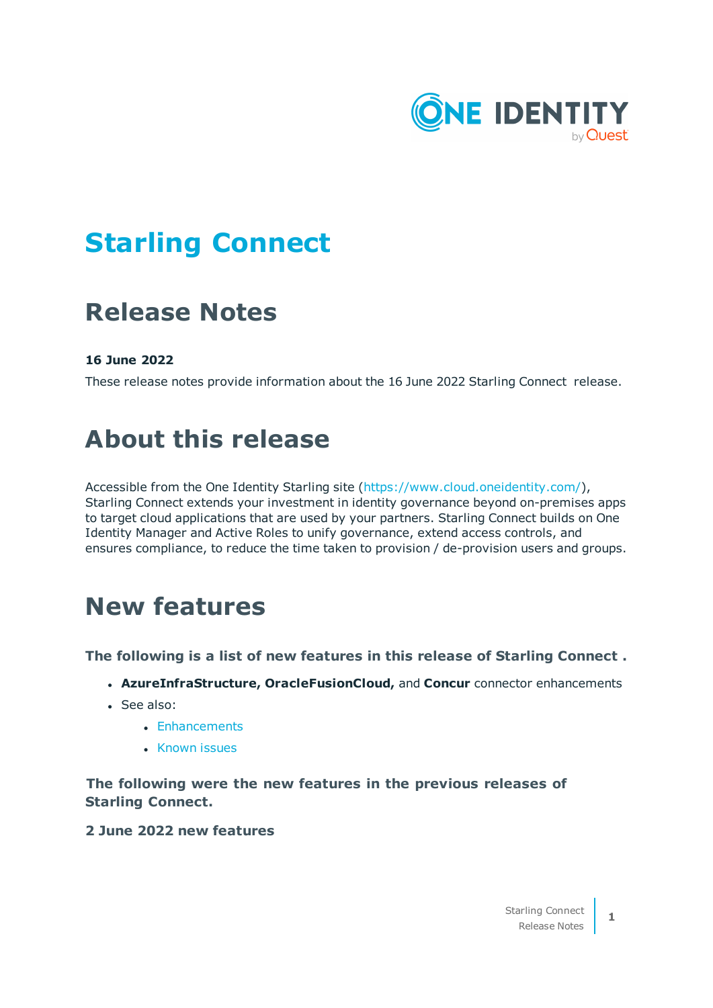

# **Starling Connect**

# **Release Notes**

# **16 June 2022**

These release notes provide information about the 16 June 2022 Starling Connect release.

# **About this release**

Accessible from the One Identity Starling site (<https://www.cloud.oneidentity.com/>), Starling Connect extends your investment in identity governance beyond on-premises apps to target cloud applications that are used by your partners. Starling Connect builds on One Identity Manager and Active Roles to unify governance, extend access controls, and ensures compliance, to reduce the time taken to provision / de-provision users and groups.

# **New features**

**The following is a list of new features in this release of Starling Connect .**

- <sup>l</sup> **AzureInfraStructure, OracleFusionCloud,** and **Concur** connector enhancements
- $\cdot$  See also:
	- [Enhancements](#page-21-0)
	- [Known](#page-63-0) issues

**The following were the new features in the previous releases of Starling Connect.**

**2 June 2022 new features**

**1**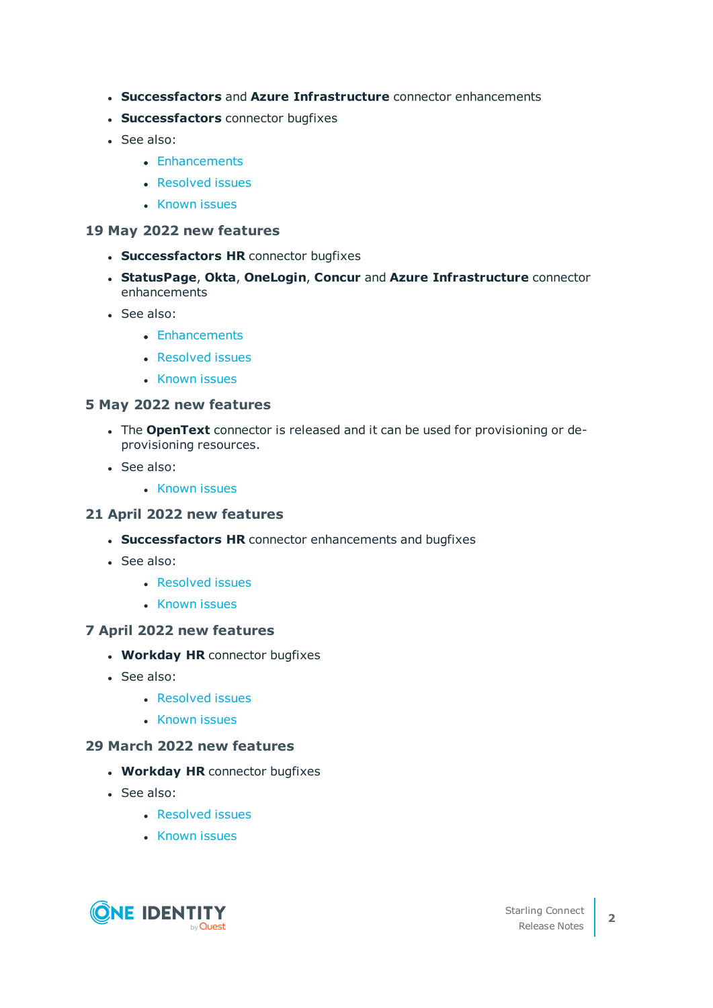- <sup>l</sup> **Successfactors** and **Azure Infrastructure** connector enhancements
- **. Successfactors** connector bugfixes
- See also:
	- [Enhancements](#page-21-0)
	- [Resolved](#page-48-0) issues
	- [Known](#page-63-0) issues

#### **19 May 2022 new features**

- **. Successfactors HR** connector bugfixes
- <sup>l</sup> **StatusPage**, **Okta**, **OneLogin**, **Concur** and **Azure Infrastructure** connector enhancements
- See also:
	- [Enhancements](#page-21-0)
	- [Resolved](#page-48-0) issues
	- [Known](#page-63-0) issues

# **5 May 2022 new features**

- **.** The **OpenText** connector is released and it can be used for provisioning or deprovisioning resources.
- $\cdot$  See also:
	- [Known](#page-63-0) issues

# **21 April 2022 new features**

- **. Successfactors HR** connector enhancements and bugfixes
- $\cdot$  See also:
	- [Resolved](#page-48-1) issues
	- [Known](#page-63-0) issues

# **7 April 2022 new features**

- **. Workday HR** connector bugfixes
- <sup>l</sup> See also:
	- [Resolved](#page-48-2) issues
	- [Known](#page-63-0) issues

# **29 March 2022 new features**

- **. Workday HR** connector bugfixes
- See also:
	- [Resolved](#page-48-3) issues
	- [Known](#page-63-0) issues

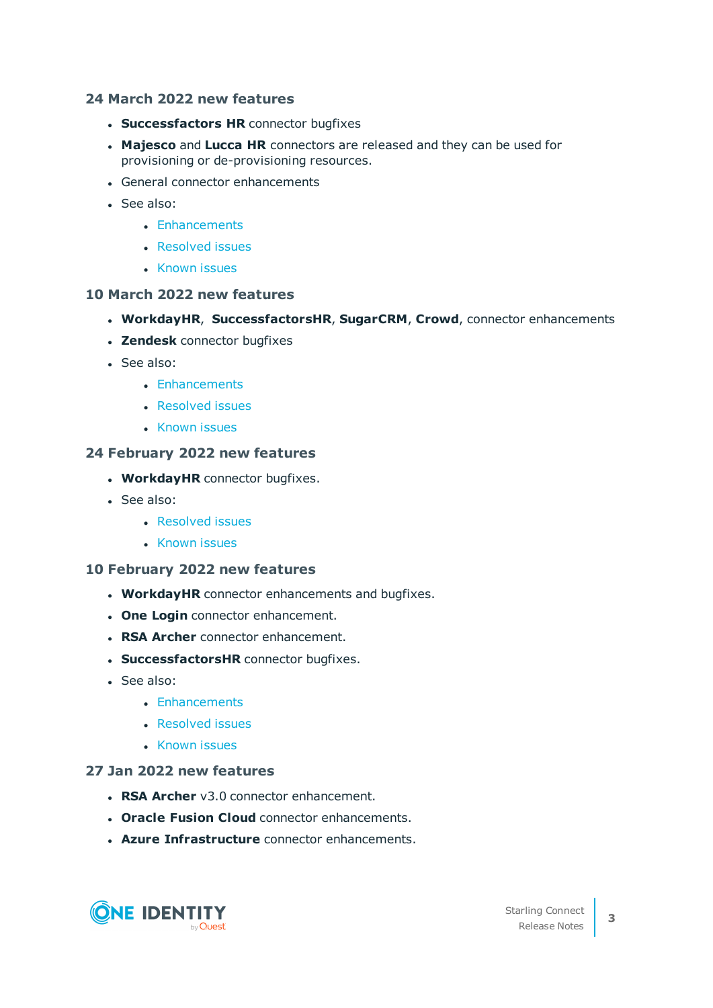# **24 March 2022 new features**

- **. Successfactors HR** connector bugfixes
- **. Majesco** and Lucca HR connectors are released and they can be used for provisioning or de-provisioning resources.
- General connector enhancements
- See also:
	- [Enhancements](#page-23-0)
	- [Resolved](#page-49-0) issues
	- [Known](#page-63-0) issues

#### **10 March 2022 new features**

- <sup>l</sup> **WorkdayHR**, **SuccessfactorsHR**, **SugarCRM**, **Crowd**, connector enhancements
- **.** Zendesk connector bugfixes
- $\cdot$  See also:
	- [Enhancements](#page-23-1)
	- [Resolved](#page-49-1) issues
	- [Known](#page-63-0) issues

# **24 February 2022 new features**

- **WorkdayHR** connector bugfixes.
- See also:
	- **[Resolved](#page-49-2) issues**
	- [Known](#page-63-0) issues

# **10 February 2022 new features**

- **WorkdayHR** connector enhancements and bugfixes.
- **.** One Login connector enhancement.
- **RSA Archer** connector enhancement.
- **. SuccessfactorsHR** connector bugfixes.
- See also:
	- [Enhancements](#page-23-2)
	- [Resolved](#page-49-3) issues
	- [Known](#page-63-0) issues

# **27 Jan 2022 new features**

- **RSA Archer** v3.0 connector enhancement.
- **. Oracle Fusion Cloud** connector enhancements.
- **Azure Infrastructure** connector enhancements.

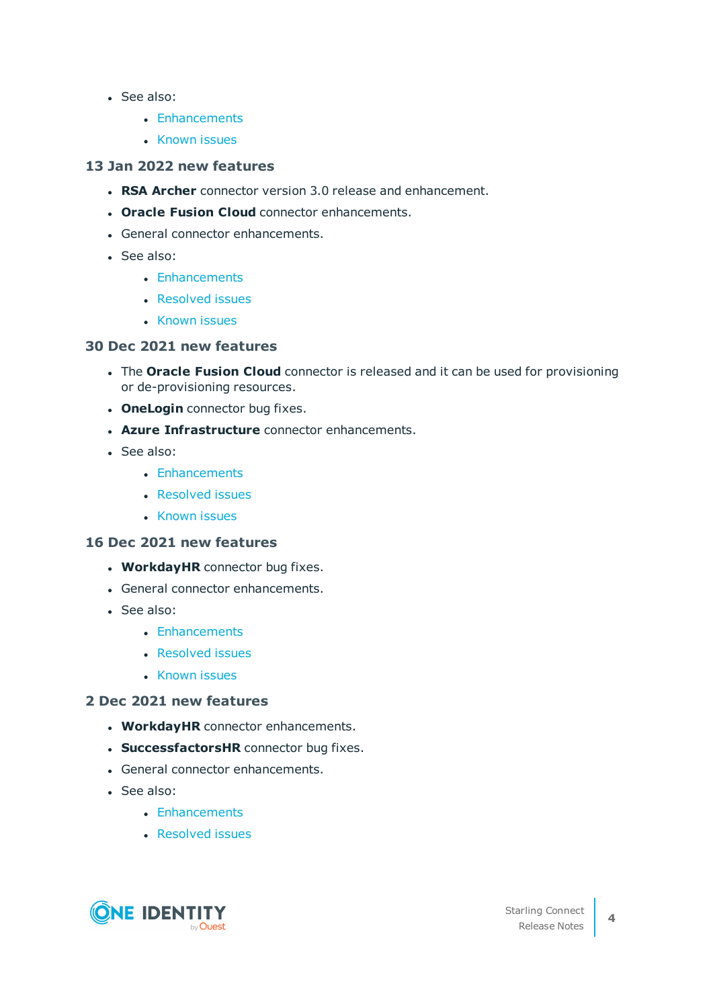- See also:
	- [Enhancements](#page-21-0)
	- [Known](#page-63-0) issues

# **13 Jan 2022 new features**

- **RSA Archer** connector version 3.0 release and enhancement.
- **. Oracle Fusion Cloud** connector enhancements.
- General connector enhancements.
- See also:
	- [Enhancements](#page-24-0)
	- [Resolved](#page-49-4) issues
	- [Known](#page-63-0) issues

#### **30 Dec 2021 new features**

- **.** The **Oracle Fusion Cloud** connector is released and it can be used for provisioning or de-provisioning resources.
- **.** OneLogin connector bug fixes.
- **Azure Infrastructure** connector enhancements.
- $\cdot$  See also:
	- [Enhancements](#page-25-0)
	- [Resolved](#page-50-0) issues
	- [Known](#page-63-0) issues

#### **16 Dec 2021 new features**

- **WorkdayHR** connector bug fixes.
- <sup>l</sup> General connector enhancements.
- $\cdot$  See also:
	- [Enhancements](#page-25-1)
	- [Resolved](#page-50-1) issues
	- [Known](#page-63-0) issues

# **2 Dec 2021 new features**

- **WorkdayHR** connector enhancements.
- **. SuccessfactorsHR** connector bug fixes.
- General connector enhancements.
- $\cdot$  See also:
	- [Enhancements](#page-25-2)
	- **[Resolved](#page-50-2) issues**

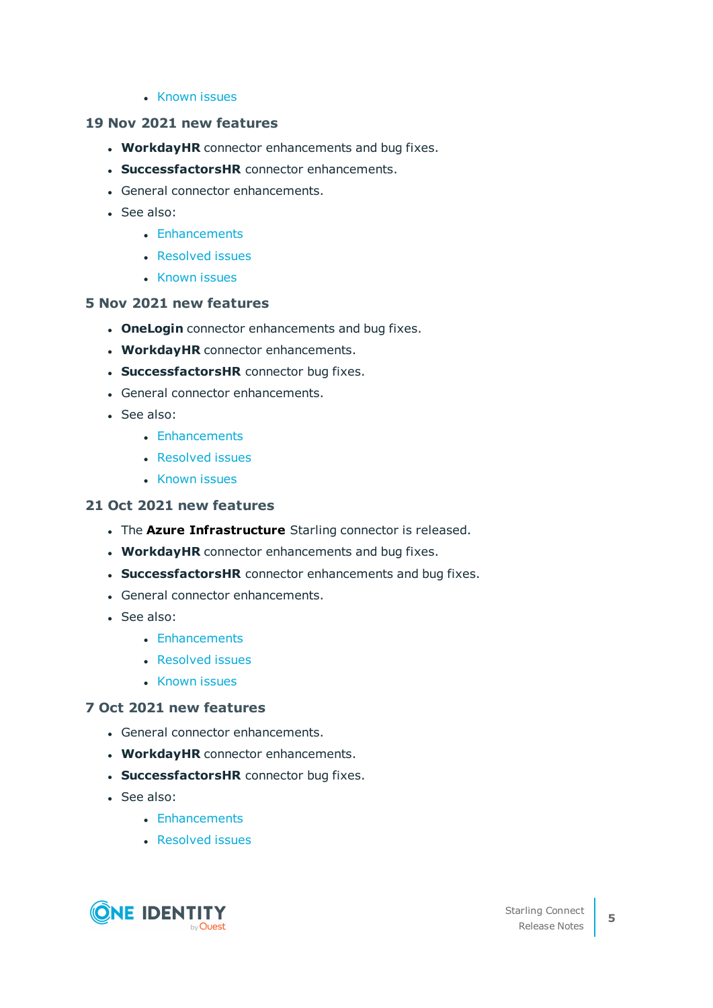• [Known](#page-63-0) issues

# **19 Nov 2021 new features**

- **WorkdayHR** connector enhancements and bug fixes.
- **. SuccessfactorsHR** connector enhancements.
- General connector enhancements.
- . See also:
	- [Enhancements](#page-26-0)
	- [Resolved](#page-50-3) issues
	- [Known](#page-63-0) issues

# **5 Nov 2021 new features**

- **. OneLogin** connector enhancements and bug fixes.
- **WorkdayHR** connector enhancements.
- **. SuccessfactorsHR** connector bug fixes.
- General connector enhancements.
- <sup>l</sup> See also:
	- [Enhancements](#page-26-1)
	- [Resolved](#page-50-4) issues
	- [Known](#page-63-0) issues

# **21 Oct 2021 new features**

- **.** The Azure Infrastructure Starling connector is released.
- **. WorkdayHR** connector enhancements and bug fixes.
- **. SuccessfactorsHR** connector enhancements and bug fixes.
- General connector enhancements.
- See also:
	- [Enhancements](#page-27-0)
	- [Resolved](#page-51-0) issues
	- [Known](#page-63-0) issues

# **7 Oct 2021 new features**

- General connector enhancements.
- **WorkdayHR** connector enhancements.
- **. SuccessfactorsHR** connector bug fixes.
- $See$  also:
	- [Enhancements](#page-27-1)
	- [Resolved](#page-51-1) issues

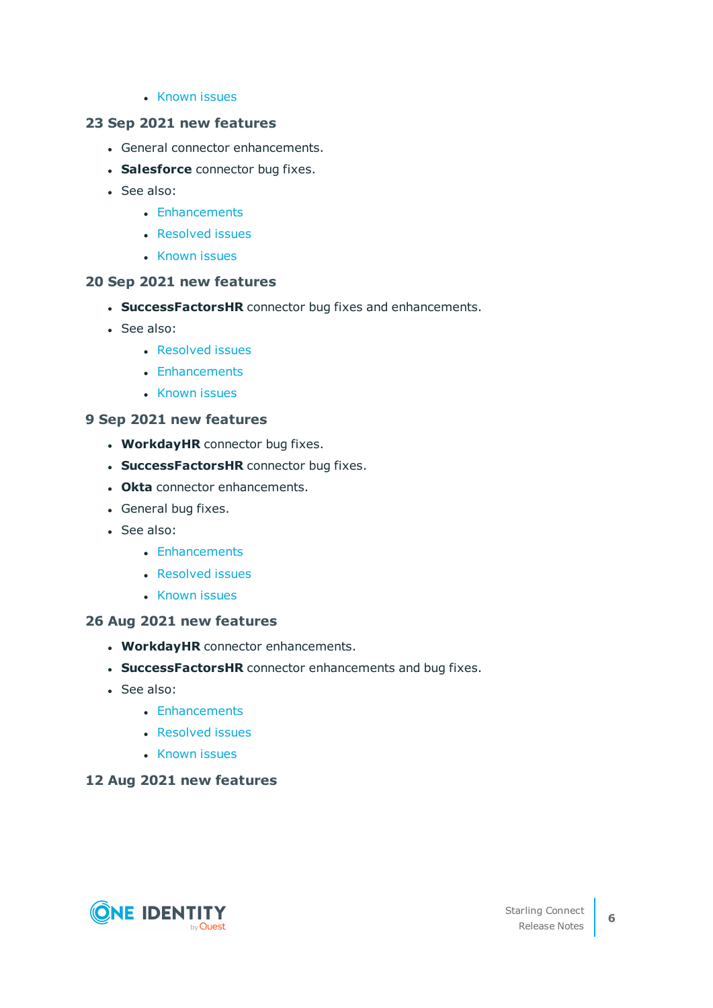• [Known](#page-63-0) issues

# **23 Sep 2021 new features**

- General connector enhancements.
- **. Salesforce** connector bug fixes.
- See also:
	- [Enhancements](#page-28-0)
	- [Resolved](#page-51-2) issues
	- [Known](#page-63-0) issues

# **20 Sep 2021 new features**

- **. SuccessFactorsHR** connector bug fixes and enhancements.
- See also:
	- [Resolved](#page-51-2) issues
	- [Enhancements](#page-28-1)
	- [Known](#page-63-0) issues

# **9 Sep 2021 new features**

- **WorkdayHR** connector bug fixes.
- **. SuccessFactorsHR** connector bug fixes.
- **. Okta** connector enhancements.
- General bug fixes.
- $\cdot$  See also:
	- [Enhancements](#page-21-0)
	- [Resolved](#page-47-0) issues
	- [Known](#page-63-0) issues

# **26 Aug 2021 new features**

- **WorkdayHR** connector enhancements.
- **. SuccessFactorsHR** connector enhancements and bug fixes.
- **See also:** 
	- [Enhancements](#page-28-2)
	- [Resolved](#page-52-0) issues
	- [Known](#page-63-0) issues

# **12 Aug 2021 new features**

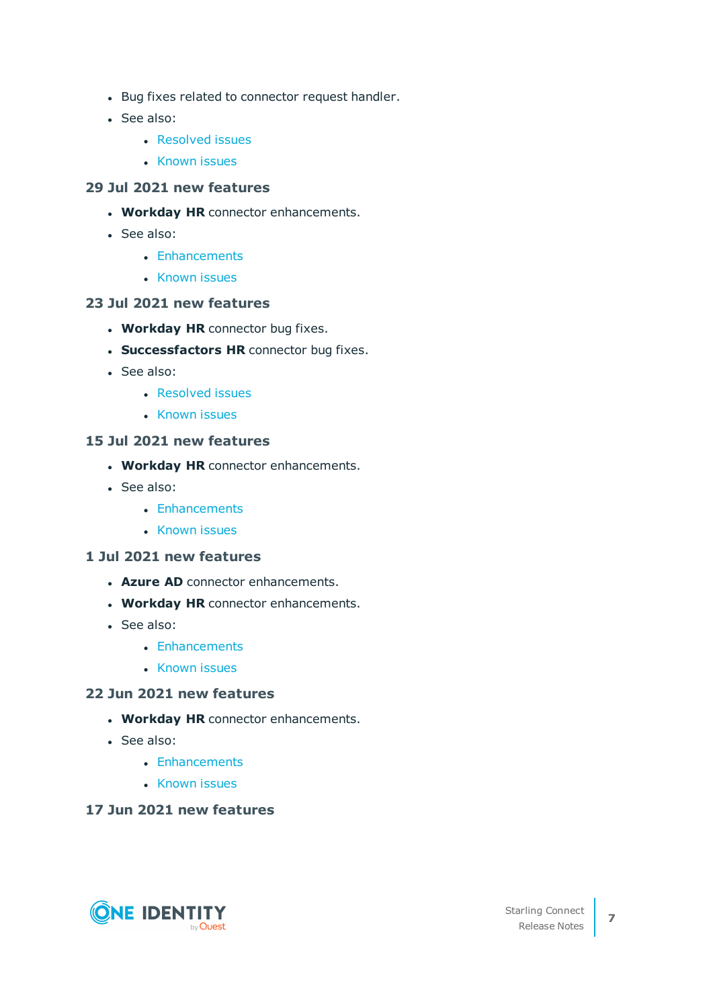- Bug fixes related to connector request handler.
- See also:
	- [Resolved](#page-47-1) issues
	- [Known](#page-63-0) issues

# **29 Jul 2021 new features**

- **Workday HR** connector enhancements.
- See also:
	- [Enhancements](#page-21-1)
	- [Known](#page-63-0) issues

# **23 Jul 2021 new features**

- **. Workday HR** connector bug fixes.
- **. Successfactors HR** connector bug fixes.
- See also:
	- [Resolved](#page-47-1) issues
	- **[Known](#page-63-0) issues**

# **15 Jul 2021 new features**

- **Workday HR** connector enhancements.
- See also:
	- [Enhancements](#page-21-1)
	- [Known](#page-63-0) issues

# **1 Jul 2021 new features**

- **Azure AD** connector enhancements.
- **Workday HR** connector enhancements.
- See also:
	- [Enhancements](#page-21-1)
	- [Known](#page-63-0) issues

# **22 Jun 2021 new features**

- **. Workday HR** connector enhancements.
- See also:
	- [Enhancements](#page-21-1)
	- [Known](#page-63-0) issues

# **17 Jun 2021 new features**

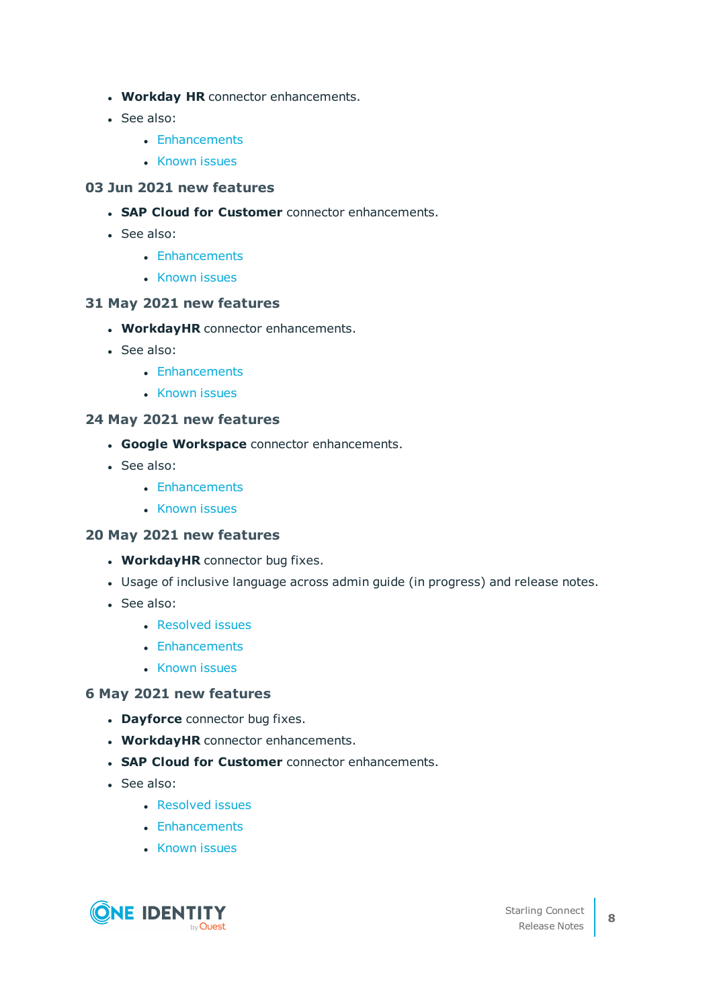- **. Workday HR** connector enhancements.
- See also:
	- [Enhancements](#page-21-1)
	- [Known](#page-63-0) issues

# **03 Jun 2021 new features**

- **. SAP Cloud for Customer** connector enhancements.
- See also:
	- [Enhancements](#page-21-1)
	- [Known](#page-63-0) issues

# **31 May 2021 new features**

- **WorkdayHR** connector enhancements.
- $\cdot$  See also:
	- [Enhancements](#page-21-1)
	- [Known](#page-63-0) issues

# **24 May 2021 new features**

- <sup>l</sup> **Google Workspace** connector enhancements.
- See also:
	- [Enhancements](#page-21-1)
	- [Known](#page-63-0) issues

# **20 May 2021 new features**

- **WorkdayHR** connector bug fixes.
- Usage of inclusive language across admin guide (in progress) and release notes.
- $\cdot$  See also:
	- [Resolved](#page-53-0) issues
	- [Enhancements](#page-21-1)
	- [Known](#page-63-0) issues

# **6 May 2021 new features**

- **.** Dayforce connector bug fixes.
- **WorkdayHR** connector enhancements.
- <sup>l</sup> **SAP Cloud for Customer** connector enhancements.
- <sup>l</sup> See also:
	- [Resolved](#page-47-1) issues
	- [Enhancements](#page-21-1)
	- [Known](#page-63-0) issues

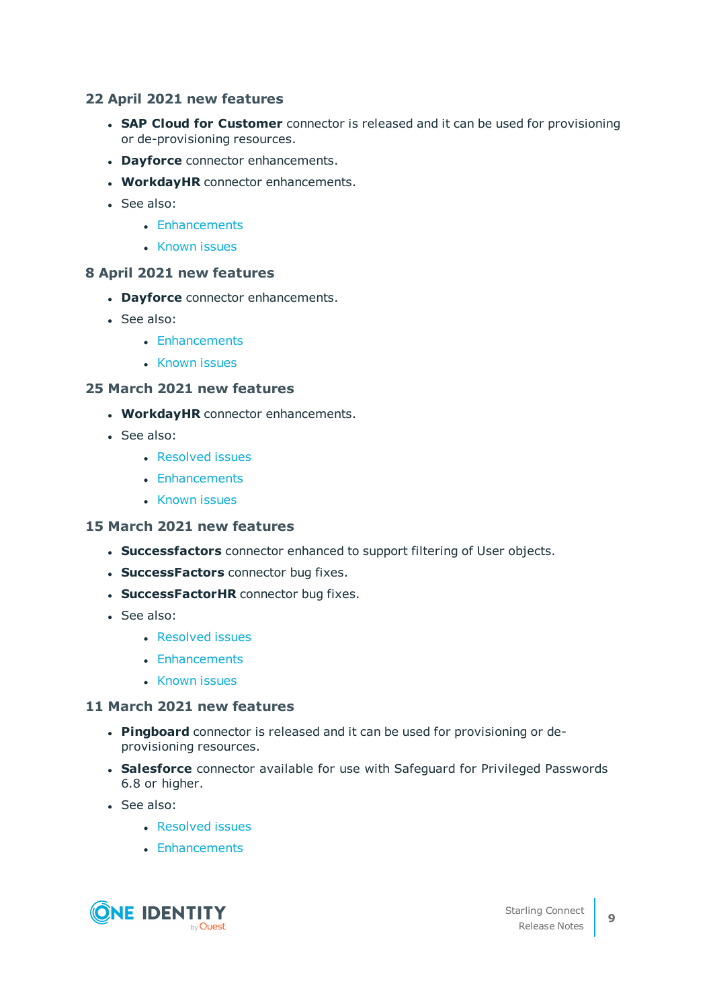# **22 April 2021 new features**

- **. SAP Cloud for Customer** connector is released and it can be used for provisioning or de-provisioning resources.
- **. Dayforce** connector enhancements.
- **WorkdayHR** connector enhancements.
- See also:
	- [Enhancements](#page-21-1)
	- [Known](#page-63-0) issues

# **8 April 2021 new features**

- **. Dayforce** connector enhancements.
- See also:
	- [Enhancements](#page-21-1)
	- [Known](#page-63-0) issues

# **25 March 2021 new features**

- **WorkdayHR** connector enhancements.
- See also:
	- [Resolved](#page-47-1) issues
	- [Enhancements](#page-21-1)
	- [Known](#page-63-0) issues

# **15 March 2021 new features**

- **. Successfactors** connector enhanced to support filtering of User objects.
- **. SuccessFactors** connector bug fixes.
- **. SuccessFactorHR** connector bug fixes.
- $\cdot$  See also:
	- [Resolved](#page-47-1) issues
	- [Enhancements](#page-21-1)
	- [Known](#page-63-0) issues

# **11 March 2021 new features**

- **Pingboard** connector is released and it can be used for provisioning or deprovisioning resources.
- **. Salesforce** connector available for use with Safeguard for Privileged Passwords 6.8 or higher.
- See also:
	- [Resolved](#page-47-1) issues
	- [Enhancements](#page-21-1)

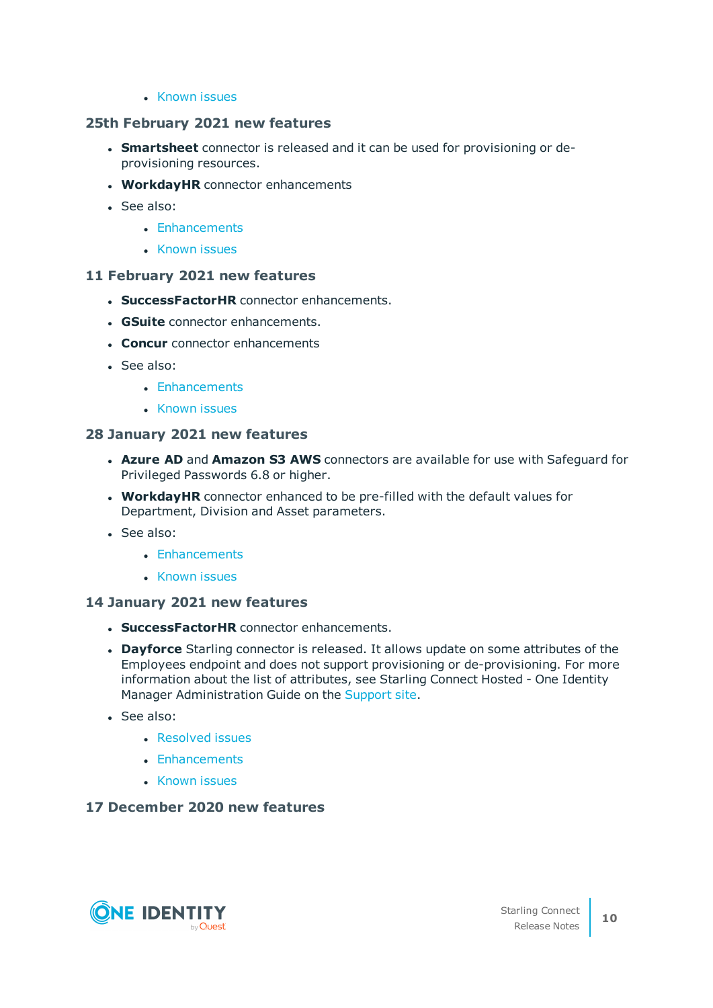• [Known](#page-63-0) issues

# **25th February 2021 new features**

- **. Smartsheet** connector is released and it can be used for provisioning or deprovisioning resources.
- **WorkdayHR** connector enhancements
- . See also:
	- [Enhancements](#page-21-1)
	- [Known](#page-63-0) issues

# **11 February 2021 new features**

- **. SuccessFactorHR** connector enhancements.
- **. GSuite** connector enhancements.
- **Concur** connector enhancements
- See also:
	- [Enhancements](#page-21-1)
	- [Known](#page-63-0) issues

# **28 January 2021 new features**

- <sup>l</sup> **Azure AD** and **Amazon S3 AWS** connectors are available for use with Safeguard for Privileged Passwords 6.8 or higher.
- **WorkdayHR** connector enhanced to be pre-filled with the default values for Department, Division and Asset parameters.
- See also:
	- [Enhancements](#page-21-1)
	- [Known](#page-63-0) issues

# **14 January 2021 new features**

- **SuccessFactorHR** connector enhancements.
- **. Dayforce** Starling connector is released. It allows update on some attributes of the Employees endpoint and does not support provisioning or de-provisioning. For more information about the list of attributes, see Starling Connect Hosted - One Identity Manager Administration Guide on the [Support](https://support.oneidentity.com/technical-documents/starling-connect/hosted/one-identity-manager-administration-guide) site.
- <sup>l</sup> See also:
	- [Resolved](#page-47-1) issues
	- [Enhancements](#page-21-1)
	- [Known](#page-63-0) issues

# **17 December 2020 new features**

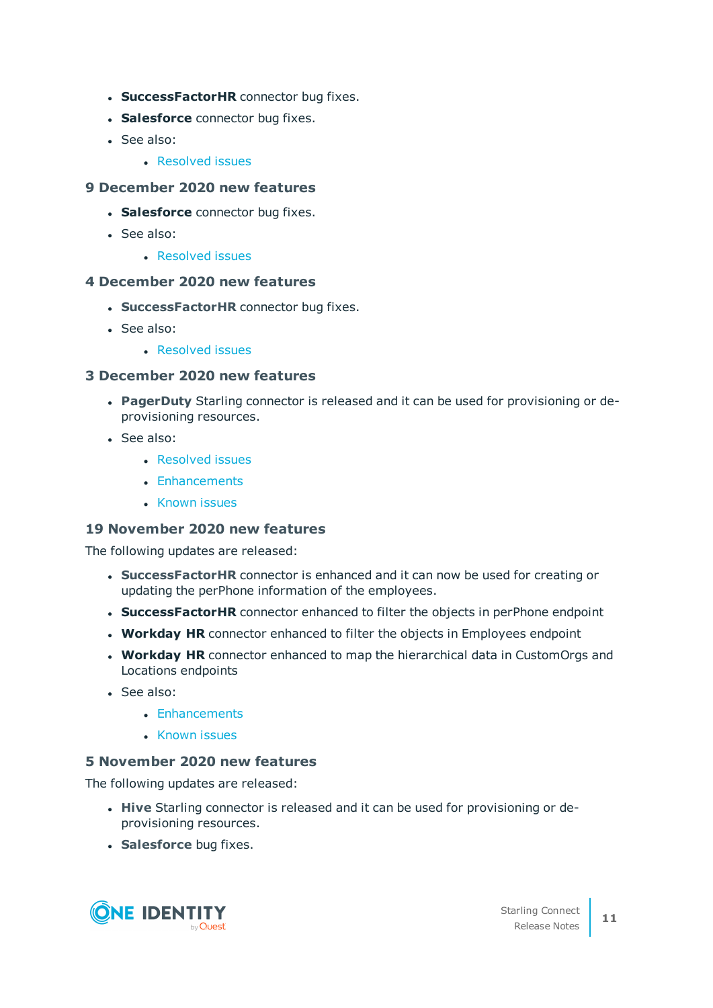- **. SuccessFactorHR** connector bug fixes.
- **. Salesforce** connector bug fixes.
- See also:
	- [Resolved](#page-47-1) issues

#### **9 December 2020 new features**

- **. Salesforce** connector bug fixes.
- See also:
	- [Resolved](#page-47-1) issues

#### **4 December 2020 new features**

- **. SuccessFactorHR** connector bug fixes.
- See also:
	- $\cdot$  [Resolved](#page-47-1) issues

# **3 December 2020 new features**

- **PagerDuty** Starling connector is released and it can be used for provisioning or deprovisioning resources.
- $\cdot$  See also:
	- [Resolved](#page-47-1) issues
	- **[Enhancements](#page-21-1)**
	- [Known](#page-63-0) issues

# **19 November 2020 new features**

The following updates are released:

- **. SuccessFactorHR** connector is enhanced and it can now be used for creating or updating the perPhone information of the employees.
- **. SuccessFactorHR** connector enhanced to filter the objects in perPhone endpoint
- **Workday HR** connector enhanced to filter the objects in Employees endpoint
- **Workday HR** connector enhanced to map the hierarchical data in CustomOrgs and Locations endpoints
- <sup>l</sup> See also:
	- [Enhancements](#page-21-1)
	- [Known](#page-63-0) issues

# **5 November 2020 new features**

- **Hive** Starling connector is released and it can be used for provisioning or deprovisioning resources.
- **. Salesforce** bug fixes.

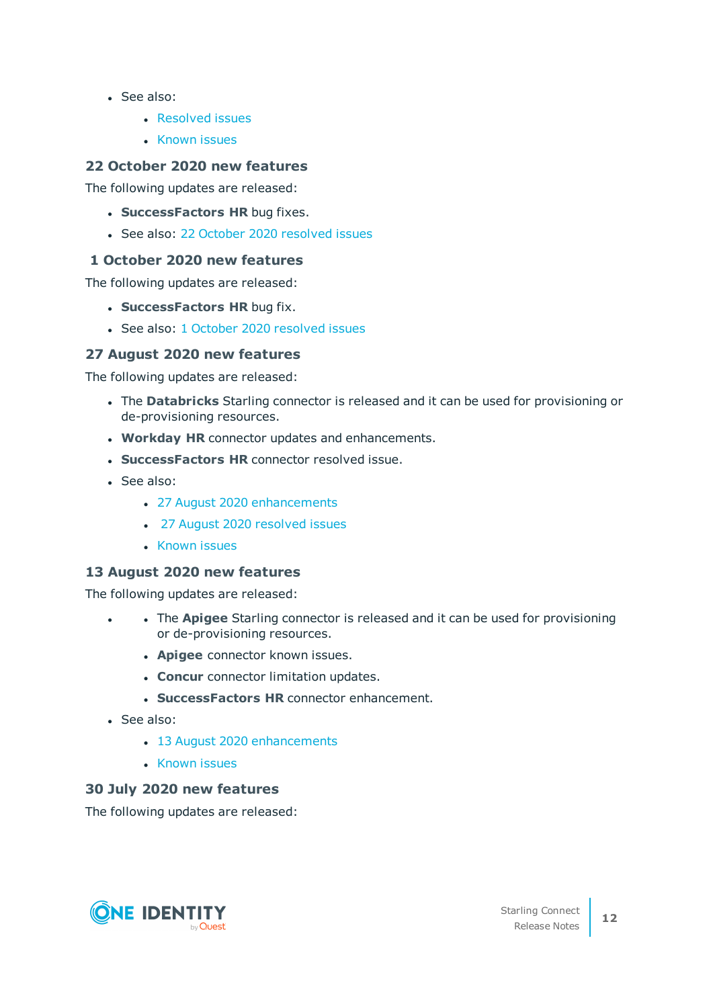- See also:
	- [Resolved](#page-55-0) issues
	- [Known](#page-63-1) issues

# **22 October 2020 new features**

The following updates are released:

- <sup>l</sup> **SuccessFactors HR** bug fixes.
- See also: 22 October 2020 [resolved](#page-55-1) issues

# **1 October 2020 new features**

The following updates are released:

- <sup>l</sup> **SuccessFactors HR** bug fix.
- See also: 1 October 2020 [resolved](#page-56-0) issues

# **27 August 2020 new features**

The following updates are released:

- **.** The Databricks Starling connector is released and it can be used for provisioning or de-provisioning resources.
- **. Workday HR** connector updates and enhancements.
- **. SuccessFactors HR** connector resolved issue.
- <sup>l</sup> See also:
	- 27 August 2020 [enhancements](#page-35-0)
	- 27 August 2020 [resolved](#page-56-1) issues
	- [Known](#page-63-1) issues

# **13 August 2020 new features**

The following updates are released:

- **.** The **Apigee** Starling connector is released and it can be used for provisioning or de-provisioning resources.
	- **Apigee** connector known issues.
	- **Concur** connector limitation updates.
	- <sup>l</sup> **SuccessFactors HR** connector enhancement.
- See also:
	- 13 August 2020 [enhancements](#page-21-1)
	- [Known](#page-63-1) issues

# **30 July 2020 new features**

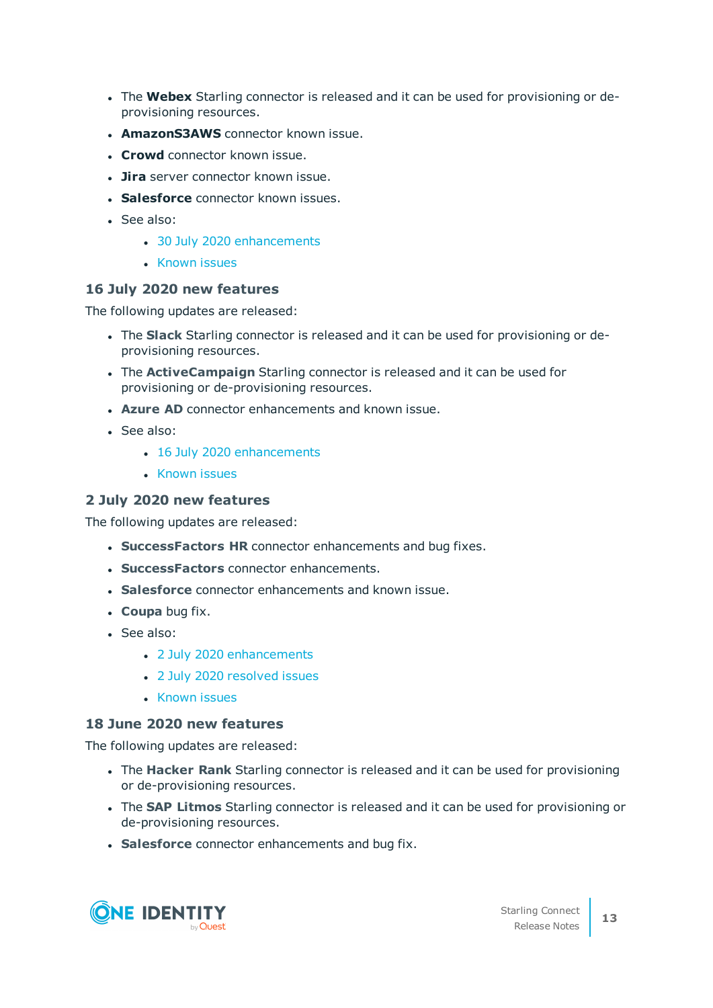- **.** The **Webex** Starling connector is released and it can be used for provisioning or deprovisioning resources.
- **AmazonS3AWS** connector known issue.
- **Crowd** connector known issue.
- **.** Jira server connector known issue.
- **Salesforce** connector known issues.
- . See also:
	- 30 July 2020 [enhancements](#page-21-1)
	- [Known](#page-63-1) issues

#### **16 July 2020 new features**

The following updates are released:

- **.** The **Slack** Starling connector is released and it can be used for provisioning or deprovisioning resources.
- **.** The **ActiveCampaign** Starling connector is released and it can be used for provisioning or de-provisioning resources.
- **Azure AD** connector enhancements and known issue.
- <sup>l</sup> See also:
	- 16 July 2020 [enhancements](#page-36-0)
	- [Known](#page-63-1) issues

# **2 July 2020 new features**

The following updates are released:

- **. SuccessFactors HR** connector enhancements and bug fixes.
- **. SuccessFactors** connector enhancements.
- **Salesforce** connector enhancements and known issue.
- **.** Coupa bug fix.
- See also:
	- 2 July 2020 [enhancements](#page-36-1)
	- 2 July 2020 [resolved](#page-56-2) issues
	- [Known](#page-63-1) issues

# **18 June 2020 new features**

- **.** The Hacker Rank Starling connector is released and it can be used for provisioning or de-provisioning resources.
- <sup>l</sup> The **SAP Litmos** Starling connector is released and it can be used for provisioning or de-provisioning resources.
- **. Salesforce** connector enhancements and bug fix.

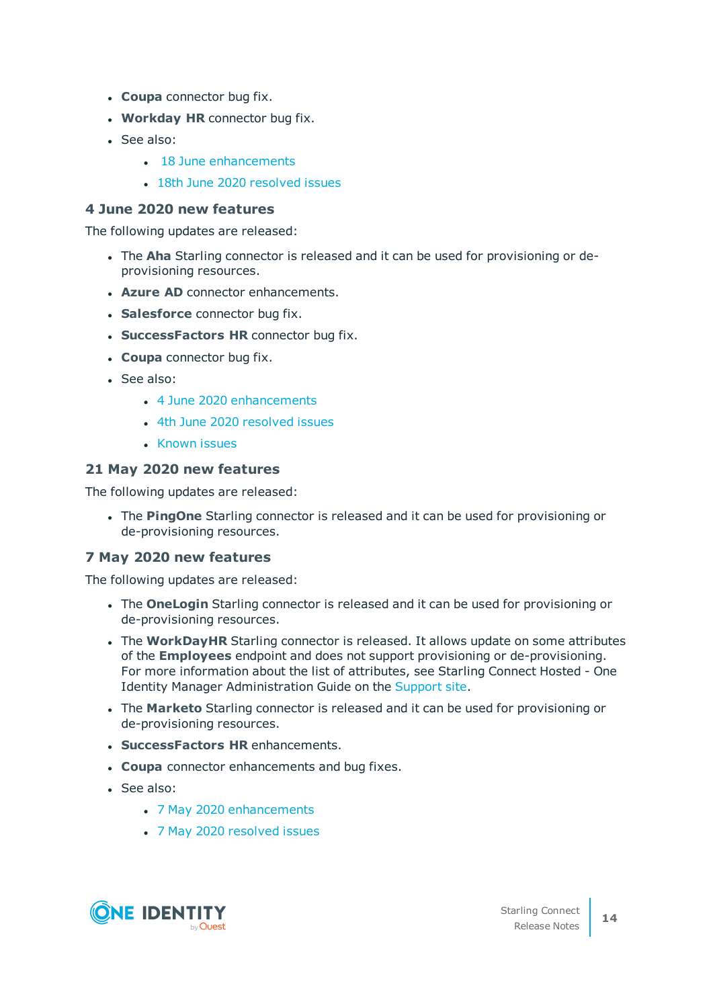- **.** Coupa connector bug fix.
- **. Workday HR** connector bug fix.
- See also:
	- 18 June [enhancements](#page-37-0)
	- 18th June 2020 [resolved](#page-57-0) issues

# **4 June 2020 new features**

The following updates are released:

- <sup>l</sup> The **Aha** Starling connector is released and it can be used for provisioning or deprovisioning resources.
- **Azure AD** connector enhancements.
- **. Salesforce** connector bug fix.
- **. SuccessFactors HR** connector bug fix.
- **.** Coupa connector bug fix.
- See also:
	- 4 June 2020 [enhancements](#page-37-1)
	- 4th June 2020 [resolved](#page-57-1) issues
	- [Known](#page-63-1) issues

# **21 May 2020 new features**

The following updates are released:

**.** The PingOne Starling connector is released and it can be used for provisioning or de-provisioning resources.

# **7 May 2020 new features**

- **.** The **OneLogin** Starling connector is released and it can be used for provisioning or de-provisioning resources.
- The **WorkDayHR** Starling connector is released. It allows update on some attributes of the **Employees** endpoint and does not support provisioning or de-provisioning. For more information about the list of attributes, see Starling Connect Hosted - One Identity Manager Administration Guide on the [Support](https://support.oneidentity.com/technical-documents/starling-connect/hosted/one-identity-manager-administration-guide) site.
- <sup>l</sup> The **Marketo** Starling connector is released and it can be used for provisioning or de-provisioning resources.
- <sup>l</sup> **SuccessFactors HR** enhancements.
- **. Coupa** connector enhancements and bug fixes.
- See also:
	- 7 May 2020 [enhancements](#page-37-2)
	- 7 May 2020 [resolved](#page-57-2) issues

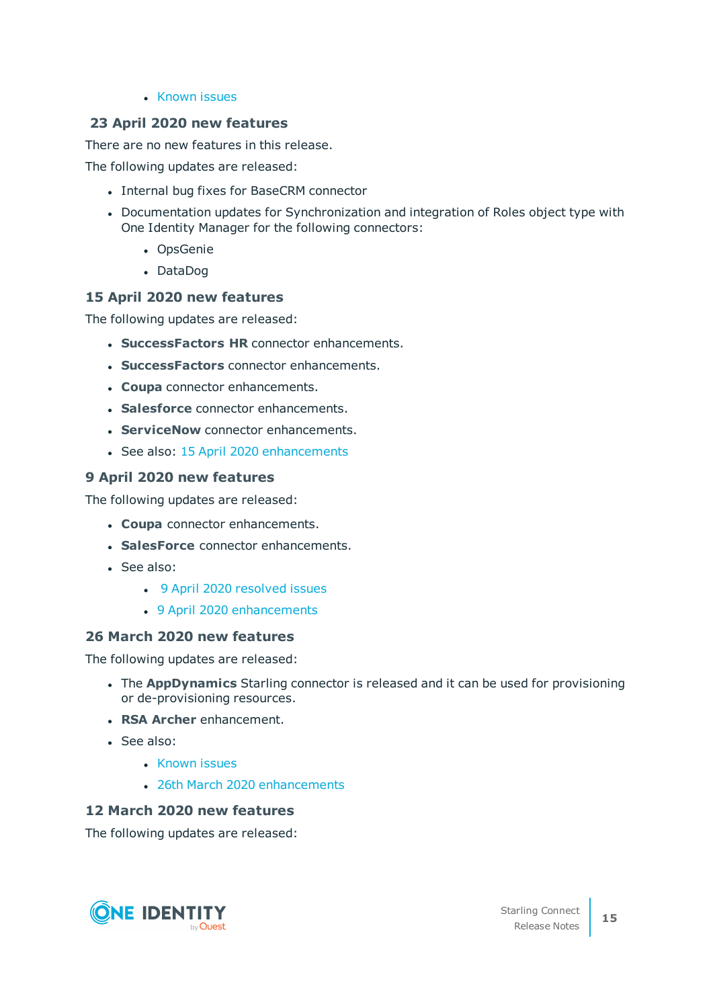#### • [Known](#page-63-1) issues

# **23 April 2020 new features**

There are no new features in this release.

The following updates are released:

- Internal bug fixes for BaseCRM connector
- Documentation updates for Synchronization and integration of Roles object type with One Identity Manager for the following connectors:
	- OpsGenie
	- DataDog

# **15 April 2020 new features**

The following updates are released:

- <sup>l</sup> **SuccessFactors HR** connector enhancements.
- **. SuccessFactors** connector enhancements.
- **. Coupa** connector enhancements.
- **Salesforce** connector enhancements.
- **. ServiceNow** connector enhancements.
- See also: 15 April 2020 [enhancements](#page-38-0)

# **9 April 2020 new features**

The following updates are released:

- **Coupa** connector enhancements.
- **SalesForce** connector enhancements.
- See also:
	- 9 April 2020 [resolved](#page-58-0) issues
	- 9 April 2020 [enhancements](#page-40-0)

# **26 March 2020 new features**

The following updates are released:

- **.** The **AppDynamics** Starling connector is released and it can be used for provisioning or de-provisioning resources.
- **RSA Archer** enhancement.
- See also:
	- [Known](#page-63-1) issues
	- 26th March 2020 [enhancements](#page-40-1)

# **12 March 2020 new features**

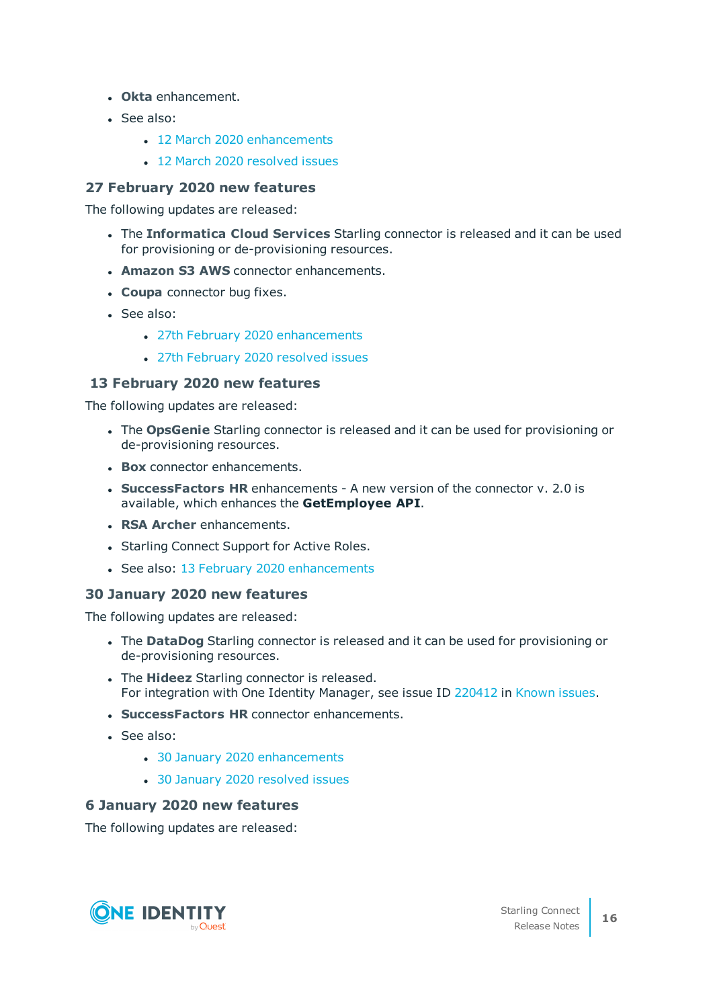- <sup>l</sup> **Okta** enhancement.
- $See$  also:
	- 12 March 2020 [enhancements](#page-41-0)
	- 12 March 2020 [resolved](#page-58-1) issues

# **27 February 2020 new features**

The following updates are released:

- <sup>l</sup> The **Informatica Cloud Services** Starling connector is released and it can be used for provisioning or de-provisioning resources.
- <sup>l</sup> **Amazon S3 AWS** connector enhancements.
- **. Coupa** connector bug fixes.
- See also:
	- 27th February 2020 [enhancements](#page-41-1)
	- 27th [February](#page-58-2) 2020 resolved issues

# **13 February 2020 new features**

The following updates are released:

- **.** The **OpsGenie** Starling connector is released and it can be used for provisioning or de-provisioning resources.
- **Box** connector enhancements.
- **SuccessFactors HR** enhancements A new version of the connector v. 2.0 is available, which enhances the **GetEmployee API**.
- <sup>l</sup> **RSA Archer** enhancements.
- Starling Connect Support for Active Roles.
- See also: 13 February 2020 [enhancements](#page-41-2)

# **30 January 2020 new features**

The following updates are released:

- **.** The DataDog Starling connector is released and it can be used for provisioning or de-provisioning resources.
- **.** The **Hideez** Starling connector is released. For integration with One Identity Manager, see issue ID [220412](#page-64-0) in Known issues.
- <sup>l</sup> **SuccessFactors HR** connector enhancements.
- See also:
	- 30 January 2020 [enhancements](#page-42-0)
	- 30 January 2020 [resolved](#page-58-3) issues

# **6 January 2020 new features**

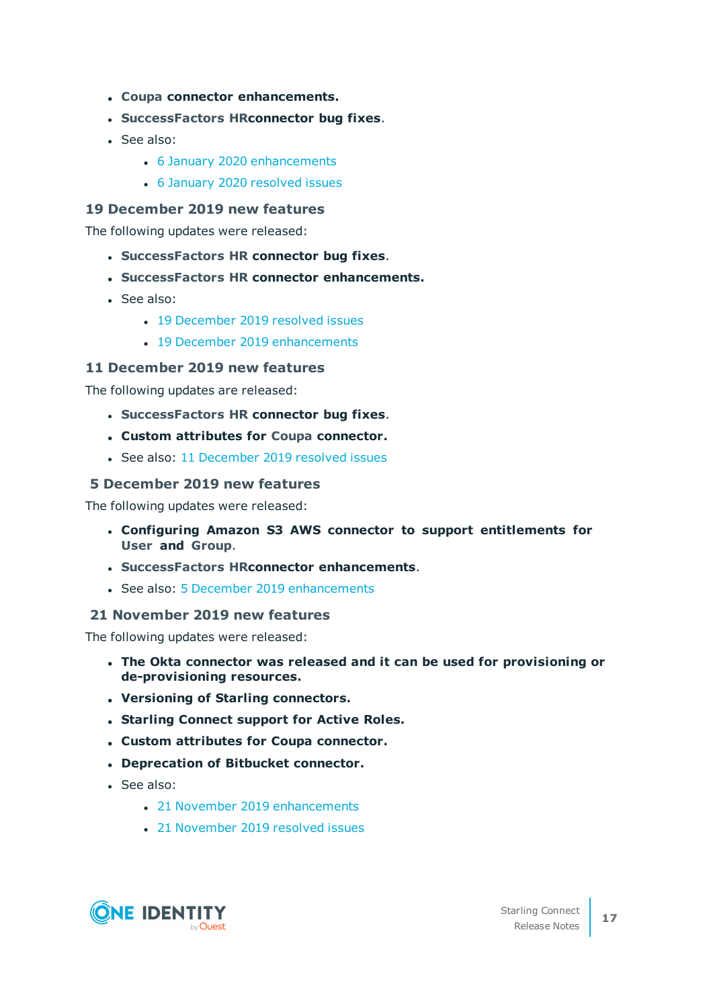- <sup>l</sup> **Coupa connector enhancements.**
- <sup>l</sup> **SuccessFactors HRconnector bug fixes**.
- See also:
	- 6 January 2020 [enhancements](#page-42-1)
	- 6 January 2020 [resolved](#page-59-0) issues

# **19 December 2019 new features**

The following updates were released:

- <sup>l</sup> **SuccessFactors HR connector bug fixes**.
- <sup>l</sup> **SuccessFactors HR connector enhancements.**
- . See also:
	- 19 [December](#page-59-1) 2019 resolved issues
	- 19 December 2019 [enhancements](#page-42-2)

# **11 December 2019 new features**

The following updates are released:

- <sup>l</sup> **SuccessFactors HR connector bug fixes**.
- <sup>l</sup> **Custom attributes for Coupa connector.**
- See also: 11 [December](#page-59-2) 2019 resolved issues

# **5 December 2019 new features**

The following updates were released:

- <sup>l</sup> **Configuring Amazon S3 AWS connector to support entitlements for User and Group**.
- <sup>l</sup> **SuccessFactors HRconnector enhancements**.
- <sup>l</sup> See also: 5 December 2019 [enhancements](#page-42-3)

# **21 November 2019 new features**

- <sup>l</sup> **The Okta connector was released and it can be used for provisioning or de-provisioning resources.**
- <sup>l</sup> **Versioning of Starling connectors.**
- <sup>l</sup> **Starling Connect support for Active Roles.**
- <sup>l</sup> **Custom attributes for Coupa connector.**
- <sup>l</sup> **Deprecation of Bitbucket connector.**
- See also:
	- 21 November 2019 [enhancements](#page-43-0)
	- 21 [November](#page-60-0) 2019 resolved issues

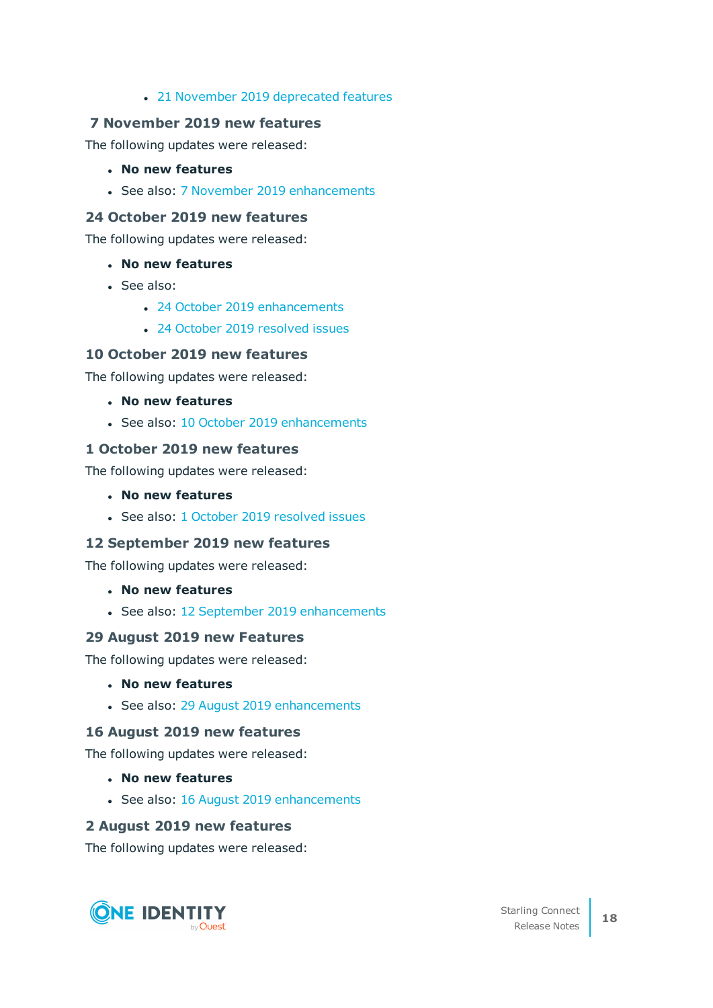# • 21 November 2019 deprecated features

# **7 November 2019 new features**

The following updates were released:

- <sup>l</sup> **No new features**
- See also: 7 November 2019 [enhancements](#page-43-1)

# **24 October 2019 new features**

The following updates were released:

- <sup>l</sup> **No new features**
- <sup>l</sup> See also:
	- 24 October 2019 [enhancements](#page-44-0)
	- 24 October 2019 [resolved](#page-60-1) issues

# **10 October 2019 new features**

The following updates were released:

- <sup>l</sup> **No new features**
- See also: 10 October 2019 [enhancements](#page-44-1)

# **1 October 2019 new features**

The following updates were released:

- <sup>l</sup> **No new features**
- See also: 1 October 2019 [resolved](#page-60-2) issues

# **12 September 2019 new features**

The following updates were released:

- <sup>l</sup> **No new features**
- See also: 12 September 2019 [enhancements](#page-45-0)

# **29 August 2019 new Features**

The following updates were released:

- <sup>l</sup> **No new features**
- See also: 29 August 2019 [enhancements](#page-45-1)

# **16 August 2019 new features**

The following updates were released:

- <sup>l</sup> **No new features**
- See also: 16 August 2019 [enhancements](#page-46-0)

# **2 August 2019 new features**

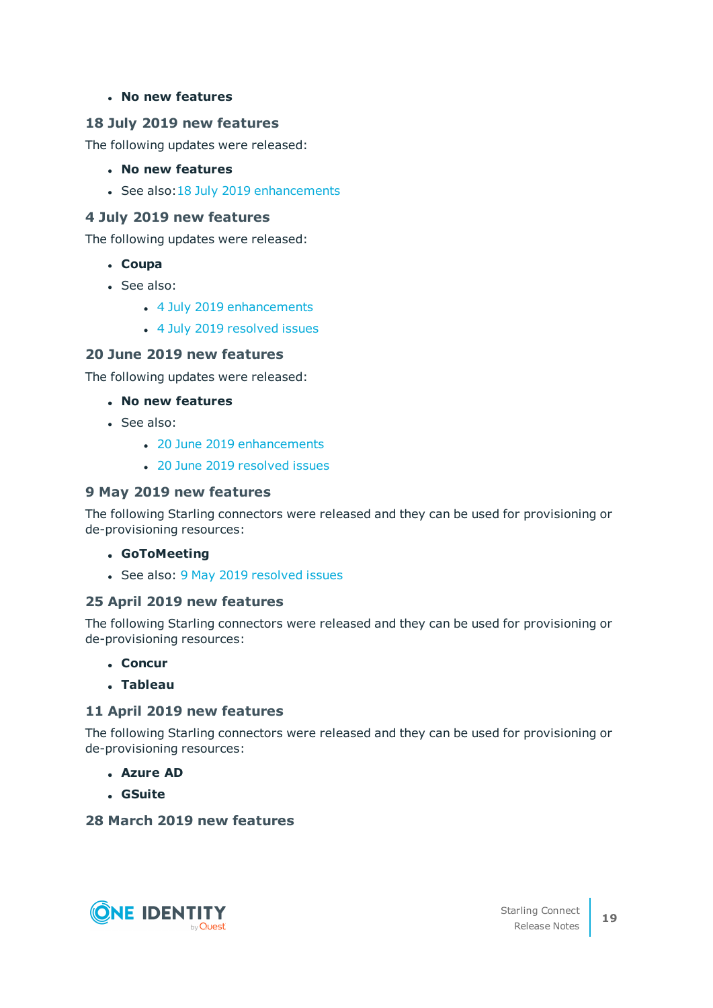#### <sup>l</sup> **No new features**

# **18 July 2019 new features**

The following updates were released:

- <sup>l</sup> **No new features**
- See also:18 July 2019 [enhancements](#page-46-1)

# **4 July 2019 new features**

The following updates were released:

- <sup>l</sup> **Coupa**
- See also:
	- 4 July 2019 [enhancements](#page-46-2)
	- 4 July 2019 [resolved](#page-60-3) issues

# **20 June 2019 new features**

The following updates were released:

- <sup>l</sup> **No new features**
- See also:
	- 20 June 2019 [enhancements](#page-47-2)
	- 20 June 2019 [resolved](#page-61-0) issues

# **9 May 2019 new features**

The following Starling connectors were released and they can be used for provisioning or de-provisioning resources:

- <sup>l</sup> **GoToMeeting**
- See also: 9 May 2019 [resolved](#page-61-1) issues

# **25 April 2019 new features**

The following Starling connectors were released and they can be used for provisioning or de-provisioning resources:

- <sup>l</sup> **Concur**
- <sup>l</sup> **Tableau**

# **11 April 2019 new features**

The following Starling connectors were released and they can be used for provisioning or de-provisioning resources:

- <sup>l</sup> **Azure AD**
- <sup>l</sup> **GSuite**

# **28 March 2019 new features**

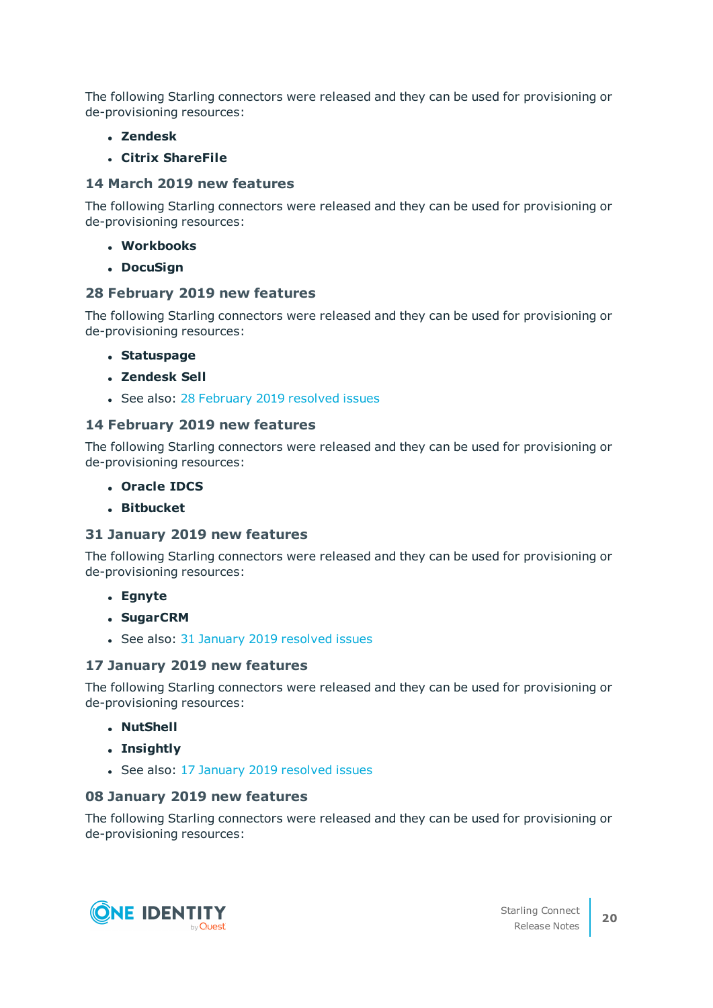The following Starling connectors were released and they can be used for provisioning or de-provisioning resources:

- <sup>l</sup> **Zendesk**
- <sup>l</sup> **Citrix ShareFile**

### **14 March 2019 new features**

The following Starling connectors were released and they can be used for provisioning or de-provisioning resources:

- <sup>l</sup> **Workbooks**
- <sup>l</sup> **DocuSign**

#### **28 February 2019 new features**

The following Starling connectors were released and they can be used for provisioning or de-provisioning resources:

- <sup>l</sup> **Statuspage**
- <sup>l</sup> **Zendesk Sell**
- See also: 28 [February](#page-61-2) 2019 resolved issues

# **14 February 2019 new features**

The following Starling connectors were released and they can be used for provisioning or de-provisioning resources:

- <sup>l</sup> **Oracle IDCS**
- **.** Bitbucket

#### **31 January 2019 new features**

The following Starling connectors were released and they can be used for provisioning or de-provisioning resources:

- <sup>l</sup> **Egnyte**
- <sup>l</sup> **SugarCRM**
- See also: 31 January 2019 [resolved](#page-61-3) issues

# **17 January 2019 new features**

The following Starling connectors were released and they can be used for provisioning or de-provisioning resources:

- **.** NutShell
- <sup>l</sup> **Insightly**
- See also: 17 January 2019 [resolved](#page-62-0) issues

# **08 January 2019 new features**

The following Starling connectors were released and they can be used for provisioning or de-provisioning resources:

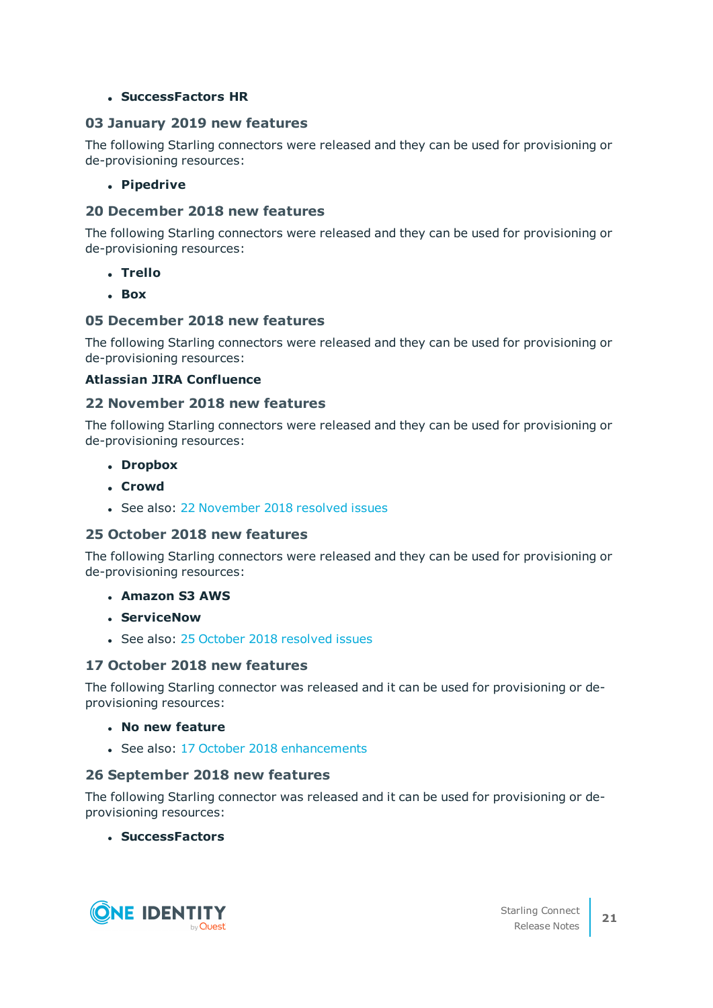#### <sup>l</sup> **SuccessFactors HR**

#### **03 January 2019 new features**

The following Starling connectors were released and they can be used for provisioning or de-provisioning resources:

<sup>l</sup> **Pipedrive**

#### **20 December 2018 new features**

The following Starling connectors were released and they can be used for provisioning or de-provisioning resources:

- <sup>l</sup> **Trello**
- <sup>l</sup> **Box**

#### **05 December 2018 new features**

The following Starling connectors were released and they can be used for provisioning or de-provisioning resources:

#### **Atlassian JIRA Confluence**

#### **22 November 2018 new features**

The following Starling connectors were released and they can be used for provisioning or de-provisioning resources:

- <sup>l</sup> **Dropbox**
- <sup>l</sup> **Crowd**
- See also: 22 [November](#page-62-1) 2018 resolved issues

# **25 October 2018 new features**

The following Starling connectors were released and they can be used for provisioning or de-provisioning resources:

- <sup>l</sup> **Amazon S3 AWS**
- <sup>l</sup> **ServiceNow**
- See also: 25 October 2018 [resolved](#page-62-2) issues

# **17 October 2018 new features**

The following Starling connector was released and it can be used for provisioning or deprovisioning resources:

- <sup>l</sup> **No new feature**
- See also: 17 October 2018 [enhancements](#page-47-3)

# **26 September 2018 new features**

The following Starling connector was released and it can be used for provisioning or deprovisioning resources:

<sup>l</sup> **SuccessFactors**

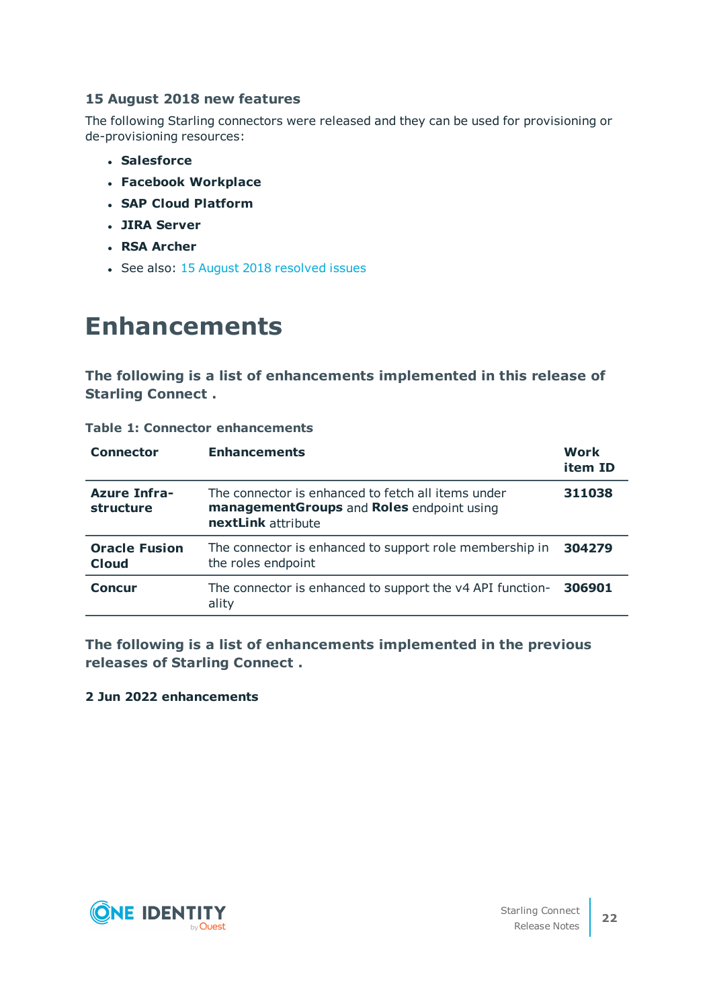# **15 August 2018 new features**

The following Starling connectors were released and they can be used for provisioning or de-provisioning resources:

- <sup>l</sup> **Salesforce**
- <sup>l</sup> **Facebook Workplace**
- <sup>l</sup> **SAP Cloud Platform**
- <sup>l</sup> **JIRA Server**
- <sup>l</sup> **RSA Archer**
- See also: 15 August 2018 [resolved](#page-62-3) issues

# <span id="page-21-1"></span>**Enhancements**

**The following is a list of enhancements implemented in this release of Starling Connect .**

| <b>Connector</b>                     | <b>Enhancements</b>                                                                                                   | <b>Work</b><br>item ID |
|--------------------------------------|-----------------------------------------------------------------------------------------------------------------------|------------------------|
| <b>Azure Infra-</b><br>structure     | The connector is enhanced to fetch all items under<br>managementGroups and Roles endpoint using<br>nextLink attribute | 311038                 |
| <b>Oracle Fusion</b><br><b>Cloud</b> | The connector is enhanced to support role membership in<br>the roles endpoint                                         | 304279                 |
| <b>Concur</b>                        | The connector is enhanced to support the v4 API function-<br>ality                                                    | 306901                 |

### <span id="page-21-0"></span>**Table 1: Connector enhancements**

**The following is a list of enhancements implemented in the previous releases of Starling Connect .**

# **2 Jun 2022 enhancements**



**22**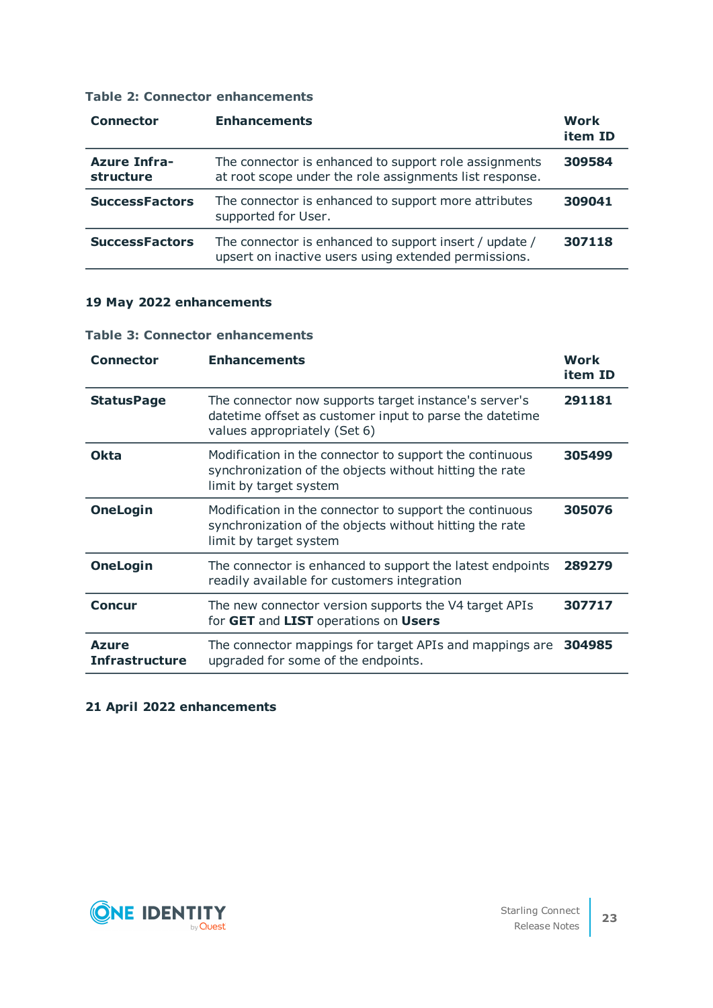#### **Table 2: Connector enhancements**

| <b>Connector</b>                 | <b>Enhancements</b>                                                                                              | Work<br>item ID |
|----------------------------------|------------------------------------------------------------------------------------------------------------------|-----------------|
| <b>Azure Infra-</b><br>structure | The connector is enhanced to support role assignments<br>at root scope under the role assignments list response. | 309584          |
| <b>SuccessFactors</b>            | The connector is enhanced to support more attributes<br>supported for User.                                      | 309041          |
| <b>SuccessFactors</b>            | The connector is enhanced to support insert / update /<br>upsert on inactive users using extended permissions.   | 307118          |

# **19 May 2022 enhancements**

# **Table 3: Connector enhancements**

| <b>Connector</b>                      | <b>Enhancements</b>                                                                                                                              | <b>Work</b><br>item ID |
|---------------------------------------|--------------------------------------------------------------------------------------------------------------------------------------------------|------------------------|
| <b>StatusPage</b>                     | The connector now supports target instance's server's<br>datetime offset as customer input to parse the datetime<br>values appropriately (Set 6) | 291181                 |
| <b>Okta</b>                           | Modification in the connector to support the continuous<br>synchronization of the objects without hitting the rate<br>limit by target system     | 305499                 |
| <b>OneLogin</b>                       | Modification in the connector to support the continuous<br>synchronization of the objects without hitting the rate<br>limit by target system     | 305076                 |
| <b>OneLogin</b>                       | The connector is enhanced to support the latest endpoints<br>readily available for customers integration                                         | 289279                 |
| <b>Concur</b>                         | The new connector version supports the V4 target APIs<br>for GET and LIST operations on Users                                                    | 307717                 |
| <b>Azure</b><br><b>Infrastructure</b> | The connector mappings for target APIs and mappings are<br>upgraded for some of the endpoints.                                                   | 304985                 |

# **21 April 2022 enhancements**

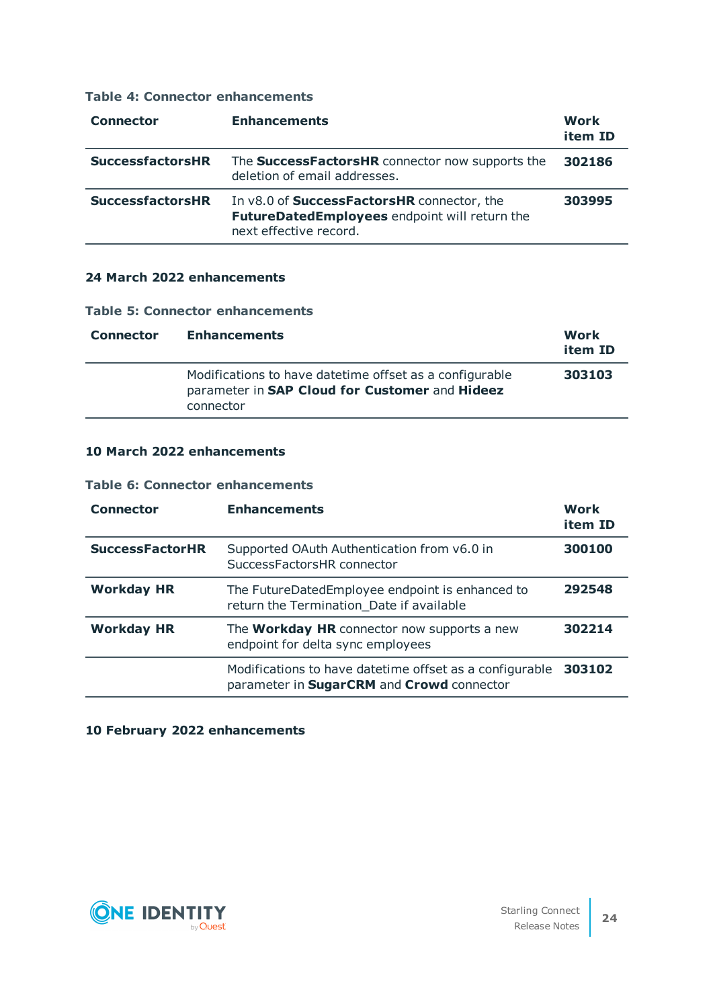#### **Table 4: Connector enhancements**

| <b>Connector</b>        | <b>Enhancements</b>                                                                                                   | Work<br>item ID |
|-------------------------|-----------------------------------------------------------------------------------------------------------------------|-----------------|
| <b>SuccessfactorsHR</b> | The SuccessFactorsHR connector now supports the<br>deletion of email addresses.                                       | 302186          |
| <b>SuccessfactorsHR</b> | In v8.0 of SuccessFactorsHR connector, the<br>FutureDatedEmployees endpoint will return the<br>next effective record. | 303995          |

# <span id="page-23-0"></span>**24 March 2022 enhancements**

#### **Table 5: Connector enhancements**

| <b>Connector</b> | <b>Enhancements</b>                                                                                                    | Work<br>item ID |
|------------------|------------------------------------------------------------------------------------------------------------------------|-----------------|
|                  | Modifications to have datetime offset as a configurable<br>parameter in SAP Cloud for Customer and Hideez<br>connector | 303103          |

### <span id="page-23-1"></span>**10 March 2022 enhancements**

#### **Table 6: Connector enhancements**

| <b>Connector</b>       | <b>Enhancements</b>                                                                                  | Work<br>item ID |
|------------------------|------------------------------------------------------------------------------------------------------|-----------------|
| <b>SuccessFactorHR</b> | Supported OAuth Authentication from v6.0 in<br>SuccessFactorsHR connector                            | 300100          |
| <b>Workday HR</b>      | The FutureDatedEmployee endpoint is enhanced to<br>return the Termination_Date if available          | 292548          |
| <b>Workday HR</b>      | The <b>Workday HR</b> connector now supports a new<br>endpoint for delta sync employees              | 302214          |
|                        | Modifications to have datetime offset as a configurable<br>parameter in SugarCRM and Crowd connector | 303102          |

#### <span id="page-23-2"></span>**10 February 2022 enhancements**

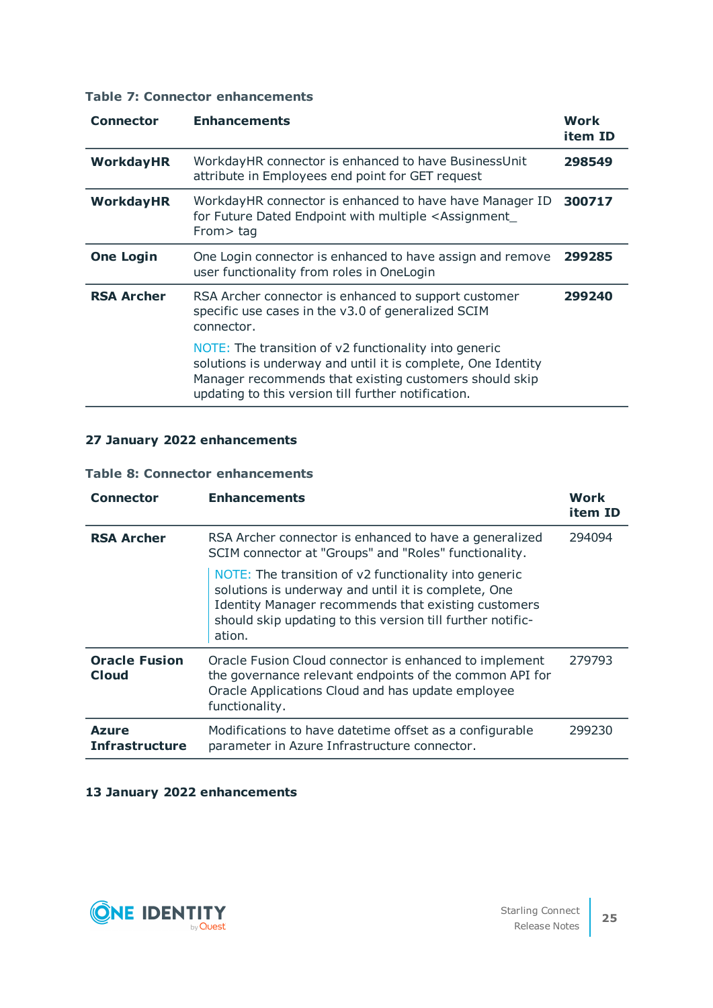# **Table 7: Connector enhancements**

| <b>Connector</b>  | <b>Enhancements</b>                                                                                                                                                                                                                    | Work<br>item ID |
|-------------------|----------------------------------------------------------------------------------------------------------------------------------------------------------------------------------------------------------------------------------------|-----------------|
| <b>WorkdayHR</b>  | WorkdayHR connector is enhanced to have BusinessUnit<br>attribute in Employees end point for GET request                                                                                                                               | 298549          |
| <b>WorkdayHR</b>  | WorkdayHR connector is enhanced to have have Manager ID<br>for Future Dated Endpoint with multiple <assignment<br>From&gt; tag</assignment<br>                                                                                         | 300717          |
| <b>One Login</b>  | One Login connector is enhanced to have assign and remove<br>user functionality from roles in OneLogin                                                                                                                                 | 299285          |
| <b>RSA Archer</b> | RSA Archer connector is enhanced to support customer<br>specific use cases in the v3.0 of generalized SCIM<br>connector.                                                                                                               | 299240          |
|                   | NOTE: The transition of v2 functionality into generic<br>solutions is underway and until it is complete, One Identity<br>Manager recommends that existing customers should skip<br>updating to this version till further notification. |                 |

# **27 January 2022 enhancements**

# **Table 8: Connector enhancements**

| <b>Connector</b>                      | <b>Enhancements</b>                                                                                                                                                                                                                         | Work<br>item ID |
|---------------------------------------|---------------------------------------------------------------------------------------------------------------------------------------------------------------------------------------------------------------------------------------------|-----------------|
| <b>RSA Archer</b>                     | RSA Archer connector is enhanced to have a generalized<br>SCIM connector at "Groups" and "Roles" functionality.                                                                                                                             | 294094          |
|                                       | NOTE: The transition of v2 functionality into generic<br>solutions is underway and until it is complete, One<br>Identity Manager recommends that existing customers<br>should skip updating to this version till further notific-<br>ation. |                 |
| <b>Oracle Fusion</b><br>Cloud         | Oracle Fusion Cloud connector is enhanced to implement<br>the governance relevant endpoints of the common API for<br>Oracle Applications Cloud and has update employee<br>functionality.                                                    | 279793          |
| <b>Azure</b><br><b>Infrastructure</b> | Modifications to have datetime offset as a configurable<br>parameter in Azure Infrastructure connector.                                                                                                                                     | 299230          |

# <span id="page-24-0"></span>**13 January 2022 enhancements**

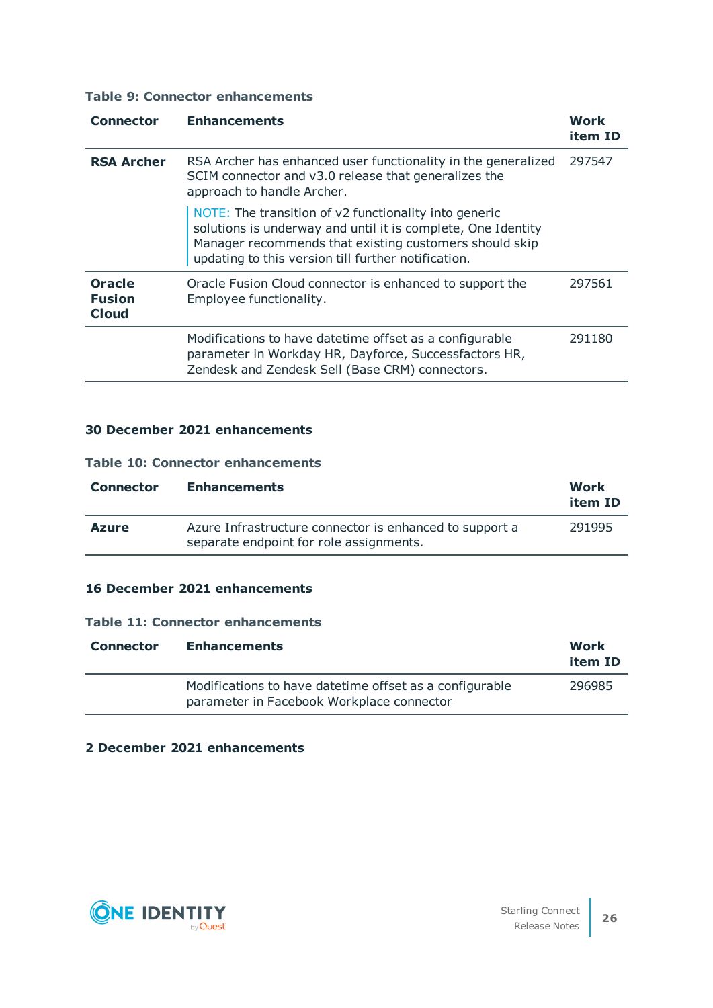#### **Table 9: Connector enhancements**

| <b>Connector</b>                               | <b>Enhancements</b>                                                                                                                                                                                                                    | Work<br>item ID |
|------------------------------------------------|----------------------------------------------------------------------------------------------------------------------------------------------------------------------------------------------------------------------------------------|-----------------|
| <b>RSA Archer</b>                              | RSA Archer has enhanced user functionality in the generalized<br>SCIM connector and v3.0 release that generalizes the<br>approach to handle Archer.                                                                                    | 297547          |
|                                                | NOTE: The transition of v2 functionality into generic<br>solutions is underway and until it is complete, One Identity<br>Manager recommends that existing customers should skip<br>updating to this version till further notification. |                 |
| <b>Oracle</b><br><b>Fusion</b><br><b>Cloud</b> | Oracle Fusion Cloud connector is enhanced to support the<br>Employee functionality.                                                                                                                                                    | 297561          |
|                                                | Modifications to have datetime offset as a configurable<br>parameter in Workday HR, Dayforce, Successfactors HR,<br>Zendesk and Zendesk Sell (Base CRM) connectors.                                                                    | 291180          |

#### <span id="page-25-0"></span>**30 December 2021 enhancements**

#### **Table 10: Connector enhancements**

| <b>Connector</b> | <b>Enhancements</b>                                                                                | Work<br>item ID |
|------------------|----------------------------------------------------------------------------------------------------|-----------------|
| <b>Azure</b>     | Azure Infrastructure connector is enhanced to support a<br>separate endpoint for role assignments. | 291995          |

# <span id="page-25-1"></span>**16 December 2021 enhancements**

#### **Table 11: Connector enhancements**

| <b>Connector</b> | <b>Enhancements</b>                                                                                   | Work<br>item ID |
|------------------|-------------------------------------------------------------------------------------------------------|-----------------|
|                  | Modifications to have date time offset as a configurable<br>parameter in Facebook Workplace connector | 296985          |

# <span id="page-25-2"></span>**2 December 2021 enhancements**

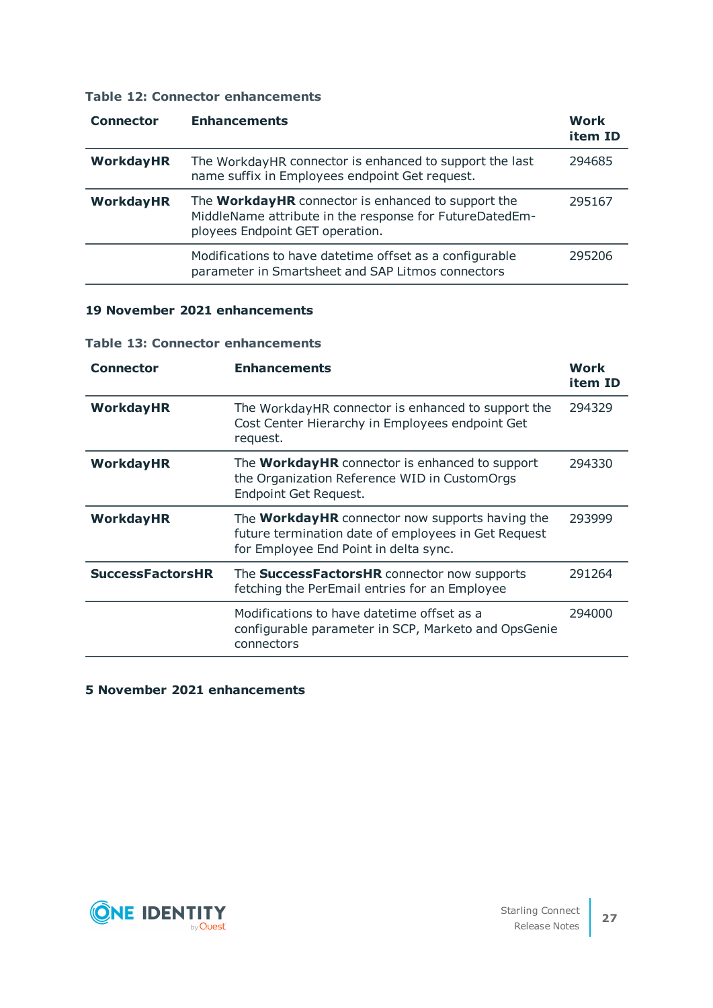#### **Table 12: Connector enhancements**

| <b>Connector</b> | <b>Enhancements</b>                                                                                                                                     | Work<br>item ID |
|------------------|---------------------------------------------------------------------------------------------------------------------------------------------------------|-----------------|
| <b>WorkdayHR</b> | The WorkdayHR connector is enhanced to support the last<br>name suffix in Employees endpoint Get request.                                               | 294685          |
| <b>WorkdayHR</b> | The <b>WorkdayHR</b> connector is enhanced to support the<br>MiddleName attribute in the response for FutureDatedEm-<br>ployees Endpoint GET operation. | 295167          |
|                  | Modifications to have datetime offset as a configurable<br>parameter in Smartsheet and SAP Litmos connectors                                            | 295206          |

# <span id="page-26-0"></span>**19 November 2021 enhancements**

#### **Table 13: Connector enhancements**

| <b>Connector</b>        | <b>Enhancements</b>                                                                                                                                    | Work<br>item ID |
|-------------------------|--------------------------------------------------------------------------------------------------------------------------------------------------------|-----------------|
| <b>WorkdayHR</b>        | The WorkdayHR connector is enhanced to support the<br>Cost Center Hierarchy in Employees endpoint Get<br>request.                                      | 294329          |
| <b>WorkdayHR</b>        | The <b>WorkdayHR</b> connector is enhanced to support<br>the Organization Reference WID in CustomOrgs<br>Endpoint Get Request.                         | 294330          |
| <b>WorkdayHR</b>        | The <b>WorkdayHR</b> connector now supports having the<br>future termination date of employees in Get Request<br>for Employee End Point in delta sync. | 293999          |
| <b>SuccessFactorsHR</b> | The <b>SuccessFactorsHR</b> connector now supports<br>fetching the PerEmail entries for an Employee                                                    | 291264          |
|                         | Modifications to have datetime offset as a<br>configurable parameter in SCP, Marketo and OpsGenie<br>connectors                                        | 294000          |

# <span id="page-26-1"></span>**5 November 2021 enhancements**

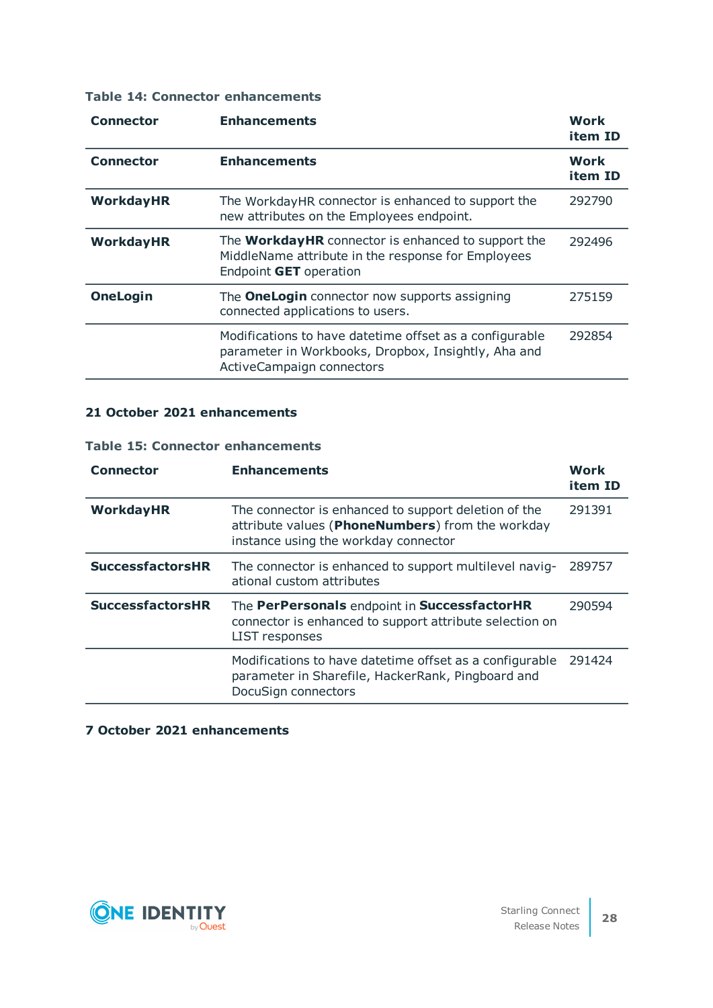# **Table 14: Connector enhancements**

| <b>Connector</b> | <b>Enhancements</b>                                                                                                                         | <b>Work</b><br>item ID |
|------------------|---------------------------------------------------------------------------------------------------------------------------------------------|------------------------|
| <b>Connector</b> | <b>Enhancements</b>                                                                                                                         | Work<br>item ID        |
| <b>WorkdayHR</b> | The WorkdayHR connector is enhanced to support the<br>new attributes on the Employees endpoint.                                             | 292790                 |
| <b>WorkdayHR</b> | The <b>WorkdayHR</b> connector is enhanced to support the<br>MiddleName attribute in the response for Employees<br>Endpoint GET operation   | 292496                 |
| <b>OneLogin</b>  | The <b>OneLogin</b> connector now supports assigning<br>connected applications to users.                                                    | 275159                 |
|                  | Modifications to have datetime offset as a configurable<br>parameter in Workbooks, Dropbox, Insightly, Aha and<br>ActiveCampaign connectors | 292854                 |

# <span id="page-27-0"></span>**21 October 2021 enhancements**

#### **Table 15: Connector enhancements**

| <b>Connector</b>        | <b>Enhancements</b>                                                                                                                              | Work<br>item ID |
|-------------------------|--------------------------------------------------------------------------------------------------------------------------------------------------|-----------------|
| <b>WorkdayHR</b>        | The connector is enhanced to support deletion of the<br>attribute values (PhoneNumbers) from the workday<br>instance using the workday connector | 291391          |
| <b>SuccessfactorsHR</b> | The connector is enhanced to support multilevel navig-<br>ational custom attributes                                                              | 289757          |
| <b>SuccessfactorsHR</b> | The PerPersonals endpoint in SuccessfactorHR<br>connector is enhanced to support attribute selection on<br><b>LIST responses</b>                 | 290594          |
|                         | Modifications to have datetime offset as a configurable<br>parameter in Sharefile, HackerRank, Pingboard and<br>DocuSign connectors              | 291424          |

#### <span id="page-27-1"></span>**7 October 2021 enhancements**

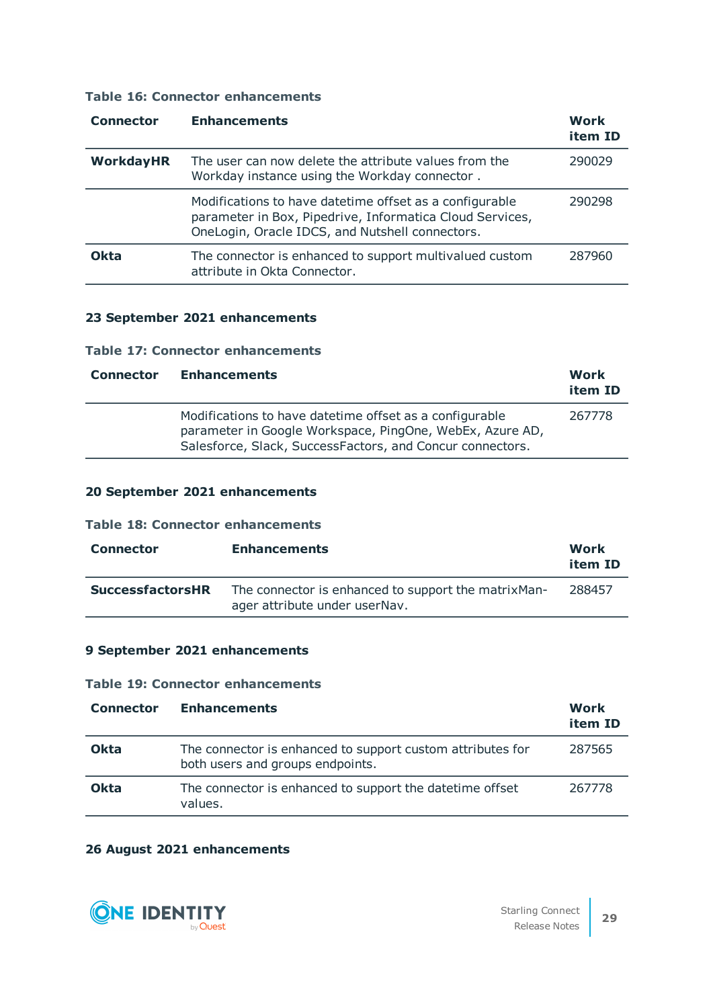#### **Table 16: Connector enhancements**

| <b>Connector</b> | <b>Enhancements</b>                                                                                                                                                    | Work<br>item ID |
|------------------|------------------------------------------------------------------------------------------------------------------------------------------------------------------------|-----------------|
| <b>WorkdayHR</b> | The user can now delete the attribute values from the<br>Workday instance using the Workday connector.                                                                 | 290029          |
|                  | Modifications to have datetime offset as a configurable<br>parameter in Box, Pipedrive, Informatica Cloud Services,<br>OneLogin, Oracle IDCS, and Nutshell connectors. | 290298          |
| Okta             | The connector is enhanced to support multivalued custom<br>attribute in Okta Connector.                                                                                | 287960          |

# <span id="page-28-0"></span>**23 September 2021 enhancements**

#### **Table 17: Connector enhancements**

| <b>Connector</b> | <b>Enhancements</b>                                                                                                                                                              | Work<br>item ID |
|------------------|----------------------------------------------------------------------------------------------------------------------------------------------------------------------------------|-----------------|
|                  | Modifications to have datetime offset as a configurable<br>parameter in Google Workspace, PingOne, WebEx, Azure AD,<br>Salesforce, Slack, SuccessFactors, and Concur connectors. | 267778          |

### <span id="page-28-1"></span>**20 September 2021 enhancements**

#### **Table 18: Connector enhancements**

| <b>Connector</b>        | <b>Enhancements</b>                                                                   | Work<br>item ID |
|-------------------------|---------------------------------------------------------------------------------------|-----------------|
| <b>SuccessfactorsHR</b> | The connector is enhanced to support the matrix Man-<br>ager attribute under userNav. | 288457          |

# **9 September 2021 enhancements**

#### **Table 19: Connector enhancements**

| <b>Connector</b> | <b>Enhancements</b>                                                                            | Work<br>item ID |
|------------------|------------------------------------------------------------------------------------------------|-----------------|
| Okta             | The connector is enhanced to support custom attributes for<br>both users and groups endpoints. | 287565          |
| <b>Okta</b>      | The connector is enhanced to support the datetime offset<br>values.                            | 267778          |

#### <span id="page-28-2"></span>**26 August 2021 enhancements**

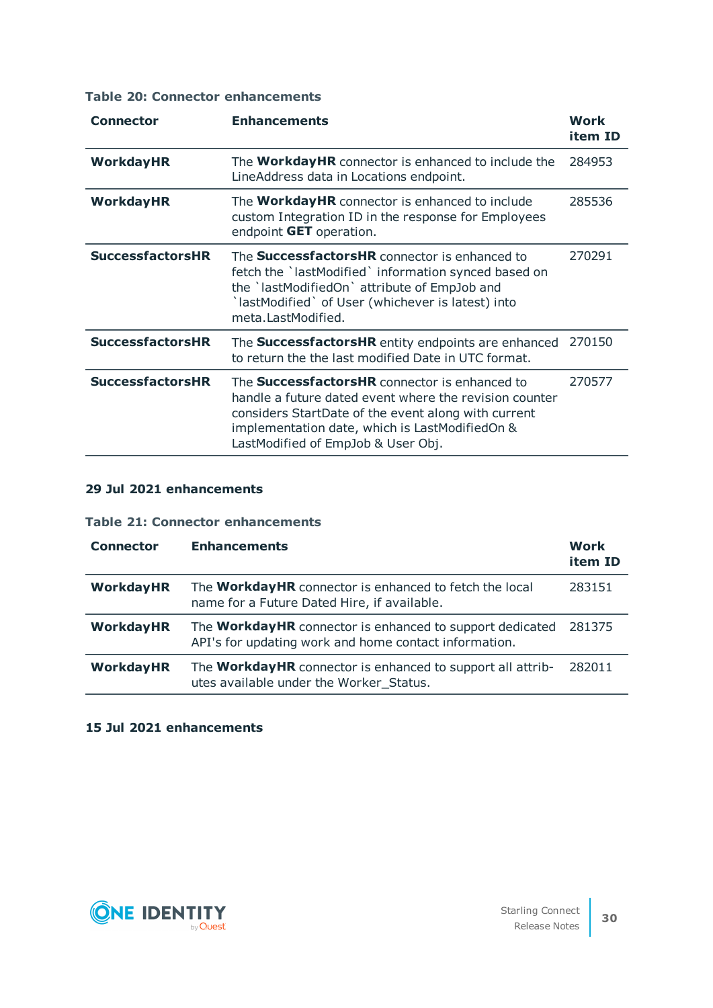### **Table 20: Connector enhancements**

| <b>Connector</b>        | <b>Enhancements</b>                                                                                                                                                                                                                                           | <b>Work</b><br>item ID |
|-------------------------|---------------------------------------------------------------------------------------------------------------------------------------------------------------------------------------------------------------------------------------------------------------|------------------------|
| WorkdayHR               | The <b>WorkdayHR</b> connector is enhanced to include the<br>LineAddress data in Locations endpoint.                                                                                                                                                          | 284953                 |
| <b>WorkdayHR</b>        | The WorkdayHR connector is enhanced to include<br>custom Integration ID in the response for Employees<br>endpoint <b>GET</b> operation.                                                                                                                       | 285536                 |
| <b>SuccessfactorsHR</b> | The SuccessfactorsHR connector is enhanced to<br>fetch the `lastModified` information synced based on<br>the `lastModifiedOn` attribute of EmpJob and<br>`lastModified` of User (whichever is latest) into<br>meta.LastModified.                              | 270291                 |
| <b>SuccessfactorsHR</b> | The SuccessfactorsHR entity endpoints are enhanced<br>to return the the last modified Date in UTC format.                                                                                                                                                     | 270150                 |
| <b>SuccessfactorsHR</b> | The <b>SuccessfactorsHR</b> connector is enhanced to<br>handle a future dated event where the revision counter<br>considers StartDate of the event along with current<br>implementation date, which is LastModifiedOn &<br>LastModified of EmpJob & User Obj. | 270577                 |

### **29 Jul 2021 enhancements**

# **Table 21: Connector enhancements**

| <b>Connector</b> | <b>Enhancements</b>                                                                                                      | Work<br>item ID |
|------------------|--------------------------------------------------------------------------------------------------------------------------|-----------------|
| <b>WorkdayHR</b> | The <b>WorkdayHR</b> connector is enhanced to fetch the local<br>name for a Future Dated Hire, if available.             | 283151          |
| <b>WorkdayHR</b> | The <b>WorkdayHR</b> connector is enhanced to support dedicated<br>API's for updating work and home contact information. | 281375          |
| <b>WorkdayHR</b> | The <b>WorkdayHR</b> connector is enhanced to support all attrib-<br>utes available under the Worker_Status.             | 282011          |

# **15 Jul 2021 enhancements**

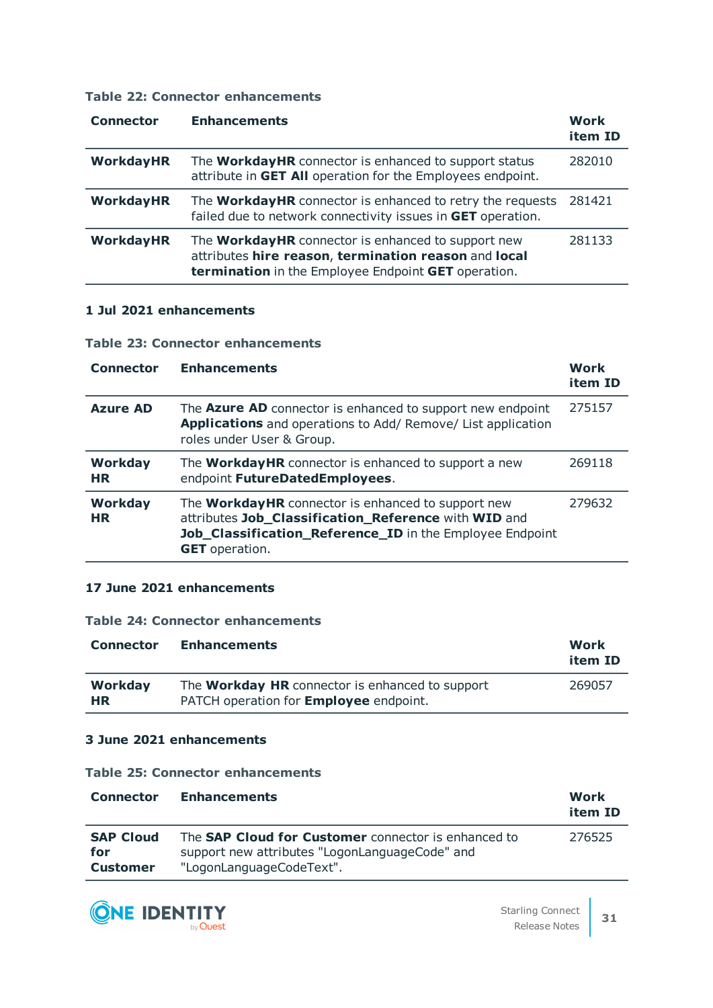#### **Table 22: Connector enhancements**

| <b>Connector</b> | <b>Enhancements</b>                                                                                                                                                      | Work<br>item ID |
|------------------|--------------------------------------------------------------------------------------------------------------------------------------------------------------------------|-----------------|
| <b>WorkdayHR</b> | The <b>WorkdayHR</b> connector is enhanced to support status<br>attribute in GET All operation for the Employees endpoint.                                               | 282010          |
| <b>WorkdayHR</b> | The <b>WorkdayHR</b> connector is enhanced to retry the requests<br>failed due to network connectivity issues in GET operation.                                          | 281421          |
| <b>WorkdayHR</b> | The <b>WorkdayHR</b> connector is enhanced to support new<br>attributes hire reason, termination reason and local<br>termination in the Employee Endpoint GET operation. | 281133          |

#### **1 Jul 2021 enhancements**

#### **Table 23: Connector enhancements**

| <b>Connector</b>            | <b>Enhancements</b>                                                                                                                                                                                    | Work<br>item ID |
|-----------------------------|--------------------------------------------------------------------------------------------------------------------------------------------------------------------------------------------------------|-----------------|
| <b>Azure AD</b>             | The <b>Azure AD</b> connector is enhanced to support new endpoint<br>Applications and operations to Add/ Remove/ List application<br>roles under User & Group.                                         | 275157          |
| Workday<br><b>HR</b>        | The <b>WorkdayHR</b> connector is enhanced to support a new<br>endpoint FutureDatedEmployees.                                                                                                          | 269118          |
| <b>Workday</b><br><b>HR</b> | The <b>WorkdayHR</b> connector is enhanced to support new<br>attributes Job_Classification_Reference with WID and<br>Job_Classification_Reference_ID in the Employee Endpoint<br><b>GET</b> operation. | 279632          |

# **17 June 2021 enhancements**

#### **Table 24: Connector enhancements**

| <b>Connector</b>     | <b>Enhancements</b>                                                                                     | Work<br>item ID |
|----------------------|---------------------------------------------------------------------------------------------------------|-----------------|
| Workday<br><b>HR</b> | The <b>Workday HR</b> connector is enhanced to support<br>PATCH operation for <b>Employee</b> endpoint. | 269057          |

#### **3 June 2021 enhancements**

#### **Table 25: Connector enhancements**

| <b>Connector</b>                           | <b>Enhancements</b>                                                                                                               | Work<br>item ID |
|--------------------------------------------|-----------------------------------------------------------------------------------------------------------------------------------|-----------------|
| <b>SAP Cloud</b><br>for<br><b>Customer</b> | The SAP Cloud for Customer connector is enhanced to<br>support new attributes "LogonLanguageCode" and<br>"LogonLanguageCodeText". | 276525          |

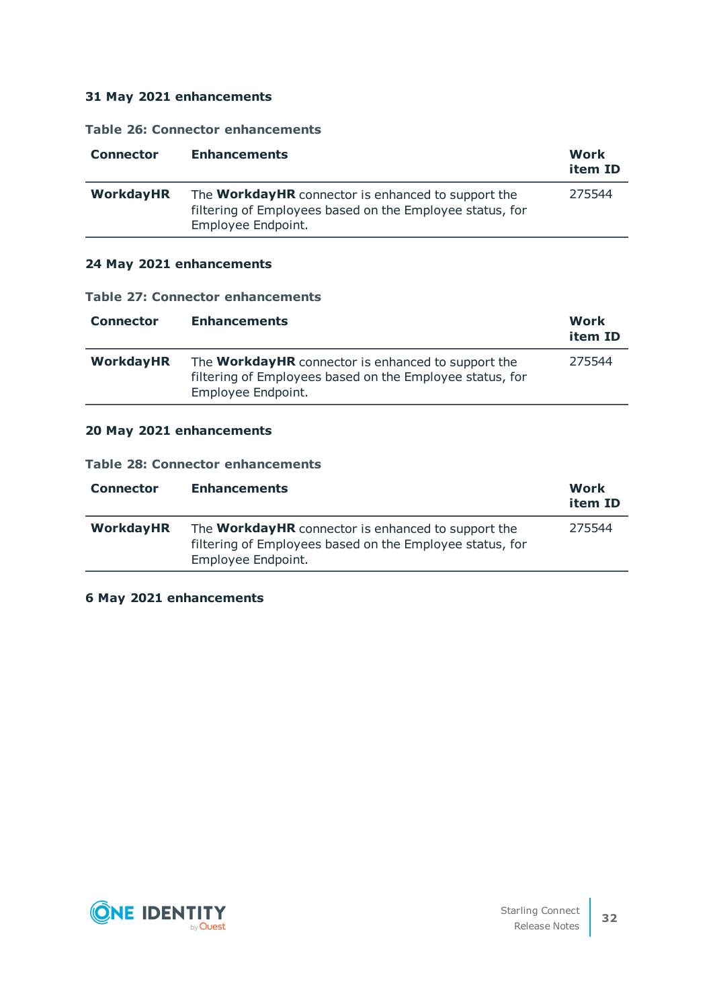# **31 May 2021 enhancements**

# **Table 26: Connector enhancements**

| <b>Connector</b> | <b>Enhancements</b>                                                                                                                         | Work<br>item ID |
|------------------|---------------------------------------------------------------------------------------------------------------------------------------------|-----------------|
| <b>WorkdayHR</b> | The <b>WorkdayHR</b> connector is enhanced to support the<br>filtering of Employees based on the Employee status, for<br>Employee Endpoint. | 275544          |

# **24 May 2021 enhancements**

#### **Table 27: Connector enhancements**

| <b>Connector</b> | <b>Enhancements</b>                                                                                                                         | Work<br>item ID |
|------------------|---------------------------------------------------------------------------------------------------------------------------------------------|-----------------|
| <b>WorkdayHR</b> | The <b>WorkdayHR</b> connector is enhanced to support the<br>filtering of Employees based on the Employee status, for<br>Employee Endpoint. | 275544          |

# **20 May 2021 enhancements**

#### **Table 28: Connector enhancements**

| <b>Connector</b> | <b>Enhancements</b>                                                                                                                         | Work<br>item ID |
|------------------|---------------------------------------------------------------------------------------------------------------------------------------------|-----------------|
| <b>WorkdayHR</b> | The <b>WorkdayHR</b> connector is enhanced to support the<br>filtering of Employees based on the Employee status, for<br>Employee Endpoint. | 275544          |

# **6 May 2021 enhancements**

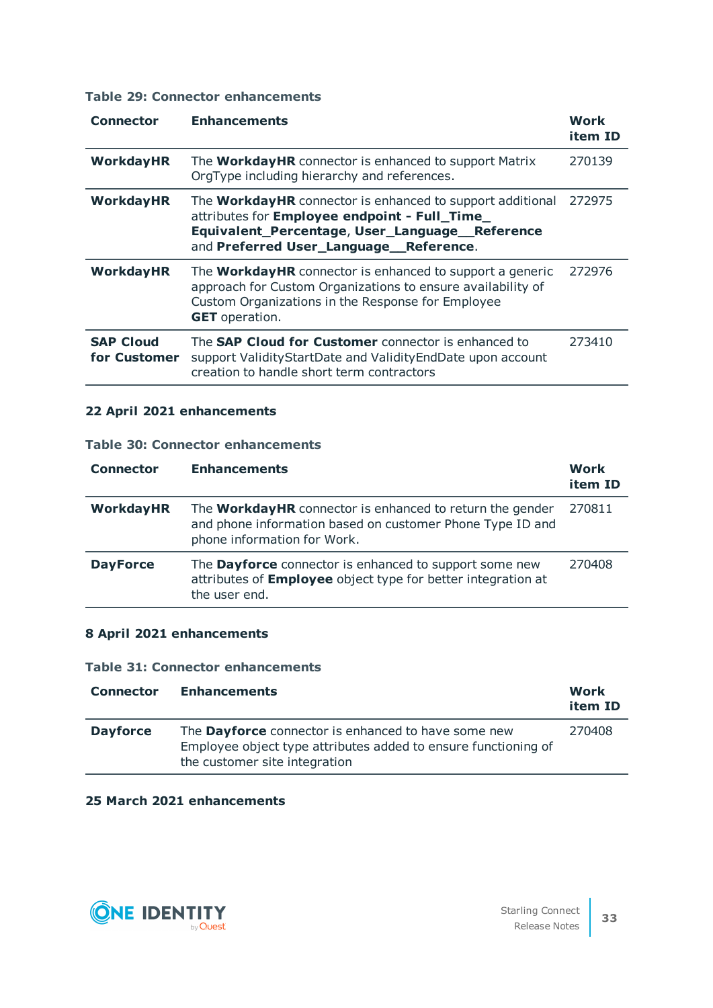#### **Table 29: Connector enhancements**

| <b>Connector</b>                 | <b>Enhancements</b>                                                                                                                                                                                           | <b>Work</b><br>item ID |
|----------------------------------|---------------------------------------------------------------------------------------------------------------------------------------------------------------------------------------------------------------|------------------------|
| <b>WorkdayHR</b>                 | The <b>WorkdayHR</b> connector is enhanced to support Matrix<br>OrgType including hierarchy and references.                                                                                                   | 270139                 |
| <b>WorkdayHR</b>                 | The <b>WorkdayHR</b> connector is enhanced to support additional<br>attributes for Employee endpoint - Full_Time_<br>Equivalent_Percentage, User_Language_Reference<br>and Preferred User_Language_Reference. | 272975                 |
| <b>WorkdayHR</b>                 | The <b>WorkdayHR</b> connector is enhanced to support a generic<br>approach for Custom Organizations to ensure availability of<br>Custom Organizations in the Response for Employee<br><b>GET</b> operation.  | 272976                 |
| <b>SAP Cloud</b><br>for Customer | The <b>SAP Cloud for Customer</b> connector is enhanced to<br>support ValidityStartDate and ValidityEndDate upon account<br>creation to handle short term contractors                                         | 273410                 |

# **22 April 2021 enhancements**

#### **Table 30: Connector enhancements**

| <b>Connector</b> | <b>Enhancements</b>                                                                                                                                         | Work<br>item ID |
|------------------|-------------------------------------------------------------------------------------------------------------------------------------------------------------|-----------------|
| <b>WorkdayHR</b> | The <b>WorkdayHR</b> connector is enhanced to return the gender<br>and phone information based on customer Phone Type ID and<br>phone information for Work. | 270811          |
| <b>DayForce</b>  | The <b>Dayforce</b> connector is enhanced to support some new<br>attributes of <b>Employee</b> object type for better integration at<br>the user end.       | 270408          |

# **8 April 2021 enhancements**

# **Table 31: Connector enhancements**

| <b>Connector</b> | <b>Enhancements</b>                                                                                                                                           | Work<br>item ID |
|------------------|---------------------------------------------------------------------------------------------------------------------------------------------------------------|-----------------|
| <b>Dayforce</b>  | The <b>Dayforce</b> connector is enhanced to have some new<br>Employee object type attributes added to ensure functioning of<br>the customer site integration | 270408          |

# **25 March 2021 enhancements**

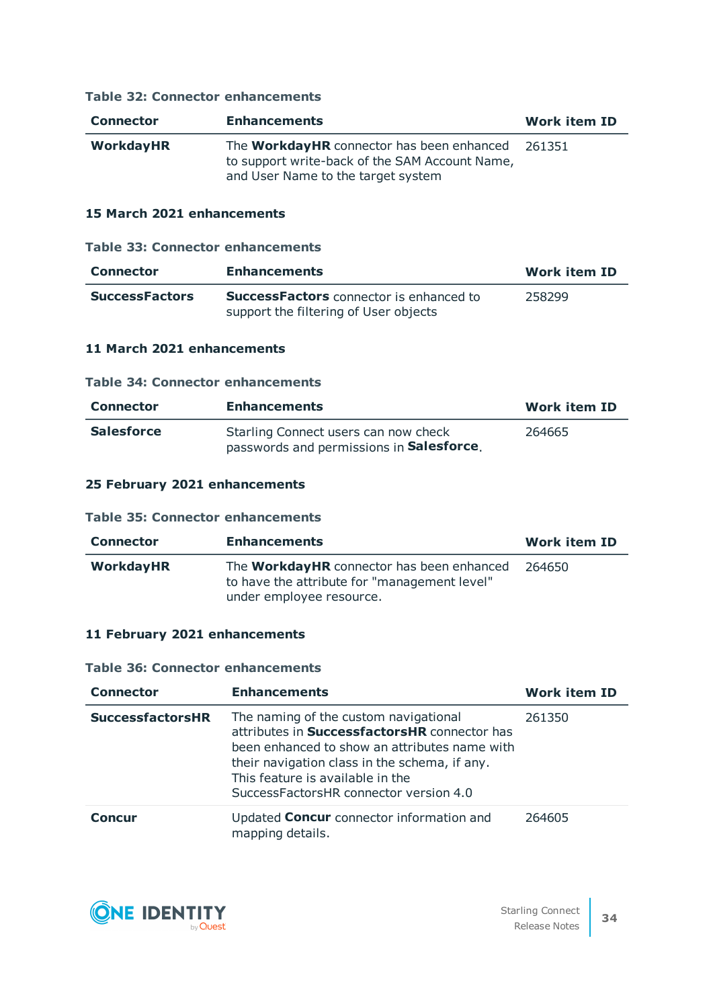| <b>Connector</b> | <b>Enhancements</b>                                                                                                                      | <b>Work item ID</b> |
|------------------|------------------------------------------------------------------------------------------------------------------------------------------|---------------------|
| <b>WorkdayHR</b> | The <b>WorkdayHR</b> connector has been enhanced<br>to support write-back of the SAM Account Name,<br>and User Name to the target system | 261351              |

#### **Table 32: Connector enhancements**

### **15 March 2021 enhancements**

# **Table 33: Connector enhancements**

| <b>Connector</b>      | <b>Enhancements</b>                                                                     | <b>Work item ID</b> |
|-----------------------|-----------------------------------------------------------------------------------------|---------------------|
| <b>SuccessFactors</b> | <b>SuccessFactors</b> connector is enhanced to<br>support the filtering of User objects | 258299              |

# **11 March 2021 enhancements**

#### **Table 34: Connector enhancements**

| <b>Connector</b>  | <b>Enhancements</b>                                                              | <b>Work item ID</b> |
|-------------------|----------------------------------------------------------------------------------|---------------------|
| <b>Salesforce</b> | Starling Connect users can now check<br>passwords and permissions in Salesforce. | 264665              |

# **25 February 2021 enhancements**

#### **Table 35: Connector enhancements**

| <b>Connector</b> | <b>Enhancements</b>                                                                                                          | <b>Work item ID</b> |
|------------------|------------------------------------------------------------------------------------------------------------------------------|---------------------|
| <b>WorkdayHR</b> | The <b>WorkdayHR</b> connector has been enhanced<br>to have the attribute for "management level"<br>under employee resource. | 264650              |

#### **11 February 2021 enhancements**

### **Table 36: Connector enhancements**

| <b>Connector</b>        | <b>Enhancements</b>                                                                                                                                                                                                                                                          | <b>Work item ID</b> |
|-------------------------|------------------------------------------------------------------------------------------------------------------------------------------------------------------------------------------------------------------------------------------------------------------------------|---------------------|
| <b>SuccessfactorsHR</b> | The naming of the custom navigational<br>attributes in <b>SuccessfactorsHR</b> connector has<br>been enhanced to show an attributes name with<br>their navigation class in the schema, if any.<br>This feature is available in the<br>SuccessFactorsHR connector version 4.0 | 261350              |
| <b>Concur</b>           | Updated Concur connector information and<br>mapping details.                                                                                                                                                                                                                 | 264605              |

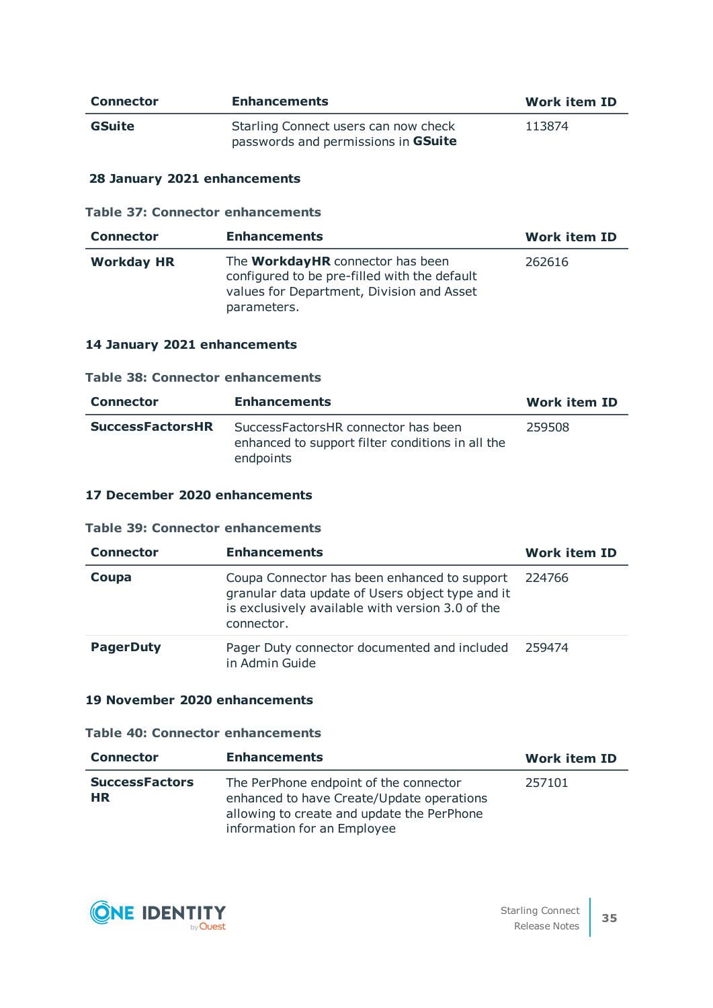| <b>Connector</b> | <b>Enhancements</b>                                                         | <b>Work item ID</b> |
|------------------|-----------------------------------------------------------------------------|---------------------|
| <b>GSuite</b>    | Starling Connect users can now check<br>passwords and permissions in GSuite | 113874              |

#### **28 January 2021 enhancements**

#### **Table 37: Connector enhancements**

| <b>Connector</b>  | <b>Enhancements</b>                                                                                                                                 | <b>Work item ID</b> |
|-------------------|-----------------------------------------------------------------------------------------------------------------------------------------------------|---------------------|
| <b>Workday HR</b> | The <b>WorkdayHR</b> connector has been<br>configured to be pre-filled with the default<br>values for Department, Division and Asset<br>parameters. | 262616              |

### **14 January 2021 enhancements**

#### **Table 38: Connector enhancements**

| <b>Connector</b>        | <b>Enhancements</b>                                                                                  | <b>Work item ID</b> |
|-------------------------|------------------------------------------------------------------------------------------------------|---------------------|
| <b>SuccessFactorsHR</b> | SuccessFactorsHR connector has been<br>enhanced to support filter conditions in all the<br>endpoints | 259508              |

### **17 December 2020 enhancements**

#### **Table 39: Connector enhancements**

| <b>Connector</b> | <b>Enhancements</b>                                                                                                                                                | <b>Work item ID</b> |
|------------------|--------------------------------------------------------------------------------------------------------------------------------------------------------------------|---------------------|
| Coupa            | Coupa Connector has been enhanced to support<br>granular data update of Users object type and it<br>is exclusively available with version 3.0 of the<br>connector. | 224766              |
| <b>PagerDuty</b> | Pager Duty connector documented and included<br>in Admin Guide                                                                                                     | 259474              |

# **19 November 2020 enhancements**

#### **Table 40: Connector enhancements**

| <b>Connector</b>                   | <b>Enhancements</b>                                                                                                                                              | <b>Work item ID</b> |
|------------------------------------|------------------------------------------------------------------------------------------------------------------------------------------------------------------|---------------------|
| <b>SuccessFactors</b><br><b>HR</b> | The PerPhone endpoint of the connector<br>enhanced to have Create/Update operations<br>allowing to create and update the PerPhone<br>information for an Employee | 257101              |

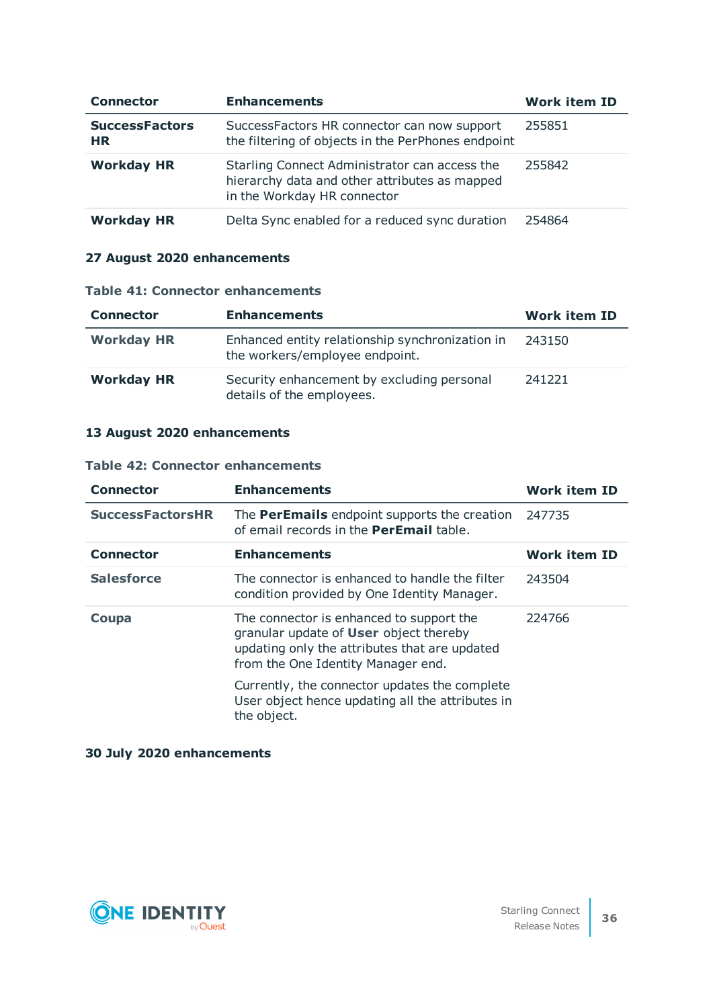| <b>Connector</b>                   | <b>Enhancements</b>                                                                                                           | <b>Work item ID</b> |
|------------------------------------|-------------------------------------------------------------------------------------------------------------------------------|---------------------|
| <b>SuccessFactors</b><br><b>HR</b> | SuccessFactors HR connector can now support<br>the filtering of objects in the PerPhones endpoint                             | 255851              |
| <b>Workday HR</b>                  | Starling Connect Administrator can access the<br>hierarchy data and other attributes as mapped<br>in the Workday HR connector | 255842              |
| <b>Workday HR</b>                  | Delta Sync enabled for a reduced sync duration                                                                                | 254864              |

# <span id="page-35-0"></span>**27 August 2020 enhancements**

#### **Table 41: Connector enhancements**

| <b>Connector</b>  | <b>Enhancements</b>                                                               | Work item ID |
|-------------------|-----------------------------------------------------------------------------------|--------------|
| <b>Workday HR</b> | Enhanced entity relationship synchronization in<br>the workers/employee endpoint. | 243150       |
| <b>Workday HR</b> | Security enhancement by excluding personal<br>details of the employees.           | 241221       |

# **13 August 2020 enhancements**

# **Table 42: Connector enhancements**

| <b>Connector</b>        | <b>Enhancements</b>                                                                                                                                                       | <b>Work item ID</b> |
|-------------------------|---------------------------------------------------------------------------------------------------------------------------------------------------------------------------|---------------------|
| <b>SuccessFactorsHR</b> | The <b>PerEmails</b> endpoint supports the creation<br>of email records in the <b>PerEmail</b> table.                                                                     | 247735              |
| <b>Connector</b>        | <b>Enhancements</b>                                                                                                                                                       | <b>Work item ID</b> |
| <b>Salesforce</b>       | The connector is enhanced to handle the filter<br>condition provided by One Identity Manager.                                                                             | 243504              |
| Coupa                   | The connector is enhanced to support the<br>granular update of User object thereby<br>updating only the attributes that are updated<br>from the One Identity Manager end. | 224766              |
|                         | Currently, the connector updates the complete<br>User object hence updating all the attributes in<br>the object.                                                          |                     |

# **30 July 2020 enhancements**

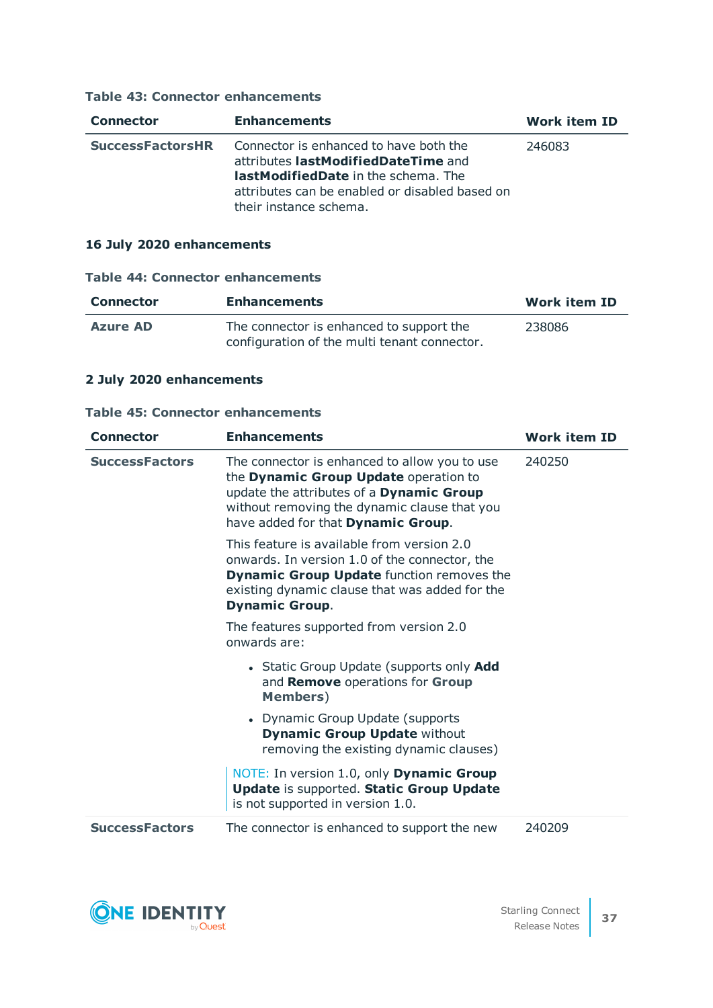|  |  | <b>Table 43: Connector enhancements</b> |
|--|--|-----------------------------------------|
|--|--|-----------------------------------------|

| <b>Connector</b>        | <b>Enhancements</b>                                                                                                                                                                                     | <b>Work item ID</b> |
|-------------------------|---------------------------------------------------------------------------------------------------------------------------------------------------------------------------------------------------------|---------------------|
| <b>SuccessFactorsHR</b> | Connector is enhanced to have both the<br>attributes lastModifiedDateTime and<br><b>lastModifiedDate</b> in the schema. The<br>attributes can be enabled or disabled based on<br>their instance schema. | 246083              |

# <span id="page-36-0"></span>**16 July 2020 enhancements**

#### **Table 44: Connector enhancements**

| <b>Connector</b> | <b>Enhancements</b>                                                                      | <b>Work item ID</b> |
|------------------|------------------------------------------------------------------------------------------|---------------------|
| <b>Azure AD</b>  | The connector is enhanced to support the<br>configuration of the multi tenant connector. | 238086              |

# <span id="page-36-1"></span>**2 July 2020 enhancements**

# **Table 45: Connector enhancements**

| <b>Connector</b>      | <b>Enhancements</b>                                                                                                                                                                                                        | <b>Work item ID</b> |
|-----------------------|----------------------------------------------------------------------------------------------------------------------------------------------------------------------------------------------------------------------------|---------------------|
| <b>SuccessFactors</b> | The connector is enhanced to allow you to use<br>the Dynamic Group Update operation to<br>update the attributes of a Dynamic Group<br>without removing the dynamic clause that you<br>have added for that Dynamic Group.   | 240250              |
|                       | This feature is available from version 2.0<br>onwards. In version 1.0 of the connector, the<br><b>Dynamic Group Update function removes the</b><br>existing dynamic clause that was added for the<br><b>Dynamic Group.</b> |                     |
|                       | The features supported from version 2.0<br>onwards are:                                                                                                                                                                    |                     |
|                       | • Static Group Update (supports only Add<br>and Remove operations for Group<br><b>Members)</b>                                                                                                                             |                     |
|                       | • Dynamic Group Update (supports<br><b>Dynamic Group Update without</b><br>removing the existing dynamic clauses)                                                                                                          |                     |
|                       | NOTE: In version 1.0, only Dynamic Group<br><b>Update is supported. Static Group Update</b><br>is not supported in version 1.0.                                                                                            |                     |
| <b>SuccessFactors</b> | The connector is enhanced to support the new                                                                                                                                                                               | 240209              |

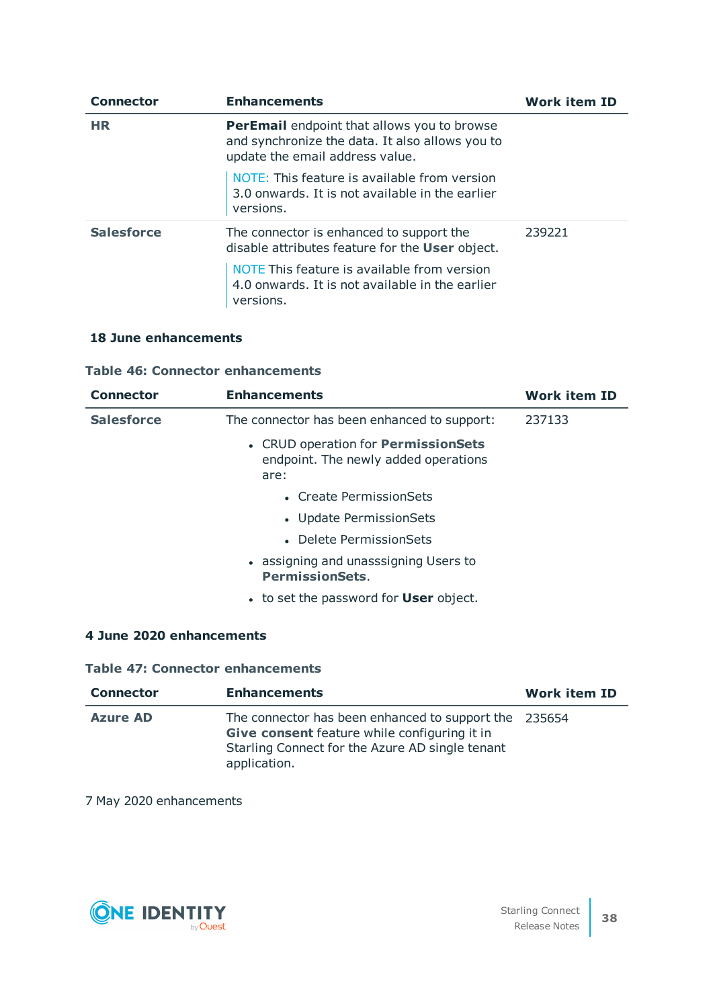| <b>Connector</b>  | <b>Enhancements</b>                                                                                                                      | <b>Work item ID</b> |
|-------------------|------------------------------------------------------------------------------------------------------------------------------------------|---------------------|
| <b>HR</b>         | <b>PerEmail</b> endpoint that allows you to browse<br>and synchronize the data. It also allows you to<br>update the email address value. |                     |
|                   | NOTE: This feature is available from version<br>3.0 onwards. It is not available in the earlier<br>versions.                             |                     |
| <b>Salesforce</b> | The connector is enhanced to support the<br>disable attributes feature for the User object.                                              | 239221              |
|                   | NOTE This feature is available from version<br>4.0 onwards. It is not available in the earlier<br>versions.                              |                     |

# <span id="page-37-0"></span>**18 June enhancements**

| <b>Connector</b>  | <b>Enhancements</b>                                                                 | <b>Work item ID</b> |
|-------------------|-------------------------------------------------------------------------------------|---------------------|
| <b>Salesforce</b> | The connector has been enhanced to support:                                         | 237133              |
|                   | • CRUD operation for PermissionSets<br>endpoint. The newly added operations<br>are: |                     |
|                   | • Create PermissionSets                                                             |                     |
|                   | • Update PermissionSets                                                             |                     |
|                   | • Delete PermissionSets                                                             |                     |
|                   | • assigning and unasssigning Users to<br><b>PermissionSets.</b>                     |                     |
|                   | • to set the password for <b>User</b> object.                                       |                     |

# **Table 46: Connector enhancements**

# <span id="page-37-1"></span>**4 June 2020 enhancements**

#### **Table 47: Connector enhancements**

| <b>Connector</b> | <b>Enhancements</b>                                                                                                                                                             | <b>Work item ID</b> |
|------------------|---------------------------------------------------------------------------------------------------------------------------------------------------------------------------------|---------------------|
| <b>Azure AD</b>  | The connector has been enhanced to support the 235654<br><b>Give consent feature while configuring it in</b><br>Starling Connect for the Azure AD single tenant<br>application. |                     |

<span id="page-37-2"></span>7 May 2020 enhancements

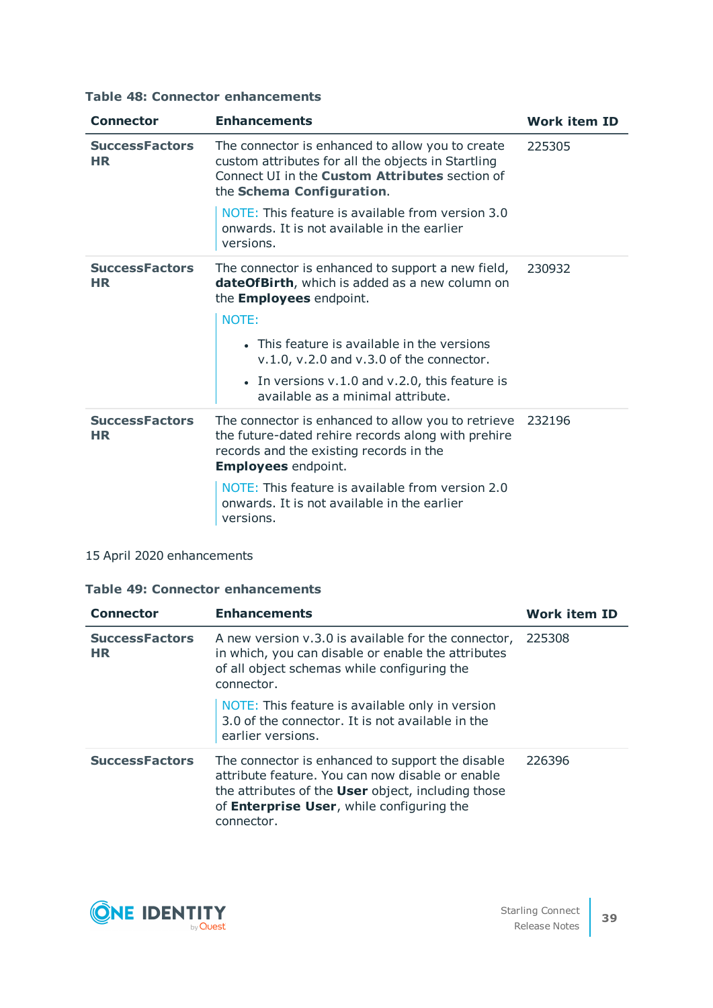# **Table 48: Connector enhancements**

| <b>Connector</b>                   | <b>Enhancements</b>                                                                                                                                                                           | <b>Work item ID</b> |
|------------------------------------|-----------------------------------------------------------------------------------------------------------------------------------------------------------------------------------------------|---------------------|
| <b>SuccessFactors</b><br><b>HR</b> | The connector is enhanced to allow you to create<br>custom attributes for all the objects in Startling<br>Connect UI in the <b>Custom Attributes</b> section of<br>the Schema Configuration.  | 225305              |
|                                    | NOTE: This feature is available from version 3.0<br>onwards. It is not available in the earlier<br>versions.                                                                                  |                     |
| <b>SuccessFactors</b><br><b>HR</b> | The connector is enhanced to support a new field,<br>dateOfBirth, which is added as a new column on<br>the <b>Employees</b> endpoint.<br>NOTE:<br>• This feature is available in the versions | 230932              |
|                                    | $v.1.0$ , $v.2.0$ and $v.3.0$ of the connector.<br>• In versions v.1.0 and v.2.0, this feature is<br>available as a minimal attribute.                                                        |                     |
| <b>SuccessFactors</b><br><b>HR</b> | The connector is enhanced to allow you to retrieve<br>the future-dated rehire records along with prehire<br>records and the existing records in the<br><b>Employees</b> endpoint.             | 232196              |
|                                    | NOTE: This feature is available from version 2.0<br>onwards. It is not available in the earlier<br>versions.                                                                                  |                     |

<span id="page-38-0"></span>15 April 2020 enhancements

# **Table 49: Connector enhancements**

| <b>Connector</b>                   | <b>Enhancements</b>                                                                                                                                                                                                   | <b>Work item ID</b> |
|------------------------------------|-----------------------------------------------------------------------------------------------------------------------------------------------------------------------------------------------------------------------|---------------------|
| <b>SuccessFactors</b><br><b>HR</b> | A new version v.3.0 is available for the connector,<br>in which, you can disable or enable the attributes<br>of all object schemas while configuring the<br>connector.                                                | 225308              |
|                                    | NOTE: This feature is available only in version<br>3.0 of the connector. It is not available in the<br>earlier versions.                                                                                              |                     |
| <b>SuccessFactors</b>              | The connector is enhanced to support the disable<br>attribute feature. You can now disable or enable<br>the attributes of the User object, including those<br>of Enterprise User, while configuring the<br>connector. | 226396              |

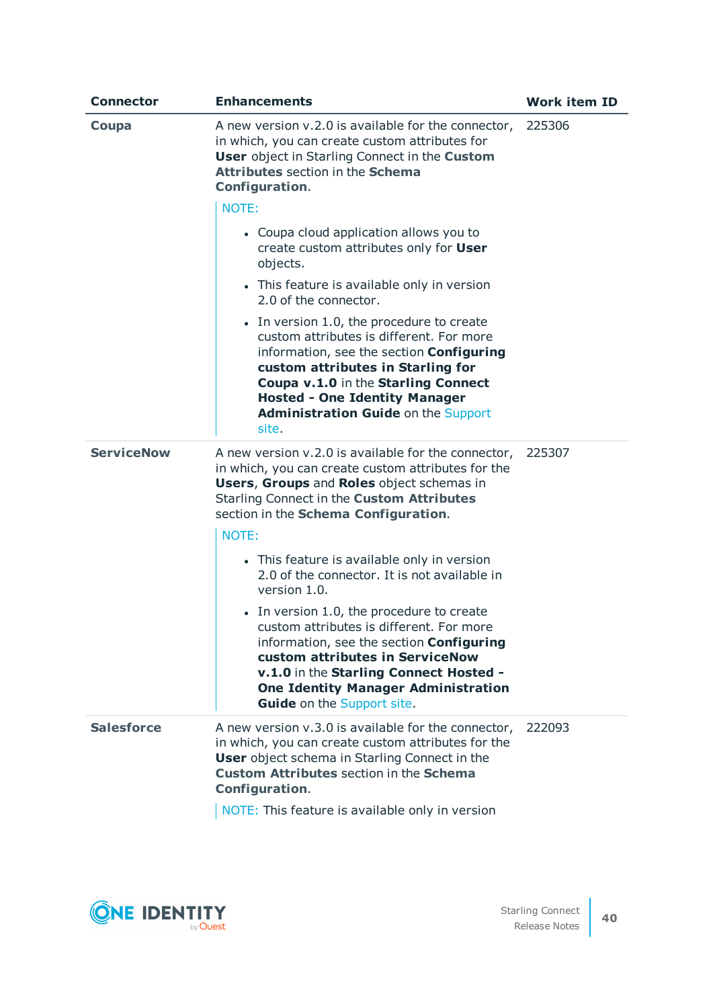| <b>Connector</b>  | <b>Enhancements</b>                                                                                                                                                                                                                                                                                          | <b>Work item ID</b> |
|-------------------|--------------------------------------------------------------------------------------------------------------------------------------------------------------------------------------------------------------------------------------------------------------------------------------------------------------|---------------------|
| Coupa             | A new version v.2.0 is available for the connector,<br>in which, you can create custom attributes for<br>User object in Starling Connect in the Custom<br><b>Attributes section in the Schema</b><br>Configuration.                                                                                          | 225306              |
|                   | NOTE:                                                                                                                                                                                                                                                                                                        |                     |
|                   | • Coupa cloud application allows you to<br>create custom attributes only for User<br>objects.                                                                                                                                                                                                                |                     |
|                   | • This feature is available only in version<br>2.0 of the connector.                                                                                                                                                                                                                                         |                     |
|                   | • In version 1.0, the procedure to create<br>custom attributes is different. For more<br>information, see the section Configuring<br>custom attributes in Starling for<br>Coupa v.1.0 in the Starling Connect<br><b>Hosted - One Identity Manager</b><br><b>Administration Guide on the Support</b><br>site. |                     |
| <b>ServiceNow</b> | A new version v.2.0 is available for the connector,<br>in which, you can create custom attributes for the<br><b>Users, Groups and Roles object schemas in</b><br>Starling Connect in the Custom Attributes<br>section in the Schema Configuration.                                                           | 225307              |
|                   | NOTE:                                                                                                                                                                                                                                                                                                        |                     |
|                   | • This feature is available only in version<br>2.0 of the connector. It is not available in<br>version 1.0.                                                                                                                                                                                                  |                     |
|                   | • In version 1.0, the procedure to create<br>custom attributes is different. For more<br>information, see the section <b>Configuring</b><br>custom attributes in ServiceNow<br>v.1.0 in the Starling Connect Hosted -<br><b>One Identity Manager Administration</b><br><b>Guide</b> on the Support site.     |                     |
| <b>Salesforce</b> | A new version v.3.0 is available for the connector,<br>in which, you can create custom attributes for the<br><b>User</b> object schema in Starling Connect in the<br><b>Custom Attributes section in the Schema</b><br><b>Configuration.</b>                                                                 | 222093              |
|                   | NOTE: This feature is available only in version                                                                                                                                                                                                                                                              |                     |

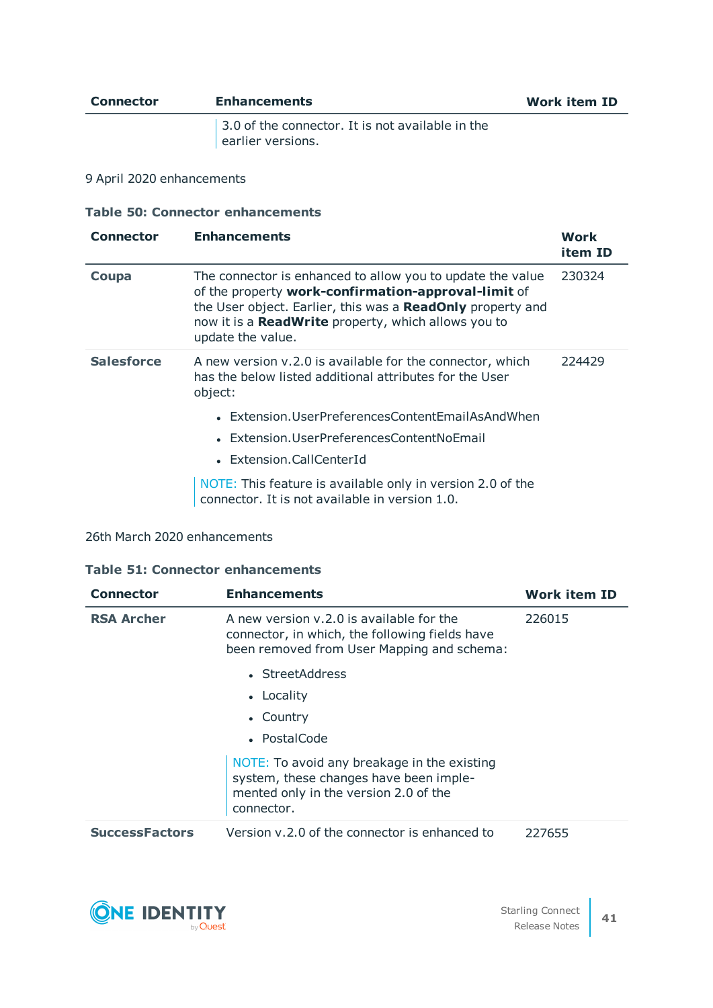| <b>Connector</b> | <b>Enhancements</b>                                                   | <b>Work item ID</b> |
|------------------|-----------------------------------------------------------------------|---------------------|
|                  | 3.0 of the connector. It is not available in the<br>earlier versions. |                     |

<span id="page-40-0"></span>9 April 2020 enhancements

#### **Table 50: Connector enhancements**

| <b>Connector</b>  | <b>Enhancements</b>                                                                                                                                                                                                                                         | Work<br>item ID |
|-------------------|-------------------------------------------------------------------------------------------------------------------------------------------------------------------------------------------------------------------------------------------------------------|-----------------|
| Coupa             | The connector is enhanced to allow you to update the value<br>of the property work-confirmation-approval-limit of<br>the User object. Earlier, this was a ReadOnly property and<br>now it is a ReadWrite property, which allows you to<br>update the value. | 230324          |
| <b>Salesforce</b> | A new version v.2.0 is available for the connector, which<br>has the below listed additional attributes for the User<br>object:                                                                                                                             | 224429          |
|                   | • Extension.UserPreferencesContentEmailAsAndWhen<br>• Extension.UserPreferencesContentNoEmail<br>• Extension.CallCenterId                                                                                                                                   |                 |
|                   | NOTE: This feature is available only in version 2.0 of the<br>connector. It is not available in version 1.0.                                                                                                                                                |                 |

<span id="page-40-1"></span>26th March 2020 enhancements

#### **Table 51: Connector enhancements**

| <b>Connector</b>      | <b>Enhancements</b>                                                                                                                          | <b>Work item ID</b> |
|-----------------------|----------------------------------------------------------------------------------------------------------------------------------------------|---------------------|
| <b>RSA Archer</b>     | A new version y.2.0 is available for the<br>connector, in which, the following fields have<br>been removed from User Mapping and schema:     | 226015              |
|                       | • StreetAddress                                                                                                                              |                     |
|                       | • Locality                                                                                                                                   |                     |
|                       | • Country                                                                                                                                    |                     |
|                       | • PostalCode                                                                                                                                 |                     |
|                       | NOTE: To avoid any breakage in the existing<br>system, these changes have been imple-<br>mented only in the version 2.0 of the<br>connector. |                     |
| <b>SuccessFactors</b> | Version v.2.0 of the connector is enhanced to                                                                                                | 227655              |

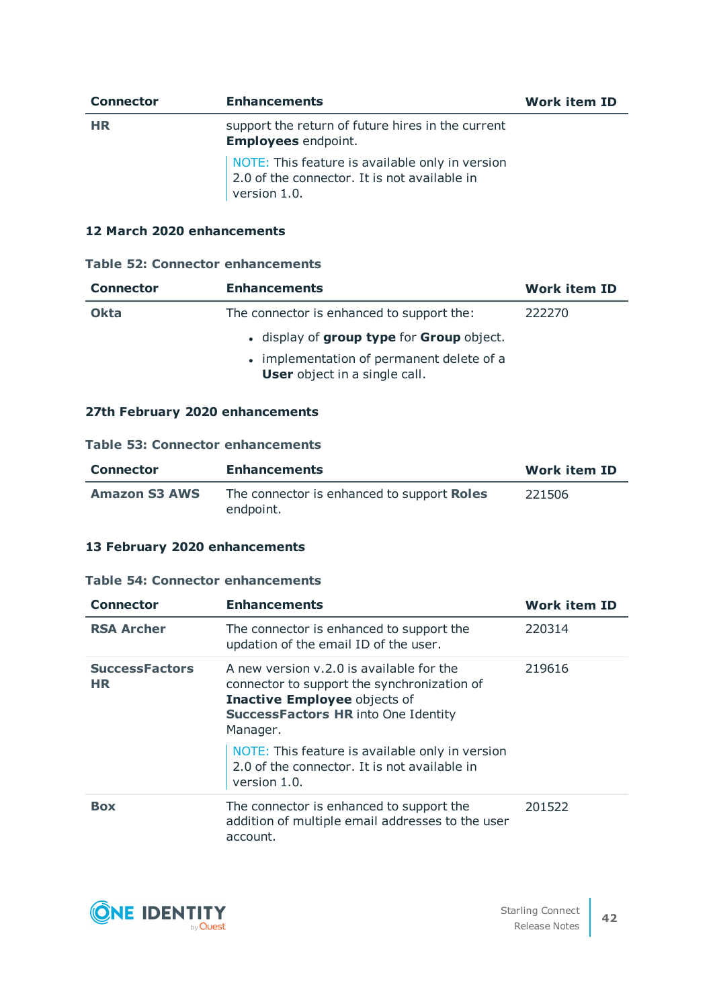| <b>Connector</b> | <b>Enhancements</b>                                                                                             | <b>Work item ID</b> |
|------------------|-----------------------------------------------------------------------------------------------------------------|---------------------|
| <b>HR</b>        | support the return of future hires in the current<br><b>Employees</b> endpoint.                                 |                     |
|                  | NOTE: This feature is available only in version<br>2.0 of the connector. It is not available in<br>version 1.0. |                     |

# <span id="page-41-0"></span>**12 March 2020 enhancements**

#### **Table 52: Connector enhancements**

| <b>Connector</b> | <b>Enhancements</b>                                                               | <b>Work item ID</b> |
|------------------|-----------------------------------------------------------------------------------|---------------------|
| <b>Okta</b>      | The connector is enhanced to support the:                                         | 222270              |
|                  | . display of group type for Group object.                                         |                     |
|                  | • implementation of permanent delete of a<br><b>User</b> object in a single call. |                     |

# <span id="page-41-1"></span>**27th February 2020 enhancements**

# **Table 53: Connector enhancements**

| <b>Connector</b>     | <b>Enhancements</b>                                     | <b>Work item ID</b> |
|----------------------|---------------------------------------------------------|---------------------|
| <b>Amazon S3 AWS</b> | The connector is enhanced to support Roles<br>endpoint. | 221506              |

# <span id="page-41-2"></span>**13 February 2020 enhancements**

#### **Table 54: Connector enhancements**

| <b>Connector</b>             | <b>Enhancements</b>                                                                                                                                                                      | <b>Work item ID</b> |
|------------------------------|------------------------------------------------------------------------------------------------------------------------------------------------------------------------------------------|---------------------|
| <b>RSA Archer</b>            | The connector is enhanced to support the<br>updation of the email ID of the user.                                                                                                        | 220314              |
| <b>SuccessFactors</b><br>HR. | A new version v.2.0 is available for the<br>connector to support the synchronization of<br><b>Inactive Employee objects of</b><br><b>SuccessFactors HR into One Identity</b><br>Manager. | 219616              |
|                              | NOTE: This feature is available only in version<br>2.0 of the connector. It is not available in<br>version 1.0.                                                                          |                     |
| <b>Box</b>                   | The connector is enhanced to support the<br>addition of multiple email addresses to the user<br>account.                                                                                 | 201522              |

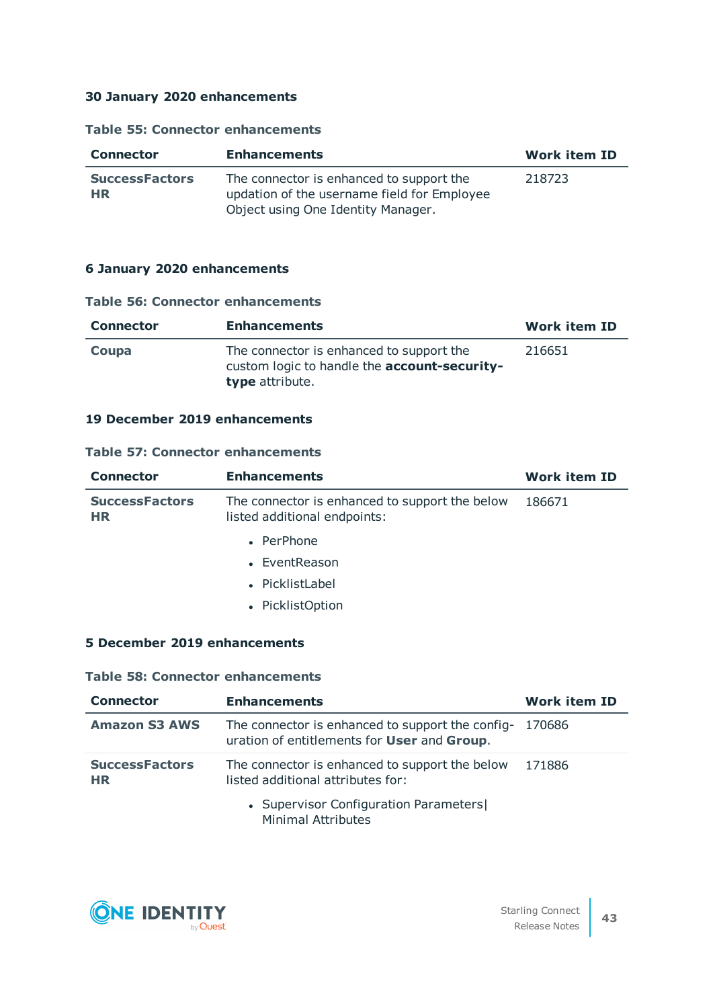### <span id="page-42-0"></span>**30 January 2020 enhancements**

#### **Table 55: Connector enhancements**

| <b>Connector</b>            | <b>Enhancements</b>                                                                                                           | <b>Work item ID</b> |
|-----------------------------|-------------------------------------------------------------------------------------------------------------------------------|---------------------|
| <b>SuccessFactors</b><br>HR | The connector is enhanced to support the<br>updation of the username field for Employee<br>Object using One Identity Manager. | 218723              |

#### <span id="page-42-1"></span>**6 January 2020 enhancements**

#### **Table 56: Connector enhancements**

| <b>Connector</b> | <b>Enhancements</b>                                                                                         | Work item ID |
|------------------|-------------------------------------------------------------------------------------------------------------|--------------|
| Coupa            | The connector is enhanced to support the<br>custom logic to handle the account-security-<br>type attribute. | 216651       |

# <span id="page-42-2"></span>**19 December 2019 enhancements**

#### **Table 57: Connector enhancements**

| <b>Connector</b>                   | <b>Enhancements</b>                                                            | <b>Work item ID</b> |
|------------------------------------|--------------------------------------------------------------------------------|---------------------|
| <b>SuccessFactors</b><br><b>HR</b> | The connector is enhanced to support the below<br>listed additional endpoints: | 186671              |
|                                    | • PerPhone                                                                     |                     |
|                                    | • EventReason                                                                  |                     |
|                                    | • PicklistLabel                                                                |                     |
|                                    | • PicklistOption                                                               |                     |
|                                    |                                                                                |                     |

# <span id="page-42-3"></span>**5 December 2019 enhancements**

#### **Table 58: Connector enhancements**

| <b>Connector</b>                   | <b>Enhancements</b>                                                                                    | <b>Work item ID</b> |
|------------------------------------|--------------------------------------------------------------------------------------------------------|---------------------|
| <b>Amazon S3 AWS</b>               | The connector is enhanced to support the config- 170686<br>uration of entitlements for User and Group. |                     |
| <b>SuccessFactors</b><br><b>HR</b> | The connector is enhanced to support the below<br>listed additional attributes for:                    | 171886              |
|                                    | • Supervisor Configuration Parameters<br><b>Minimal Attributes</b>                                     |                     |

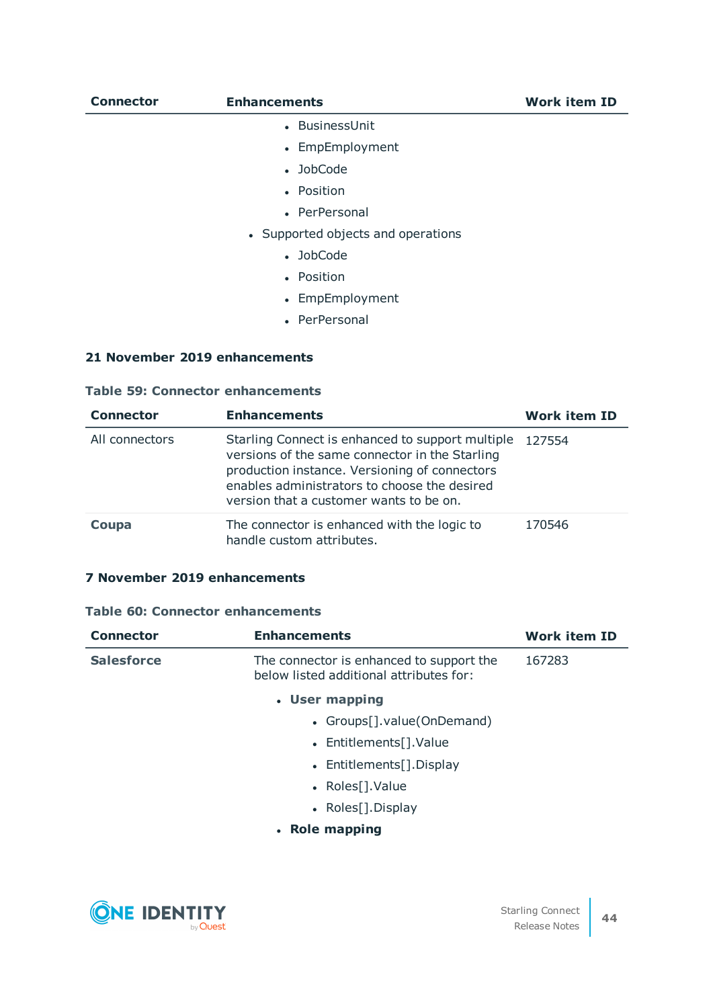| <b>Enhancements</b>                | <b>Work item ID</b> |
|------------------------------------|---------------------|
| • BusinessUnit                     |                     |
| • EmpEmployment                    |                     |
| • JobCode                          |                     |
| • Position                         |                     |
| • PerPersonal                      |                     |
| • Supported objects and operations |                     |
| • JobCode                          |                     |
| • Position                         |                     |
| • EmpEmployment                    |                     |
| • PerPersonal                      |                     |
|                                    |                     |

### <span id="page-43-0"></span>**21 November 2019 enhancements**

#### **Table 59: Connector enhancements**

| <b>Connector</b> | <b>Enhancements</b>                                                                                                                                                                                                                                   | <b>Work item ID</b> |
|------------------|-------------------------------------------------------------------------------------------------------------------------------------------------------------------------------------------------------------------------------------------------------|---------------------|
| All connectors   | Starling Connect is enhanced to support multiple 127554<br>versions of the same connector in the Starling<br>production instance. Versioning of connectors<br>enables administrators to choose the desired<br>version that a customer wants to be on. |                     |
| Coupa            | The connector is enhanced with the logic to<br>handle custom attributes.                                                                                                                                                                              | 170546              |

# <span id="page-43-1"></span>**7 November 2019 enhancements**

# **Table 60: Connector enhancements**

| <b>Connector</b>  | <b>Enhancements</b>                                                                 | <b>Work item ID</b> |
|-------------------|-------------------------------------------------------------------------------------|---------------------|
| <b>Salesforce</b> | The connector is enhanced to support the<br>below listed additional attributes for: | 167283              |
|                   | • User mapping                                                                      |                     |
|                   | • Groups[].value(OnDemand)                                                          |                     |
|                   | • Entitlements[]. Value                                                             |                     |
|                   | • Entitlements[]. Display                                                           |                     |
|                   | • Roles[].Value                                                                     |                     |
|                   | • Roles[].Display                                                                   |                     |
|                   | • Role mapping                                                                      |                     |
|                   |                                                                                     |                     |

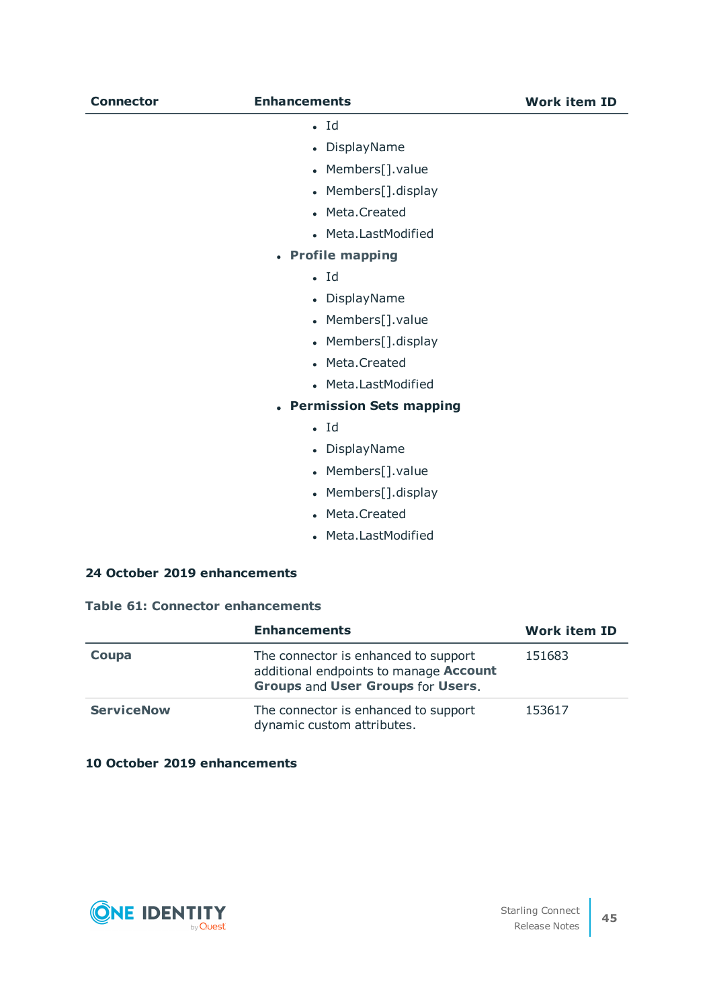| Connector                               | <b>Enhancements</b>                                                                                                 | <b>Work item ID</b> |
|-----------------------------------------|---------------------------------------------------------------------------------------------------------------------|---------------------|
|                                         | • Id                                                                                                                |                     |
|                                         | • DisplayName                                                                                                       |                     |
|                                         | • Members[].value                                                                                                   |                     |
|                                         | • Members[].display                                                                                                 |                     |
|                                         | • Meta.Created                                                                                                      |                     |
|                                         | • Meta.LastModified                                                                                                 |                     |
|                                         | • Profile mapping                                                                                                   |                     |
|                                         | $\blacksquare$ Id                                                                                                   |                     |
|                                         | • DisplayName                                                                                                       |                     |
|                                         | • Members[].value                                                                                                   |                     |
|                                         | • Members[].display                                                                                                 |                     |
|                                         | • Meta.Created                                                                                                      |                     |
|                                         | • Meta.LastModified                                                                                                 |                     |
|                                         | • Permission Sets mapping                                                                                           |                     |
|                                         | $\blacksquare$ Id                                                                                                   |                     |
|                                         | • DisplayName                                                                                                       |                     |
|                                         | • Members[].value                                                                                                   |                     |
|                                         | • Members[].display                                                                                                 |                     |
|                                         | • Meta.Created                                                                                                      |                     |
|                                         | • Meta.LastModified                                                                                                 |                     |
| 24 October 2019 enhancements            |                                                                                                                     |                     |
| <b>Table 61: Connector enhancements</b> |                                                                                                                     |                     |
|                                         | <b>Enhancements</b>                                                                                                 | <b>Work item ID</b> |
| Coupa                                   | The connector is enhanced to support<br>additional endpoints to manage Account<br>Groups and User Groups for Users. | 151683              |

dynamic custom attributes.

# <span id="page-44-0"></span>**ServiceNow** The connector is enhanced to support 153617

# <span id="page-44-1"></span>**10 October 2019 enhancements**

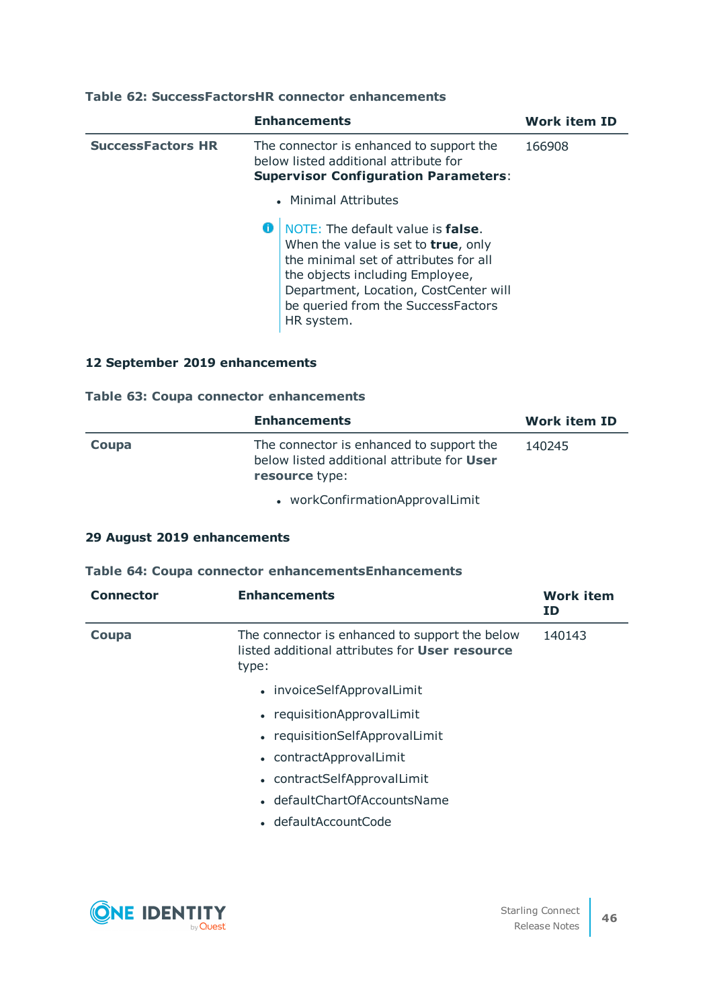#### **Table 62: SuccessFactorsHR connector enhancements**

|                          | <b>Enhancements</b>                                                                                                                                                                                                                                        | <b>Work item ID</b> |
|--------------------------|------------------------------------------------------------------------------------------------------------------------------------------------------------------------------------------------------------------------------------------------------------|---------------------|
| <b>SuccessFactors HR</b> | The connector is enhanced to support the<br>below listed additional attribute for<br><b>Supervisor Configuration Parameters:</b>                                                                                                                           | 166908              |
|                          | • Minimal Attributes                                                                                                                                                                                                                                       |                     |
|                          | <b>O</b> NOTE: The default value is false.<br>When the value is set to true, only<br>the minimal set of attributes for all<br>the objects including Employee,<br>Department, Location, CostCenter will<br>be queried from the SuccessFactors<br>HR system. |                     |

## <span id="page-45-0"></span>**12 September 2019 enhancements**

#### **Table 63: Coupa connector enhancements**

|       | <b>Enhancements</b>                                                                                      | <b>Work item ID</b> |
|-------|----------------------------------------------------------------------------------------------------------|---------------------|
| Coupa | The connector is enhanced to support the<br>below listed additional attribute for User<br>resource type: | 140245              |
|       | • workConfirmationApprovalLimit                                                                          |                     |

#### <span id="page-45-1"></span>**29 August 2019 enhancements**

#### **Table 64: Coupa connector enhancementsEnhancements**

| <b>Connector</b> | <b>Enhancements</b>                                                                                       | <b>Work item</b><br>ΙD |
|------------------|-----------------------------------------------------------------------------------------------------------|------------------------|
| Coupa            | The connector is enhanced to support the below<br>listed additional attributes for User resource<br>type: | 140143                 |
|                  | • invoiceSelfApprovalLimit                                                                                |                        |
|                  | • requisitionApprovalLimit                                                                                |                        |
|                  | • requisitionSelfApprovalLimit                                                                            |                        |
|                  | • contractApprovalLimit                                                                                   |                        |
|                  | • contractSelfApprovalLimit                                                                               |                        |
|                  | • defaultChartOfAccountsName                                                                              |                        |
|                  | • defaultAccountCode                                                                                      |                        |

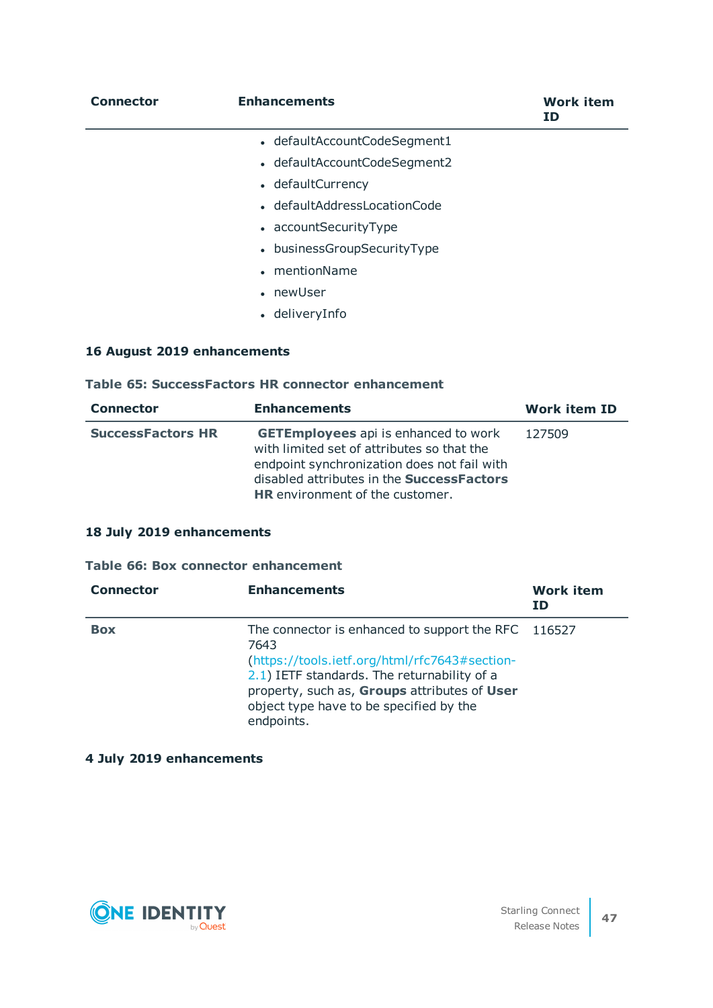| <b>Connector</b> | <b>Enhancements</b>          | <b>Work item</b><br>ID |
|------------------|------------------------------|------------------------|
|                  | • defaultAccountCodeSegment1 |                        |
|                  | • defaultAccountCodeSegment2 |                        |
|                  | • defaultCurrency            |                        |
|                  | • defaultAddressLocationCode |                        |
|                  | • accountSecurityType        |                        |
|                  | • businessGroupSecurityType  |                        |
|                  | • mentionName                |                        |
|                  | • newUser                    |                        |
|                  | • deliveryInfo               |                        |

# <span id="page-46-0"></span>**16 August 2019 enhancements**

#### **Table 65: SuccessFactors HR connector enhancement**

| <b>Connector</b>         | <b>Enhancements</b>                                                                                                                                                                                                                    | <b>Work item ID</b> |
|--------------------------|----------------------------------------------------------------------------------------------------------------------------------------------------------------------------------------------------------------------------------------|---------------------|
| <b>SuccessFactors HR</b> | <b>GETEmployees</b> api is enhanced to work<br>with limited set of attributes so that the<br>endpoint synchronization does not fail with<br>disabled attributes in the <b>SuccessFactors</b><br><b>HR</b> environment of the customer. | 127509              |

# <span id="page-46-1"></span>**18 July 2019 enhancements**

#### **Table 66: Box connector enhancement**

| <b>Connector</b> | <b>Enhancements</b>                                                                                                                                                                                                                                                  | <b>Work item</b><br>ID |
|------------------|----------------------------------------------------------------------------------------------------------------------------------------------------------------------------------------------------------------------------------------------------------------------|------------------------|
| <b>Box</b>       | The connector is enhanced to support the RFC 116527<br>7643<br>(https://tools.ietf.org/html/rfc7643#section-<br>2.1) IETF standards. The returnability of a<br>property, such as, Groups attributes of User<br>object type have to be specified by the<br>endpoints. |                        |

# <span id="page-46-2"></span>**4 July 2019 enhancements**

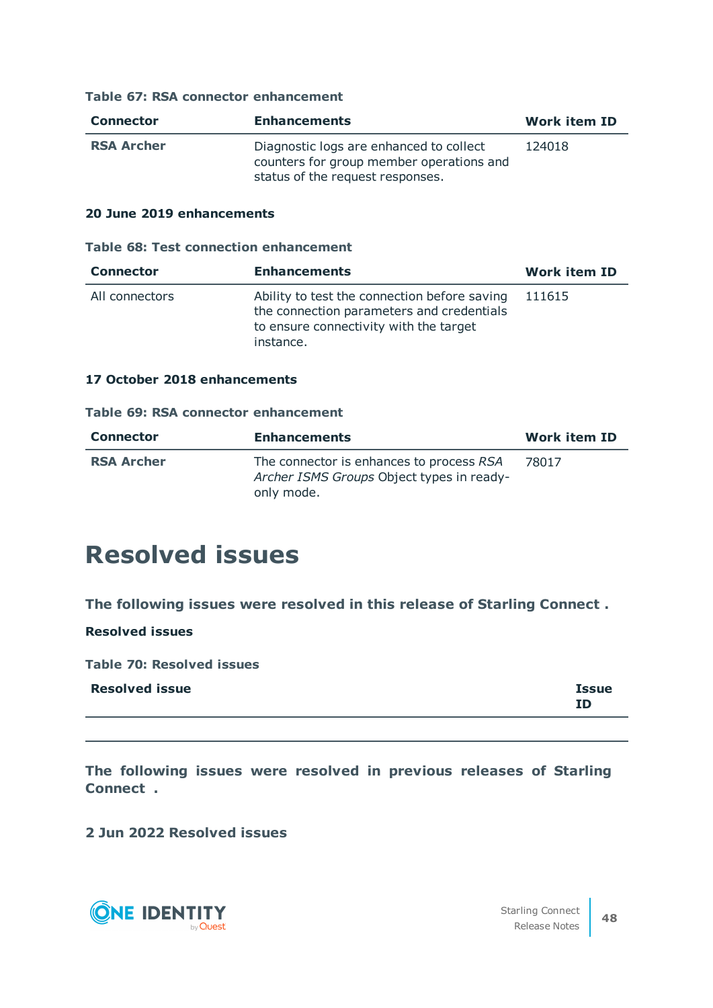|  |  | <b>Table 67: RSA connector enhancement</b> |
|--|--|--------------------------------------------|
|--|--|--------------------------------------------|

| <b>Connector</b>  | <b>Enhancements</b>                                                                 | Work item ID |
|-------------------|-------------------------------------------------------------------------------------|--------------|
| <b>RSA Archer</b> | Diagnostic logs are enhanced to collect<br>counters for group member operations and | 124018       |
|                   | status of the request responses.                                                    |              |

#### <span id="page-47-2"></span>**20 June 2019 enhancements**

#### **Table 68: Test connection enhancement**

| <b>Connector</b> | <b>Enhancements</b>                                                                                                                              | <b>Work item ID</b> |
|------------------|--------------------------------------------------------------------------------------------------------------------------------------------------|---------------------|
| All connectors   | Ability to test the connection before saving<br>the connection parameters and credentials<br>to ensure connectivity with the target<br>instance. | 111615              |

#### <span id="page-47-3"></span>**17 October 2018 enhancements**

#### **Table 69: RSA connector enhancement**

| <b>Connector</b>  | <b>Enhancements</b>                                                                                 | <b>Work item ID</b> |
|-------------------|-----------------------------------------------------------------------------------------------------|---------------------|
| <b>RSA Archer</b> | The connector is enhances to process RSA<br>Archer ISMS Groups Object types in ready-<br>only mode. | 78017               |

# <span id="page-47-0"></span>**Resolved issues**

**The following issues were resolved in this release of Starling Connect .**

<span id="page-47-1"></span>**Resolved issues**

**Table 70: Resolved issues**

| <b>Resolved issue</b> | <b>Issue</b> |
|-----------------------|--------------|
|                       | ΙD           |

**The following issues were resolved in previous releases of Starling Connect .**

**2 Jun 2022 Resolved issues**

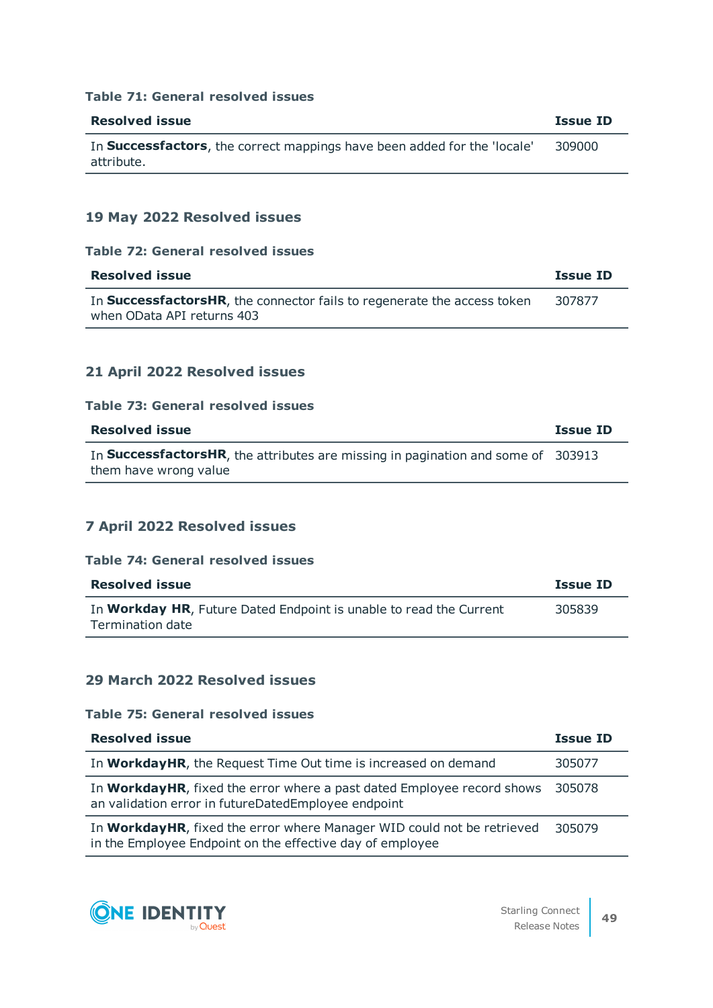#### **Table 71: General resolved issues**

| <b>Resolved issue</b>                                                                  | <b>Issue ID</b> |
|----------------------------------------------------------------------------------------|-----------------|
| In Successfactors, the correct mappings have been added for the 'locale'<br>attribute. | 309000          |

# <span id="page-48-0"></span>**19 May 2022 Resolved issues**

#### **Table 72: General resolved issues**

| <b>Resolved issue</b>                                                                                         | <b>Issue ID</b> |
|---------------------------------------------------------------------------------------------------------------|-----------------|
| In <b>SuccessfactorsHR</b> , the connector fails to regenerate the access token<br>when OData API returns 403 | 307877          |

# <span id="page-48-1"></span>**21 April 2022 Resolved issues**

#### **Table 73: General resolved issues**

| <b>Resolved issue</b>                                                                                     | Issue ID |
|-----------------------------------------------------------------------------------------------------------|----------|
| In SuccessfactorsHR, the attributes are missing in pagination and some of 303913<br>them have wrong value |          |

# <span id="page-48-2"></span>**7 April 2022 Resolved issues**

# **Table 74: General resolved issues**

| <b>Resolved issue</b><br>Issue ID                                                      |        |
|----------------------------------------------------------------------------------------|--------|
| In Workday HR, Future Dated Endpoint is unable to read the Current<br>Termination date | 305839 |

# <span id="page-48-3"></span>**29 March 2022 Resolved issues**

# **Table 75: General resolved issues**

| <b>Resolved issue</b>                                                                                                                 | <b>Issue ID</b> |
|---------------------------------------------------------------------------------------------------------------------------------------|-----------------|
| In WorkdayHR, the Request Time Out time is increased on demand                                                                        | 305077          |
| In <b>WorkdayHR</b> , fixed the error where a past dated Employee record shows<br>an validation error in futureDatedEmployee endpoint | 305078          |
| In WorkdayHR, fixed the error where Manager WID could not be retrieved<br>in the Employee Endpoint on the effective day of employee   | 305079          |

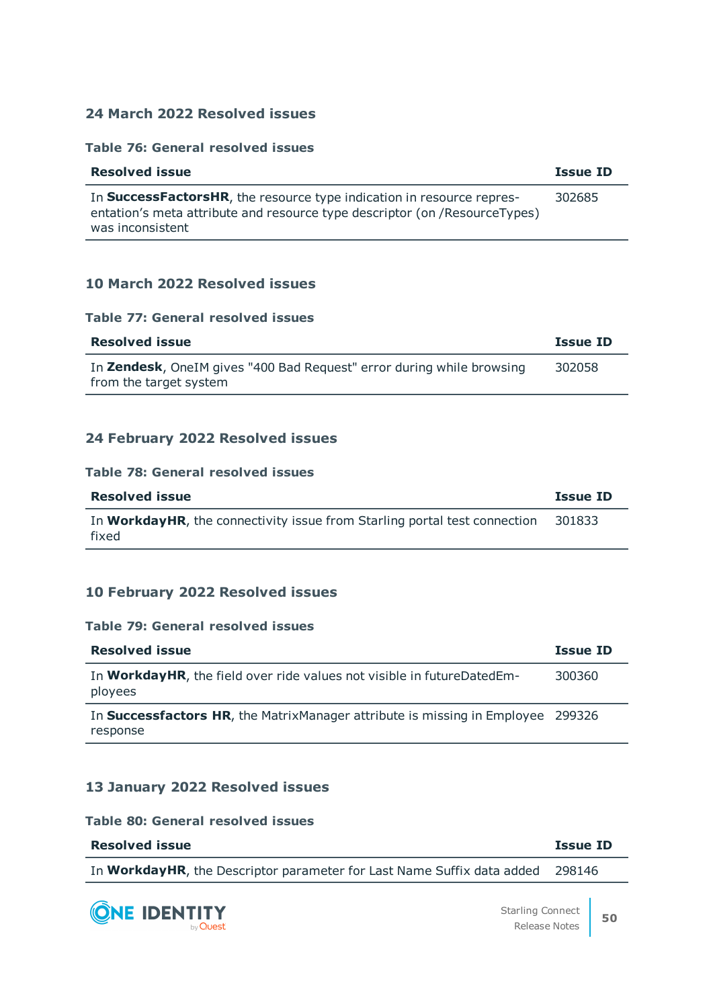# <span id="page-49-0"></span>**24 March 2022 Resolved issues**

#### **Table 76: General resolved issues**

| <b>Resolved issue</b>                                                                                                                                                   | <b>Issue ID</b> |
|-------------------------------------------------------------------------------------------------------------------------------------------------------------------------|-----------------|
| In SuccessFactorsHR, the resource type indication in resource repres-<br>entation's meta attribute and resource type descriptor (on /ResourceTypes)<br>was inconsistent | 302685          |

# <span id="page-49-1"></span>**10 March 2022 Resolved issues**

#### **Table 77: General resolved issues**

| <b>Resolved issue</b>                                                                           | Issue ID |
|-------------------------------------------------------------------------------------------------|----------|
| In Zendesk, OneIM gives "400 Bad Request" error during while browsing<br>from the target system | 302058   |

# <span id="page-49-2"></span>**24 February 2022 Resolved issues**

#### **Table 78: General resolved issues**

| <b>Resolved issue</b>                                                                      | <b>Issue ID</b> |
|--------------------------------------------------------------------------------------------|-----------------|
| In <b>WorkdayHR</b> , the connectivity issue from Starling portal test connection<br>fixed | 301833          |

# <span id="page-49-3"></span>**10 February 2022 Resolved issues**

# **Table 79: General resolved issues**

| <b>Resolved issue</b>                                                                        | <b>Issue ID</b> |
|----------------------------------------------------------------------------------------------|-----------------|
| In WorkdayHR, the field over ride values not visible in futureDatedEm-<br>ployees            | 300360          |
| In Successfactors HR, the Matrix Manager attribute is missing in Employee 299326<br>response |                 |

# <span id="page-49-4"></span>**13 January 2022 Resolved issues**

# **Table 80: General resolved issues**

| <b>Resolved issue</b>                                                         | <b>Issue ID</b> |
|-------------------------------------------------------------------------------|-----------------|
| In WorkdayHR, the Descriptor parameter for Last Name Suffix data added 298146 |                 |

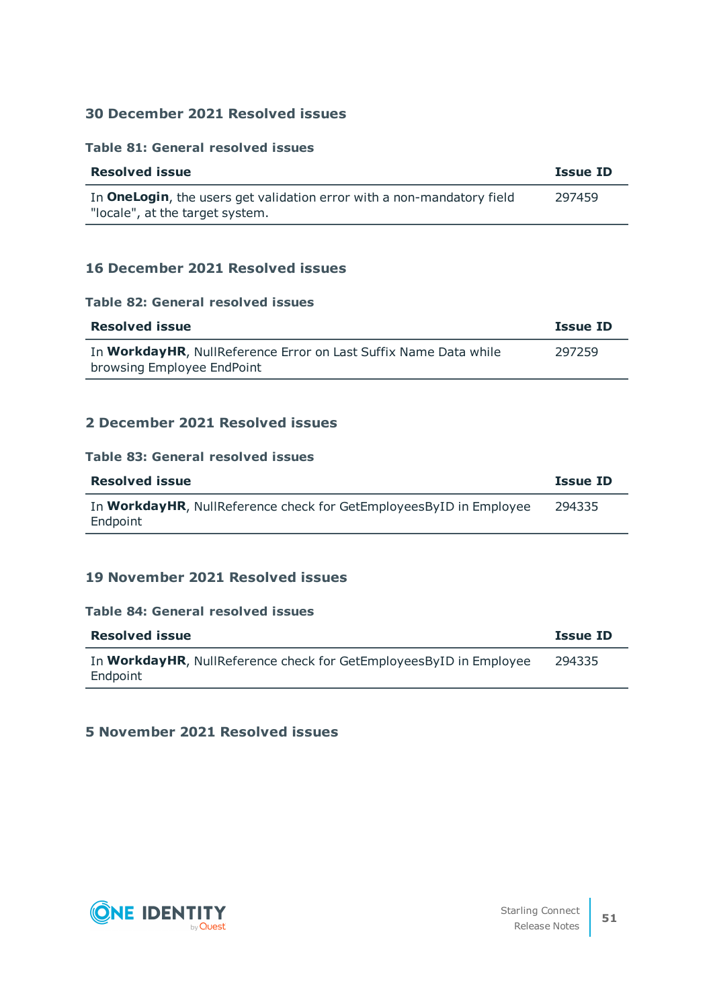# <span id="page-50-0"></span>**30 December 2021 Resolved issues**

#### **Table 81: General resolved issues**

| <b>Resolved issue</b>                                                                                             | Issue ID |
|-------------------------------------------------------------------------------------------------------------------|----------|
| In <b>OneLogin</b> , the users get validation error with a non-mandatory field<br>"locale", at the target system. | 297459   |

# <span id="page-50-1"></span>**16 December 2021 Resolved issues**

#### **Table 82: General resolved issues**

| <b>Resolved issue</b>                                                                          | Issue ID |
|------------------------------------------------------------------------------------------------|----------|
| In WorkdayHR, NullReference Error on Last Suffix Name Data while<br>browsing Employee EndPoint | 297259   |

# <span id="page-50-2"></span>**2 December 2021 Resolved issues**

## **Table 83: General resolved issues**

| <b>Resolved issue</b>                                                          | Issue ID |
|--------------------------------------------------------------------------------|----------|
| In WorkdayHR, NullReference check for GetEmployeesByID in Employee<br>Endpoint | 294335   |

# <span id="page-50-3"></span>**19 November 2021 Resolved issues**

### **Table 84: General resolved issues**

| <b>Resolved issue</b>                                                          | <b>Issue ID</b> |
|--------------------------------------------------------------------------------|-----------------|
| In WorkdayHR, NullReference check for GetEmployeesByID in Employee<br>Endpoint | 294335          |

# <span id="page-50-4"></span>**5 November 2021 Resolved issues**

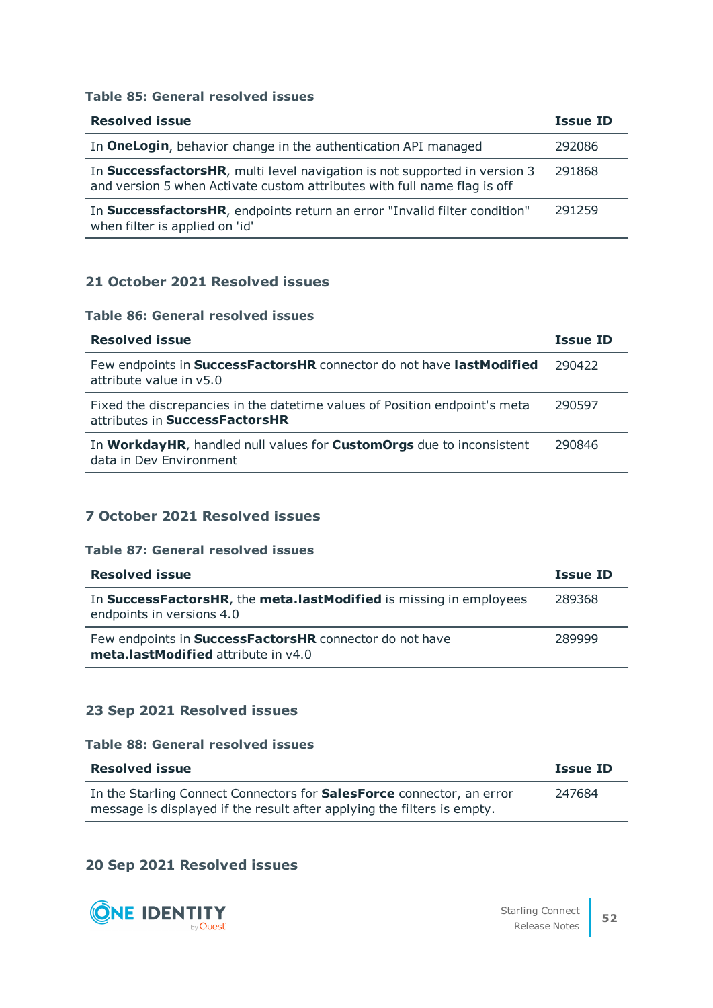#### **Table 85: General resolved issues**

| <b>Resolved issue</b>                                                                                                                                 | <b>Issue ID</b> |
|-------------------------------------------------------------------------------------------------------------------------------------------------------|-----------------|
| In OneLogin, behavior change in the authentication API managed                                                                                        | 292086          |
| In SuccessfactorsHR, multi level navigation is not supported in version 3<br>and version 5 when Activate custom attributes with full name flag is off | 291868          |
| In SuccessfactorsHR, endpoints return an error "Invalid filter condition"<br>when filter is applied on 'id'                                           | 291259          |

# <span id="page-51-0"></span>**21 October 2021 Resolved issues**

#### **Table 86: General resolved issues**

| <b>Resolved issue</b>                                                                                        | <b>Issue ID</b> |
|--------------------------------------------------------------------------------------------------------------|-----------------|
| Few endpoints in SuccessFactorsHR connector do not have lastModified<br>attribute value in v5.0              | 290422          |
| Fixed the discrepancies in the datetime values of Position endpoint's meta<br>attributes in SuccessFactorsHR | 290597          |
| In WorkdayHR, handled null values for CustomOrgs due to inconsistent<br>data in Dev Environment              | 290846          |

# <span id="page-51-1"></span>**7 October 2021 Resolved issues**

#### **Table 87: General resolved issues**

| <b>Resolved issue</b>                                                                           | Issue ID |
|-------------------------------------------------------------------------------------------------|----------|
| In SuccessFactorsHR, the meta.lastModified is missing in employees<br>endpoints in versions 4.0 | 289368   |
| Few endpoints in SuccessFactorsHR connector do not have<br>meta.lastModified attribute in v4.0  | 289999   |

# <span id="page-51-2"></span>**23 Sep 2021 Resolved issues**

#### **Table 88: General resolved issues**

| <b>Resolved issue</b>                                                                                                                            | <b>Issue ID</b> |
|--------------------------------------------------------------------------------------------------------------------------------------------------|-----------------|
| In the Starling Connect Connectors for SalesForce connector, an error<br>message is displayed if the result after applying the filters is empty. | 247684          |

# **20 Sep 2021 Resolved issues**

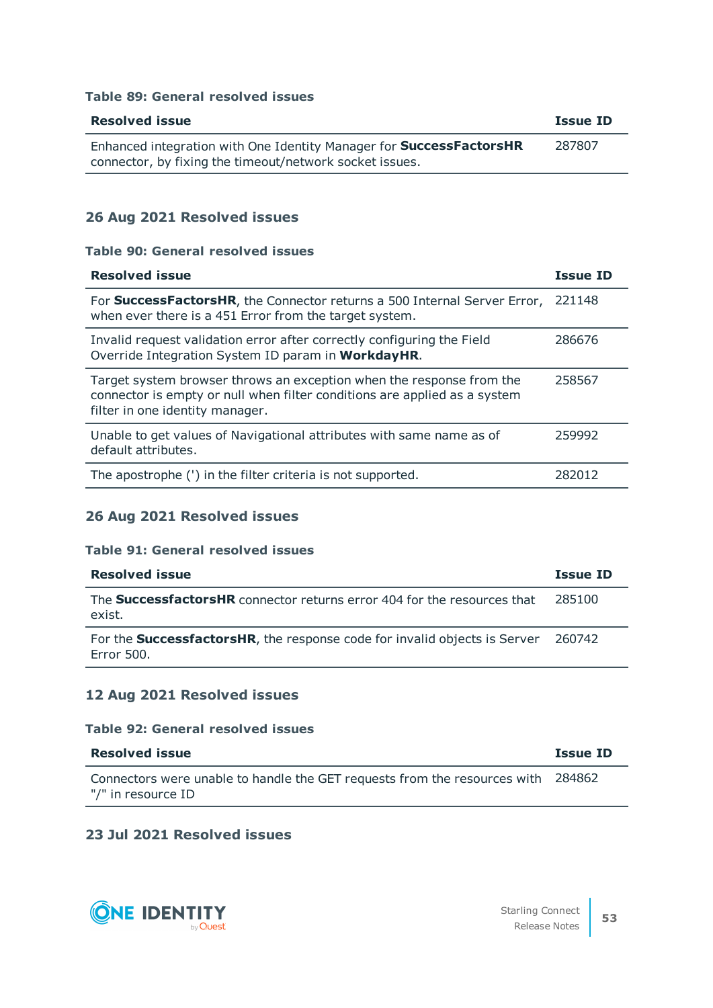#### **Table 89: General resolved issues**

| <b>Resolved issue</b>                                                                                                          | <b>Issue ID</b> |
|--------------------------------------------------------------------------------------------------------------------------------|-----------------|
| Enhanced integration with One Identity Manager for SuccessFactorsHR<br>connector, by fixing the timeout/network socket issues. | 287807          |

# <span id="page-52-0"></span>**26 Aug 2021 Resolved issues**

#### **Table 90: General resolved issues**

| <b>Resolved issue</b>                                                                                                                                                                | <b>Issue ID</b> |
|--------------------------------------------------------------------------------------------------------------------------------------------------------------------------------------|-----------------|
| For SuccessFactorsHR, the Connector returns a 500 Internal Server Error,<br>when ever there is a 451 Error from the target system.                                                   | 221148          |
| Invalid request validation error after correctly configuring the Field<br>Override Integration System ID param in WorkdayHR.                                                         | 286676          |
| Target system browser throws an exception when the response from the<br>connector is empty or null when filter conditions are applied as a system<br>filter in one identity manager. | 258567          |
| Unable to get values of Navigational attributes with same name as of<br>default attributes.                                                                                          | 259992          |
| The apostrophe (') in the filter criteria is not supported.                                                                                                                          | 282012          |

# **26 Aug 2021 Resolved issues**

# **Table 91: General resolved issues**

| <b>Resolved issue</b>                                                                                  | <b>Issue ID</b> |
|--------------------------------------------------------------------------------------------------------|-----------------|
| The <b>SuccessfactorsHR</b> connector returns error 404 for the resources that<br>exist.               | 285100          |
| For the <b>SuccessfactorsHR</b> , the response code for invalid objects is Server 260742<br>Error 500. |                 |

# **12 Aug 2021 Resolved issues**

# **Table 92: General resolved issues**

| Connectors were unable to handle the GET requests from the resources with 284862<br>"/" in resource ID |  |
|--------------------------------------------------------------------------------------------------------|--|

# **23 Jul 2021 Resolved issues**

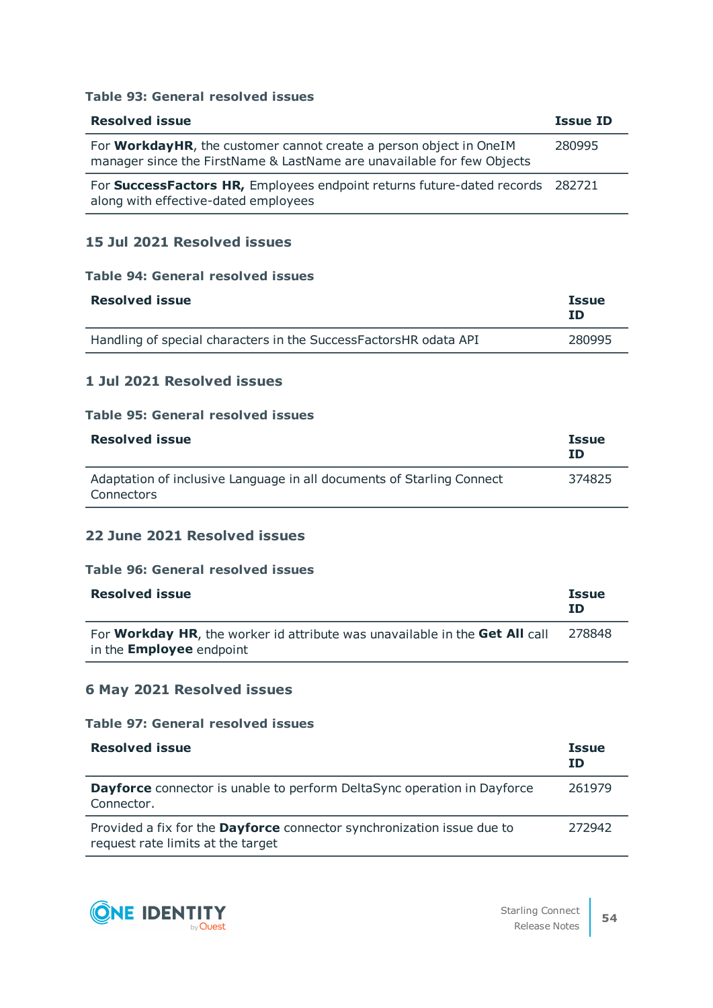#### **Table 93: General resolved issues**

| <b>Resolved issue</b>                                                                                                                                | <b>Issue ID</b> |
|------------------------------------------------------------------------------------------------------------------------------------------------------|-----------------|
| For <b>WorkdayHR</b> , the customer cannot create a person object in OneIM<br>manager since the FirstName & LastName are unavailable for few Objects | 280995          |
| For SuccessFactors HR, Employees endpoint returns future-dated records 282721<br>along with effective-dated employees                                |                 |

# **15 Jul 2021 Resolved issues**

#### **Table 94: General resolved issues**

| <b>Resolved issue</b>                                            | <b>Issue</b><br>ΙD |
|------------------------------------------------------------------|--------------------|
| Handling of special characters in the SuccessFactorsHR odata API | 280995             |

# **1 Jul 2021 Resolved issues**

#### **Table 95: General resolved issues**

| <b>Resolved issue</b>                                                               | <b>Issue</b><br>ΙD |
|-------------------------------------------------------------------------------------|--------------------|
| Adaptation of inclusive Language in all documents of Starling Connect<br>Connectors | 374825             |

# **22 June 2021 Resolved issues**

#### **Table 96: General resolved issues**

| <b>Resolved issue</b>                                                                                          | <b>Issue</b><br>ΙD |
|----------------------------------------------------------------------------------------------------------------|--------------------|
| For Workday HR, the worker id attribute was unavailable in the Get All call<br>in the <b>Employee</b> endpoint | 278848             |

# <span id="page-53-0"></span>**6 May 2021 Resolved issues**

#### **Table 97: General resolved issues**

| <b>Resolved issue</b>                                                                                              | <b>Issue</b><br>ΙD |
|--------------------------------------------------------------------------------------------------------------------|--------------------|
| <b>Dayforce</b> connector is unable to perform DeltaSync operation in Dayforce<br>Connector.                       | 261979             |
| Provided a fix for the <b>Dayforce</b> connector synchronization issue due to<br>request rate limits at the target | 272942             |

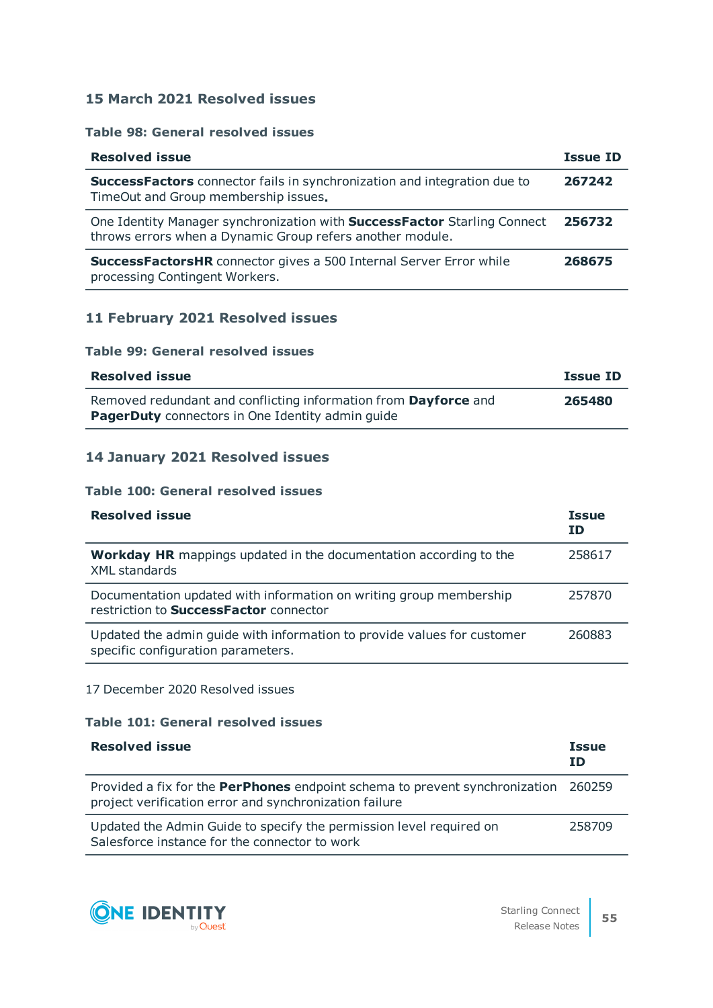# **15 March 2021 Resolved issues**

# **Table 98: General resolved issues**

| <b>Resolved issue</b>                                                                                                                        | <b>Issue ID</b> |
|----------------------------------------------------------------------------------------------------------------------------------------------|-----------------|
| SuccessFactors connector fails in synchronization and integration due to<br>TimeOut and Group membership issues.                             | 267242          |
| One Identity Manager synchronization with <b>SuccessFactor</b> Starling Connect<br>throws errors when a Dynamic Group refers another module. | 256732          |
| <b>SuccessFactorsHR</b> connector gives a 500 Internal Server Error while<br>processing Contingent Workers.                                  | 268675          |

# **11 February 2021 Resolved issues**

#### **Table 99: General resolved issues**

| <b>Resolved issue</b>                                                                                                      | <b>Issue ID</b> |
|----------------------------------------------------------------------------------------------------------------------------|-----------------|
| Removed redundant and conflicting information from Dayforce and<br><b>PagerDuty</b> connectors in One Identity admin quide | 265480          |

# **14 January 2021 Resolved issues**

#### **Table 100: General resolved issues**

| <b>Resolved issue</b>                                                                                               | <b>Issue</b><br>ΙD |
|---------------------------------------------------------------------------------------------------------------------|--------------------|
| <b>Workday HR</b> mappings updated in the documentation according to the<br><b>XML</b> standards                    | 258617             |
| Documentation updated with information on writing group membership<br>restriction to <b>SuccessFactor</b> connector | 257870             |
| Updated the admin guide with information to provide values for customer<br>specific configuration parameters.       | 260883             |

# 17 December 2020 Resolved issues

#### **Table 101: General resolved issues**

| <b>Resolved issue</b>                                                                                                                        | <b>Issue</b><br><b>ID</b> |
|----------------------------------------------------------------------------------------------------------------------------------------------|---------------------------|
| Provided a fix for the PerPhones endpoint schema to prevent synchronization 260259<br>project verification error and synchronization failure |                           |
| Updated the Admin Guide to specify the permission level required on<br>Salesforce instance for the connector to work                         | 258709                    |

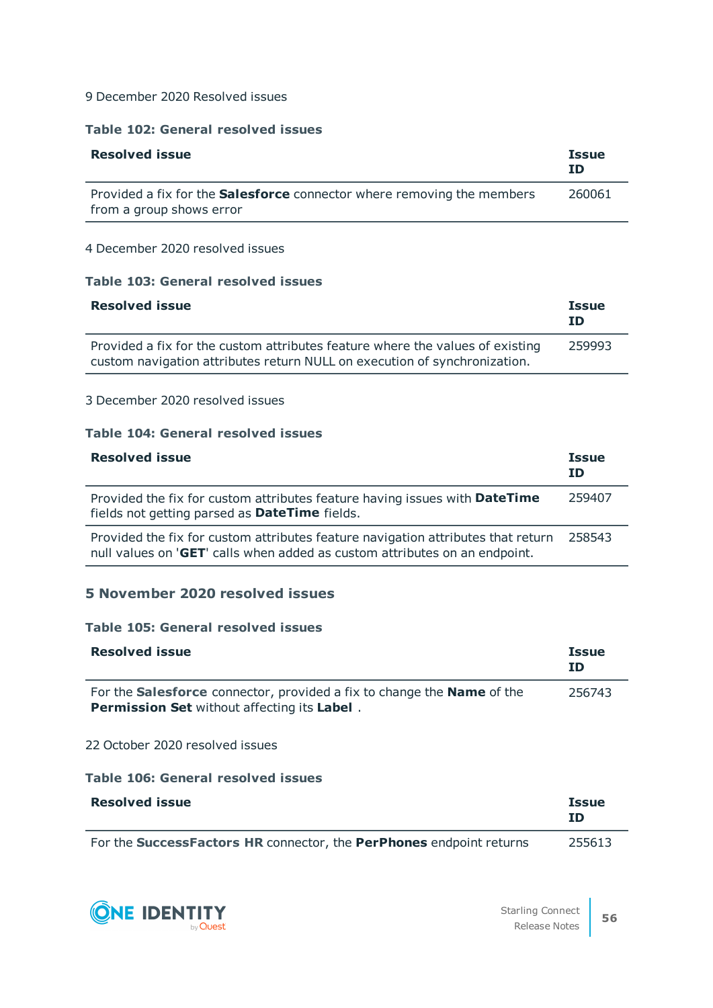#### 9 December 2020 Resolved issues

# **Table 102: General resolved issues**

| <b>Resolved issue</b>                                                                                     | <b>Issue</b><br>ΙD |
|-----------------------------------------------------------------------------------------------------------|--------------------|
| Provided a fix for the <b>Salesforce</b> connector where removing the members<br>from a group shows error | 260061             |

#### 4 December 2020 resolved issues

#### **Table 103: General resolved issues**

| <b>Resolved issue</b>                                                                                                                                      | <b>Issue</b><br>ΙD |
|------------------------------------------------------------------------------------------------------------------------------------------------------------|--------------------|
| Provided a fix for the custom attributes feature where the values of existing<br>custom navigation attributes return NULL on execution of synchronization. | 259993             |

#### 3 December 2020 resolved issues

#### **Table 104: General resolved issues**

| <b>Resolved issue</b>                                                                                                                                          | <b>Issue</b><br>ΙD |
|----------------------------------------------------------------------------------------------------------------------------------------------------------------|--------------------|
| Provided the fix for custom attributes feature having issues with <b>DateTime</b><br>fields not getting parsed as <b>DateTime</b> fields.                      | 259407             |
| Provided the fix for custom attributes feature navigation attributes that return<br>null values on 'GET' calls when added as custom attributes on an endpoint. | 258543             |

# <span id="page-55-0"></span>**5 November 2020 resolved issues**

# **Table 105: General resolved issues**

| <b>Resolved issue</b>                                                                                                 | Issue<br>ΙD |
|-----------------------------------------------------------------------------------------------------------------------|-------------|
| For the Salesforce connector, provided a fix to change the Name of the<br>Permission Set without affecting its Label. | 256743      |
| 22 October 2020 resolved issues                                                                                       |             |
| <b>Table 106: General resolved issues</b>                                                                             |             |
| <b>Decolved iccup</b>                                                                                                 | Теена       |

<span id="page-55-1"></span>

| <b>Resolved issue</b>                                               | <b>Issue</b><br>TD |
|---------------------------------------------------------------------|--------------------|
| For the SuccessFactors HR connector, the PerPhones endpoint returns | 255613             |

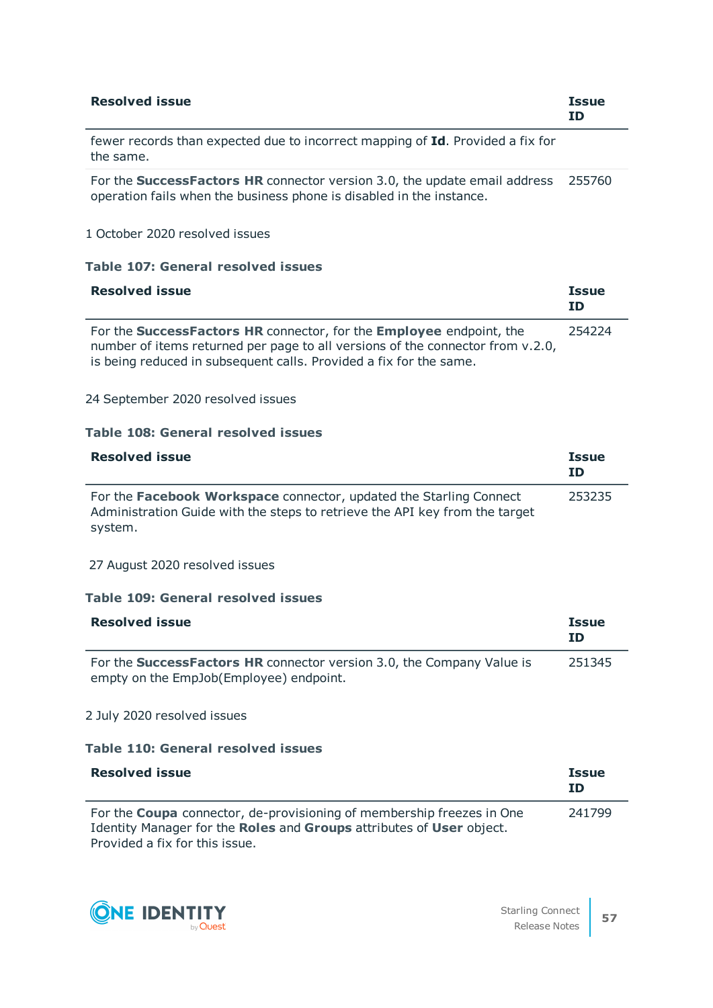| <b>Resolved issue</b>                                                                               | <b>Issue</b><br>TD |
|-----------------------------------------------------------------------------------------------------|--------------------|
| fewer records than expected due to incorrect mapping of <b>Id</b> . Provided a fix for<br>the same. |                    |

For the **SuccessFactors HR** connector version 3.0, the update email address 255760 operation fails when the business phone is disabled in the instance.

<span id="page-56-0"></span>1 October 2020 resolved issues

#### **Table 107: General resolved issues**

| <b>Resolved issue</b>                                                                                                                                                                                                       | <b>Issue</b><br>ΙD |
|-----------------------------------------------------------------------------------------------------------------------------------------------------------------------------------------------------------------------------|--------------------|
| For the SuccessFactors HR connector, for the Employee endpoint, the<br>number of items returned per page to all versions of the connector from v.2.0,<br>is being reduced in subsequent calls. Provided a fix for the same. | 254224             |

# 24 September 2020 resolved issues

#### **Table 108: General resolved issues**

| <b>Resolved issue</b>                                                                                                                                        | <b>Issue</b><br>ΙD |
|--------------------------------------------------------------------------------------------------------------------------------------------------------------|--------------------|
| For the Facebook Workspace connector, updated the Starling Connect<br>Administration Guide with the steps to retrieve the API key from the target<br>system. | 253235             |

# <span id="page-56-1"></span>27 August 2020 resolved issues

#### **Table 109: General resolved issues**

| <b>Resolved issue</b>                                                                                                   | <b>Issue</b><br>ΙD |
|-------------------------------------------------------------------------------------------------------------------------|--------------------|
| For the <b>SuccessFactors HR</b> connector version 3.0, the Company Value is<br>empty on the EmpJob(Employee) endpoint. | 251345             |
| 2 July 2020 resolved issues                                                                                             |                    |
| <b>Table 110: General resolved issues</b>                                                                               |                    |

<span id="page-56-2"></span>

| <b>Resolved issue</b>                                                                                                                                                           | <b>Issue</b><br><b>TD</b> |
|---------------------------------------------------------------------------------------------------------------------------------------------------------------------------------|---------------------------|
| For the Coupa connector, de-provisioning of membership freezes in One<br>Identity Manager for the Roles and Groups attributes of User object.<br>Provided a fix for this issue. | 241799                    |

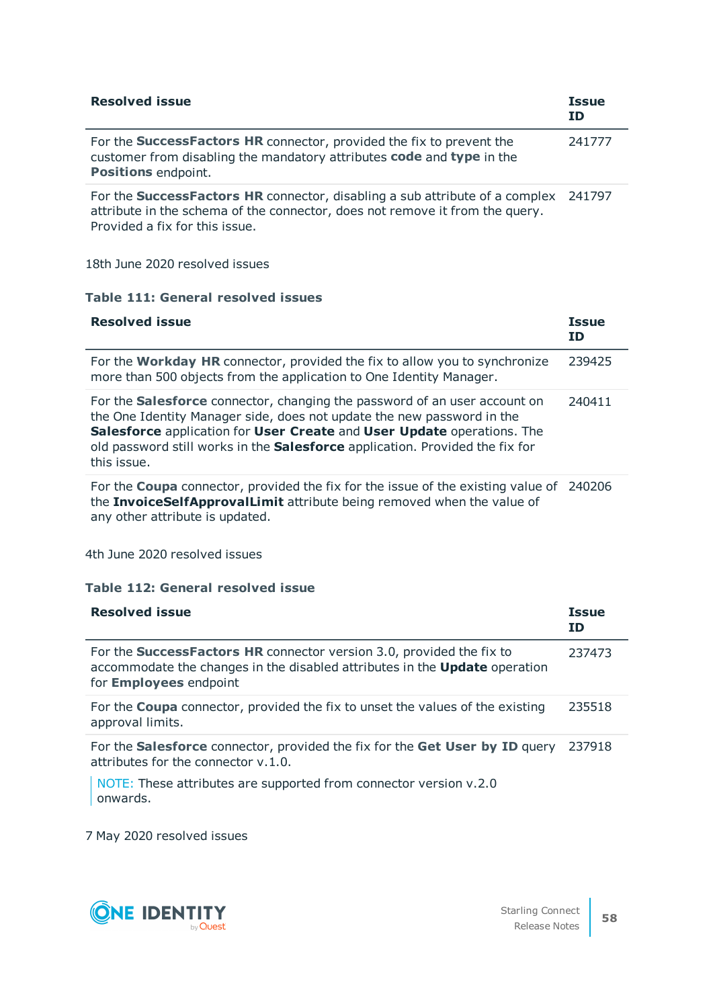| <b>Resolved issue</b>                                                                                                                                                                                | <b>Issue</b><br>ΙD |
|------------------------------------------------------------------------------------------------------------------------------------------------------------------------------------------------------|--------------------|
| For the SuccessFactors HR connector, provided the fix to prevent the<br>customer from disabling the mandatory attributes code and type in the<br>Positions endpoint.                                 | 241777             |
| For the SuccessFactors HR connector, disabling a sub attribute of a complex 241797<br>attribute in the schema of the connector, does not remove it from the query.<br>Provided a fix for this issue. |                    |

<span id="page-57-0"></span>18th June 2020 resolved issues

# **Table 111: General resolved issues**

| <b>Resolved issue</b>                                                                                                                                                                                                                                                                                                               | <b>Issue</b><br><b>ID</b> |
|-------------------------------------------------------------------------------------------------------------------------------------------------------------------------------------------------------------------------------------------------------------------------------------------------------------------------------------|---------------------------|
| For the <b>Workday HR</b> connector, provided the fix to allow you to synchronize<br>more than 500 objects from the application to One Identity Manager.                                                                                                                                                                            | 239425                    |
| For the <b>Salesforce</b> connector, changing the password of an user account on<br>the One Identity Manager side, does not update the new password in the<br>Salesforce application for User Create and User Update operations. The<br>old password still works in the Salesforce application. Provided the fix for<br>this issue. | 240411                    |
| For the <b>Coupa</b> connector, provided the fix for the issue of the existing value of 240206<br>the InvoiceSelfApprovalLimit attribute being removed when the value of<br>any other attribute is updated.                                                                                                                         |                           |

<span id="page-57-1"></span>4th June 2020 resolved issues

# **Table 112: General resolved issue**

| <b>Resolved issue</b>                                                                                                                                                                             | <b>Issue</b><br>ΙD |
|---------------------------------------------------------------------------------------------------------------------------------------------------------------------------------------------------|--------------------|
| For the <b>SuccessFactors HR</b> connector version 3.0, provided the fix to<br>accommodate the changes in the disabled attributes in the <b>Update</b> operation<br>for <b>Employees</b> endpoint | 237473             |
| For the <b>Coupa</b> connector, provided the fix to unset the values of the existing<br>approval limits.                                                                                          | 235518             |
| For the Salesforce connector, provided the fix for the Get User by ID query<br>attributes for the connector v.1.0.                                                                                | 237918             |
| NOTE: These attributes are supported from connector version v.2.0                                                                                                                                 |                    |

onwards.

<span id="page-57-2"></span>7 May 2020 resolved issues

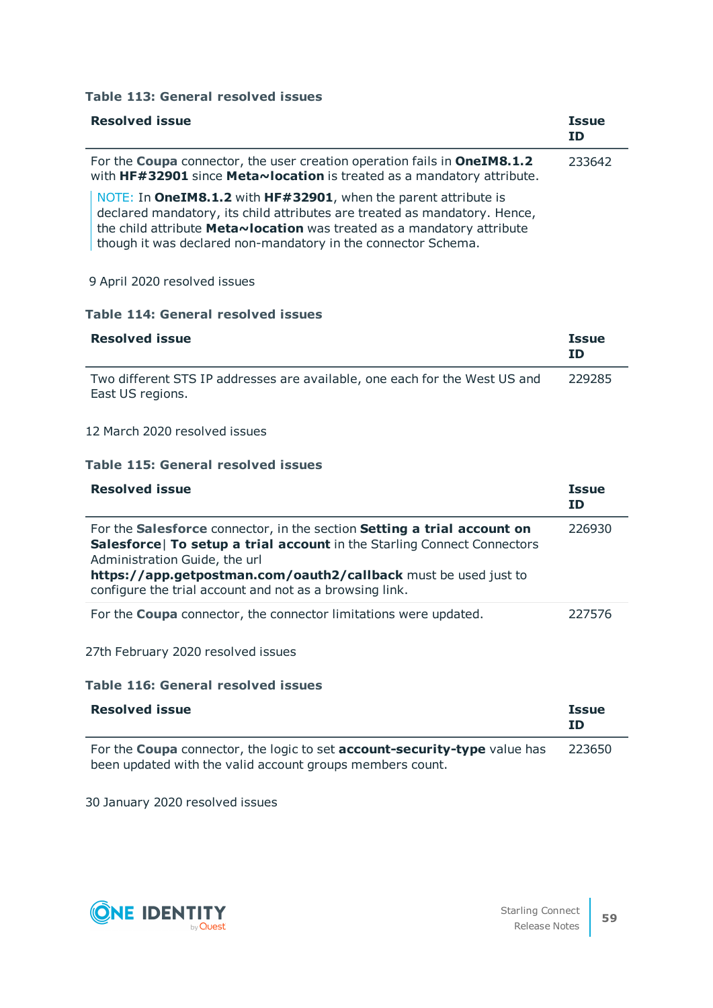#### **Table 113: General resolved issues**

| <b>Resolved issue</b>                                                                                                                                                                                                                                                                   | <b>Issue</b><br>ΙD |
|-----------------------------------------------------------------------------------------------------------------------------------------------------------------------------------------------------------------------------------------------------------------------------------------|--------------------|
| For the Coupa connector, the user creation operation fails in OneIM8.1.2<br>with $HF#32901$ since Meta $\sim$ location is treated as a mandatory attribute.                                                                                                                             | 233642             |
| NOTE: In OneIM8.1.2 with HF#32901, when the parent attribute is<br>declared mandatory, its child attributes are treated as mandatory. Hence,<br>the child attribute Meta~location was treated as a mandatory attribute<br>though it was declared non-mandatory in the connector Schema. |                    |
| 9 April 2020 resolved issues                                                                                                                                                                                                                                                            |                    |

<span id="page-58-0"></span>**Table 114: General resolved issues**

| <b>Resolved issue</b>                                                                          | <b>Issue</b><br>TD |
|------------------------------------------------------------------------------------------------|--------------------|
| Two different STS IP addresses are available, one each for the West US and<br>East US regions. | 229285             |

#### <span id="page-58-1"></span>12 March 2020 resolved issues

#### **Table 115: General resolved issues**

| <b>Resolved issue</b>                                                                                                                                                                                                                                                                                             | <b>Issue</b><br>ΙD |
|-------------------------------------------------------------------------------------------------------------------------------------------------------------------------------------------------------------------------------------------------------------------------------------------------------------------|--------------------|
| For the Salesforce connector, in the section Setting a trial account on<br>Salesforce  To setup a trial account in the Starling Connect Connectors<br>Administration Guide, the url<br>https://app.getpostman.com/oauth2/callback must be used just to<br>configure the trial account and not as a browsing link. | 226930             |
| For the <b>Coupa</b> connector, the connector limitations were updated.                                                                                                                                                                                                                                           | 227576             |

# <span id="page-58-2"></span>27th February 2020 resolved issues

#### **Table 116: General resolved issues**

| <b>Resolved issue</b>                                                     | <b>Issue</b><br>TD |
|---------------------------------------------------------------------------|--------------------|
| For the Coupa connector, the logic to set account-security-type value has | 223650             |
| been updated with the valid account groups members count.                 |                    |

<span id="page-58-3"></span>30 January 2020 resolved issues

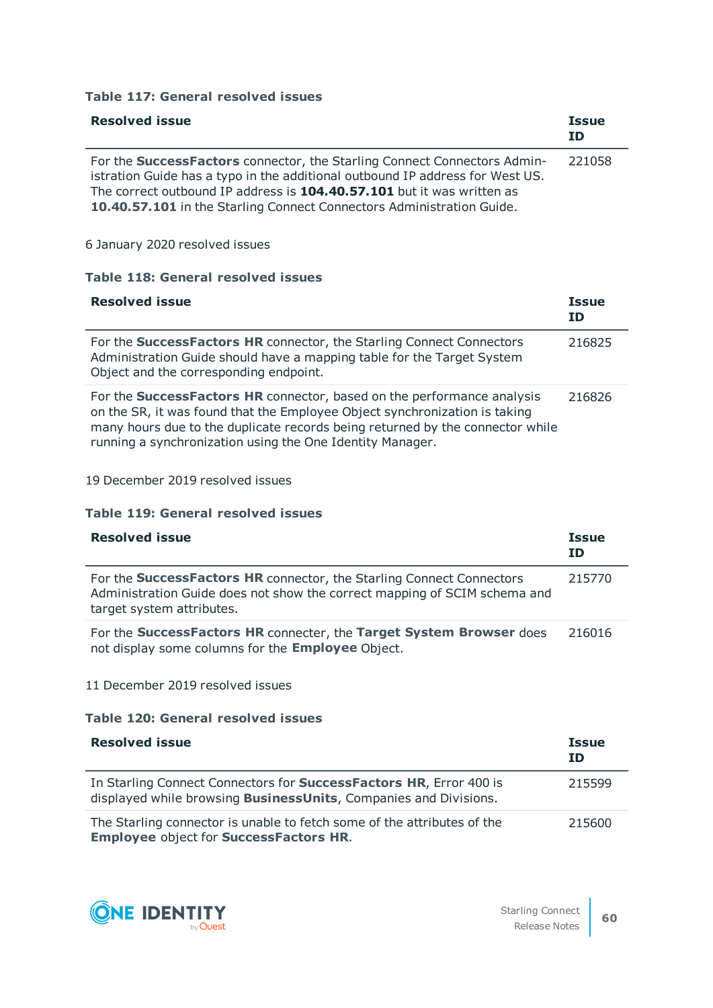#### **Table 117: General resolved issues**

| <b>Resolved issue</b>                                                                                                                                                                                                                                                                                        | <b>Issue</b><br>ΙD |
|--------------------------------------------------------------------------------------------------------------------------------------------------------------------------------------------------------------------------------------------------------------------------------------------------------------|--------------------|
| For the SuccessFactors connector, the Starling Connect Connectors Admin-<br>istration Guide has a typo in the additional outbound IP address for West US.<br>The correct outbound IP address is 104.40.57.101 but it was written as<br>10.40.57.101 in the Starling Connect Connectors Administration Guide. | 221058             |

# <span id="page-59-0"></span>6 January 2020 resolved issues

#### **Table 118: General resolved issues**

| <b>Resolved issue</b>                                                                                                                                                                                                                                                                              | <b>Issue</b><br>ΙD |
|----------------------------------------------------------------------------------------------------------------------------------------------------------------------------------------------------------------------------------------------------------------------------------------------------|--------------------|
| For the SuccessFactors HR connector, the Starling Connect Connectors<br>Administration Guide should have a mapping table for the Target System<br>Object and the corresponding endpoint.                                                                                                           | 216825             |
| For the SuccessFactors HR connector, based on the performance analysis<br>on the SR, it was found that the Employee Object synchronization is taking<br>many hours due to the duplicate records being returned by the connector while<br>running a synchronization using the One Identity Manager. | 216826             |

#### <span id="page-59-1"></span>19 December 2019 resolved issues

#### **Table 119: General resolved issues**

| <b>Resolved issue</b>                                                                                                                                                          | <b>Issue</b><br>ID. |
|--------------------------------------------------------------------------------------------------------------------------------------------------------------------------------|---------------------|
| For the SuccessFactors HR connector, the Starling Connect Connectors<br>Administration Guide does not show the correct mapping of SCIM schema and<br>target system attributes. | 215770              |
| For the SuccessFactors HR connecter, the Target System Browser does<br>not display some columns for the <b>Employee</b> Object.                                                | 216016              |
| 11 December 2019 resolved issues                                                                                                                                               |                     |

# <span id="page-59-2"></span>**Table 120: General resolved issues**

| <b>Resolved issue</b>                                                                                                                                  | <b>Issue</b><br>ΙD |
|--------------------------------------------------------------------------------------------------------------------------------------------------------|--------------------|
| In Starling Connect Connectors for <b>SuccessFactors HR</b> , Error 400 is<br>displayed while browsing <b>BusinessUnits</b> , Companies and Divisions. | 215599             |
| The Starling connector is unable to fetch some of the attributes of the<br><b>Employee object for SuccessFactors HR.</b>                               | 215600             |

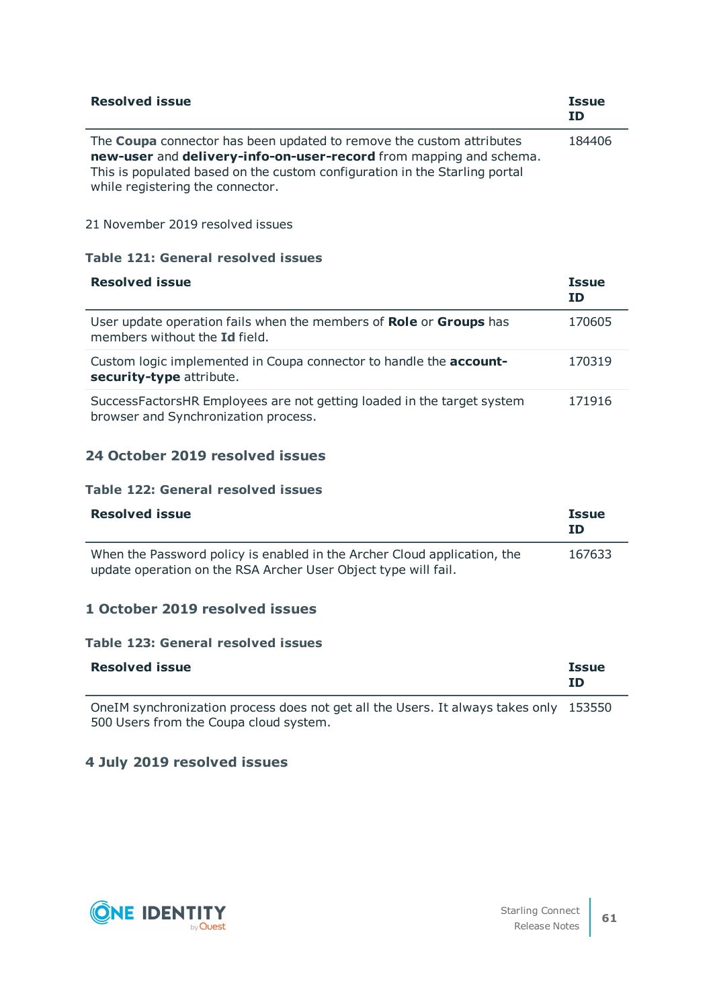| <b>Resolved issue</b>                                                                                                                                                                                                           | <b>Issue</b><br>ΙD |
|---------------------------------------------------------------------------------------------------------------------------------------------------------------------------------------------------------------------------------|--------------------|
| The <b>Coupa</b> connector has been updated to remove the custom attributes<br>new-user and delivery-info-on-user-record from mapping and schema.<br>This is populated based on the custom configuration in the Starling portal | 184406             |
| while registering the connector.                                                                                                                                                                                                |                    |

<span id="page-60-0"></span>21 November 2019 resolved issues

### **Table 121: General resolved issues**

| <b>Resolved issue</b>                                                                                             | <b>Issue</b><br>ΙD |
|-------------------------------------------------------------------------------------------------------------------|--------------------|
| User update operation fails when the members of <b>Role</b> or <b>Groups</b> has<br>members without the Id field. | 170605             |
| Custom logic implemented in Coupa connector to handle the <b>account-</b><br>security-type attribute.             | 170319             |
| SuccessFactorsHR Employees are not getting loaded in the target system<br>browser and Synchronization process.    | 171916             |

# <span id="page-60-1"></span>**24 October 2019 resolved issues**

#### **Table 122: General resolved issues**

| <b>Resolved issue</b>                                                                                                                      | <b>Issue</b><br>ΙD |
|--------------------------------------------------------------------------------------------------------------------------------------------|--------------------|
| When the Password policy is enabled in the Archer Cloud application, the<br>update operation on the RSA Archer User Object type will fail. | 167633             |

# <span id="page-60-2"></span>**1 October 2019 resolved issues**

#### **Table 123: General resolved issues**

| <b>Resolved issue</b> | <b>Issue</b> |
|-----------------------|--------------|
|                       | ΙD           |

OneIM synchronization process does not get all the Users. It always takes only 153550 500 Users from the Coupa cloud system.

# <span id="page-60-3"></span>**4 July 2019 resolved issues**

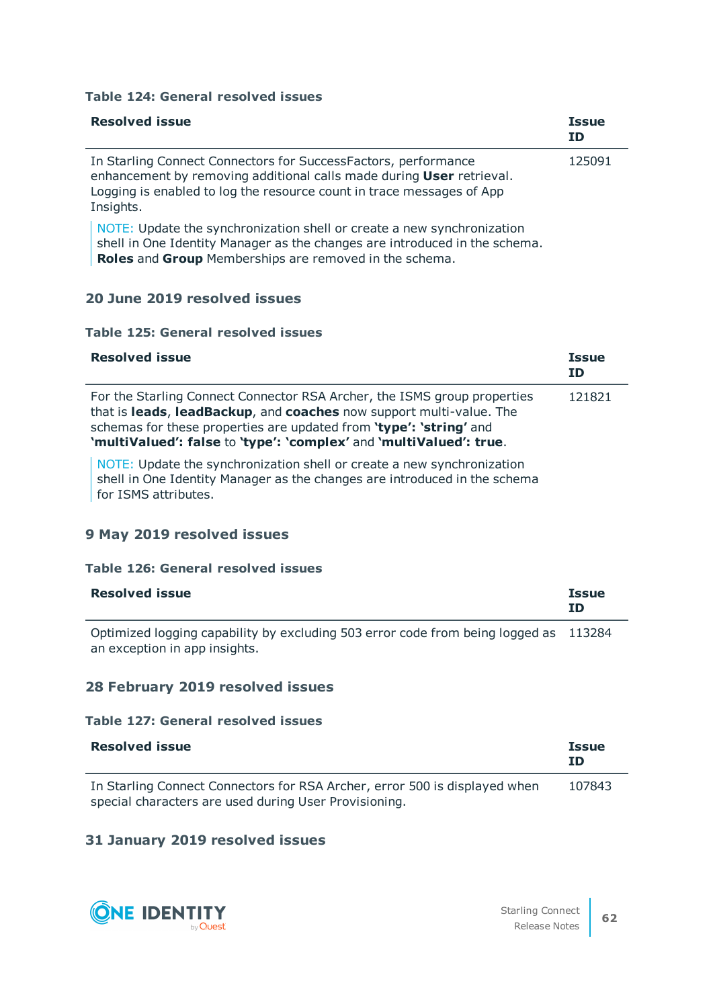#### **Table 124: General resolved issues**

| <b>Resolved issue</b>                                                                                                                                                                                                        | <b>Issue</b><br><b>ID</b> |
|------------------------------------------------------------------------------------------------------------------------------------------------------------------------------------------------------------------------------|---------------------------|
| In Starling Connect Connectors for SuccessFactors, performance<br>enhancement by removing additional calls made during User retrieval.<br>Logging is enabled to log the resource count in trace messages of App<br>Insights. | 125091                    |
| NOTE: Update the synchronization shell or create a new synchronization<br>shell in One Identity Manager as the changes are introduced in the schema.                                                                         |                           |

**Roles** and **Group** Memberships are removed in the schema.

# <span id="page-61-0"></span>**20 June 2019 resolved issues**

#### **Table 125: General resolved issues**

| <b>Resolved issue</b>                                                                                                                                                                                                                                                                       | <b>Issue</b><br><b>ID</b> |
|---------------------------------------------------------------------------------------------------------------------------------------------------------------------------------------------------------------------------------------------------------------------------------------------|---------------------------|
| For the Starling Connect Connector RSA Archer, the ISMS group properties<br>that is leads, leadBackup, and coaches now support multi-value. The<br>schemas for these properties are updated from 'type': 'string' and<br>'multiValued': false to 'type': 'complex' and 'multiValued': true. | 121821                    |

NOTE: Update the synchronization shell or create a new synchronization shell in One Identity Manager as the changes are introduced in the schema for ISMS attributes.

# <span id="page-61-1"></span>**9 May 2019 resolved issues**

#### **Table 126: General resolved issues**

| <b>Resolved issue</b>                                                                | <b>Issue</b><br>ΙD |
|--------------------------------------------------------------------------------------|--------------------|
| Optimized logging capability by excluding 503 error code from being logged as 113284 |                    |
| an exception in app insights.                                                        |                    |

# <span id="page-61-2"></span>**28 February 2019 resolved issues**

# **Table 127: General resolved issues**

| <b>Resolved issue</b>                                                      | <b>Issue</b><br>ΙD |
|----------------------------------------------------------------------------|--------------------|
| In Starling Connect Connectors for RSA Archer, error 500 is displayed when | 107843             |
| special characters are used during User Provisioning.                      |                    |

# <span id="page-61-3"></span>**31 January 2019 resolved issues**

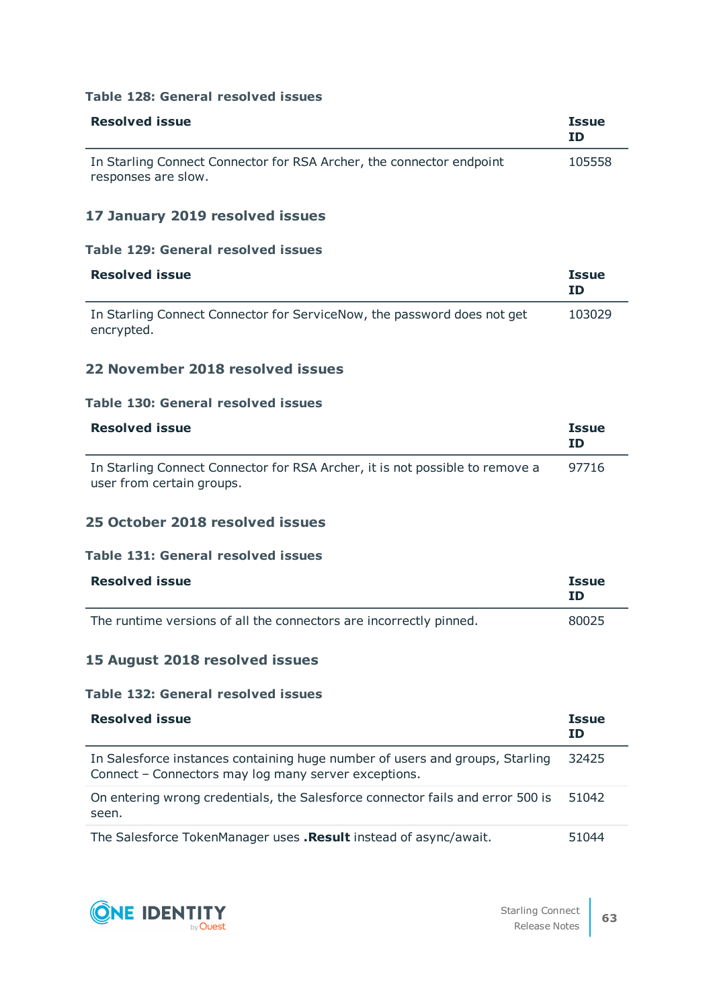#### **Table 128: General resolved issues**

| <b>Resolved issue</b>                                                | <b>Issue</b><br>ΙD |
|----------------------------------------------------------------------|--------------------|
| In Starling Connect Connector for RSA Archer, the connector endpoint | 105558             |
| responses are slow.                                                  |                    |

# <span id="page-62-0"></span>**17 January 2019 resolved issues**

# **Table 129: General resolved issues**

| <b>Resolved issue</b>                                                                 | <b>Issue</b><br>ΙD |
|---------------------------------------------------------------------------------------|--------------------|
| In Starling Connect Connector for ServiceNow, the password does not get<br>encrypted. | 103029             |

# <span id="page-62-1"></span>**22 November 2018 resolved issues**

#### **Table 130: General resolved issues**

| <b>Resolved issue</b>                                                                                     | <b>Issue</b><br>ID |
|-----------------------------------------------------------------------------------------------------------|--------------------|
| In Starling Connect Connector for RSA Archer, it is not possible to remove a<br>user from certain groups. | 97716              |

# <span id="page-62-2"></span>**25 October 2018 resolved issues**

#### **Table 131: General resolved issues**

| <b>Resolved issue</b>                                              | <b>Issue</b><br>ΙD |
|--------------------------------------------------------------------|--------------------|
| The runtime versions of all the connectors are incorrectly pinned. | 80025              |

# <span id="page-62-3"></span>**15 August 2018 resolved issues**

#### **Table 132: General resolved issues**

| <b>Resolved issue</b>                                                                                                                | <b>Issue</b><br>ΙD |
|--------------------------------------------------------------------------------------------------------------------------------------|--------------------|
| In Salesforce instances containing huge number of users and groups, Starling<br>Connect - Connectors may log many server exceptions. | 32425              |
| On entering wrong credentials, the Salesforce connector fails and error 500 is<br>seen.                                              | 51042              |
| The Salesforce TokenManager uses . Result instead of async/await.                                                                    | 51044              |

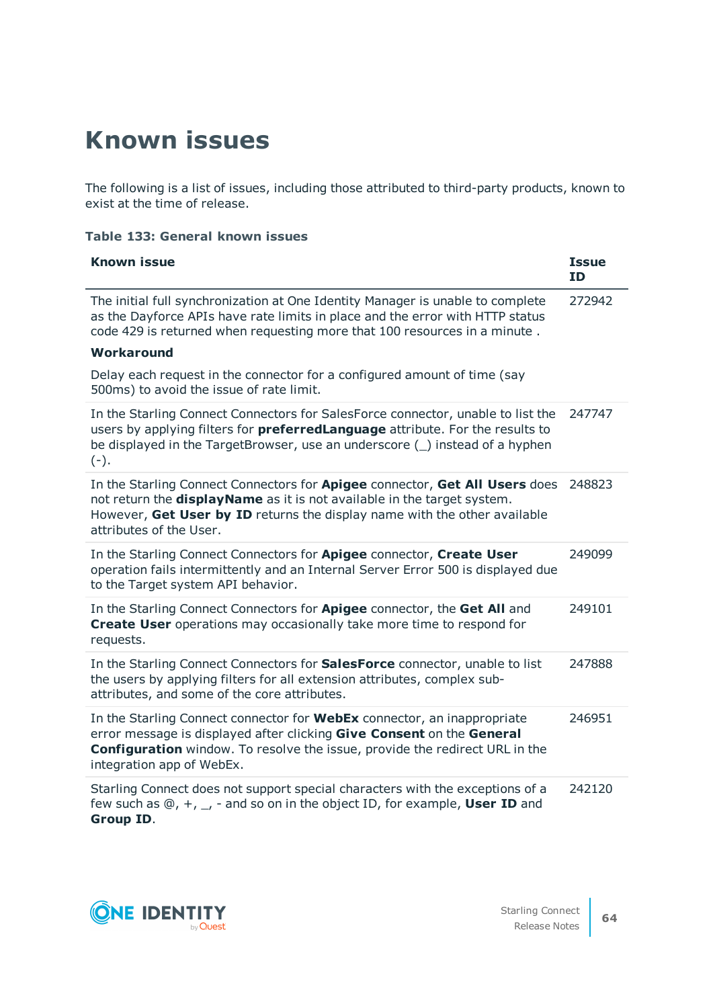# <span id="page-63-1"></span><span id="page-63-0"></span>**Known issues**

The following is a list of issues, including those attributed to third-party products, known to exist at the time of release.

#### **Table 133: General known issues**

| <b>Known issue</b>                                                                                                                                                                                                                                              | <b>Issue</b><br><b>ID</b> |
|-----------------------------------------------------------------------------------------------------------------------------------------------------------------------------------------------------------------------------------------------------------------|---------------------------|
| The initial full synchronization at One Identity Manager is unable to complete<br>as the Dayforce APIs have rate limits in place and the error with HTTP status<br>code 429 is returned when requesting more that 100 resources in a minute.                    | 272942                    |
| Workaround                                                                                                                                                                                                                                                      |                           |
| Delay each request in the connector for a configured amount of time (say<br>500ms) to avoid the issue of rate limit.                                                                                                                                            |                           |
| In the Starling Connect Connectors for SalesForce connector, unable to list the<br>users by applying filters for preferredLanguage attribute. For the results to<br>be displayed in the TargetBrowser, use an underscore (_) instead of a hyphen<br>$(-)$ .     | 247747                    |
| In the Starling Connect Connectors for Apigee connector, Get All Users does<br>not return the display Name as it is not available in the target system.<br>However, Get User by ID returns the display name with the other available<br>attributes of the User. | 248823                    |
| In the Starling Connect Connectors for Apigee connector, Create User<br>operation fails intermittently and an Internal Server Error 500 is displayed due<br>to the Target system API behavior.                                                                  | 249099                    |
| In the Starling Connect Connectors for Apigee connector, the Get All and<br><b>Create User</b> operations may occasionally take more time to respond for<br>requests.                                                                                           | 249101                    |
| In the Starling Connect Connectors for SalesForce connector, unable to list<br>the users by applying filters for all extension attributes, complex sub-<br>attributes, and some of the core attributes.                                                         | 247888                    |
| In the Starling Connect connector for WebEx connector, an inappropriate<br>error message is displayed after clicking Give Consent on the General<br>Configuration window. To resolve the issue, provide the redirect URL in the<br>integration app of WebEx.    | 246951                    |
| Starling Connect does not support special characters with the exceptions of a<br>few such as $@$ , $+$ , $\_$ , $-$ and so on in the object ID, for example, User ID and<br>Group ID.                                                                           | 242120                    |

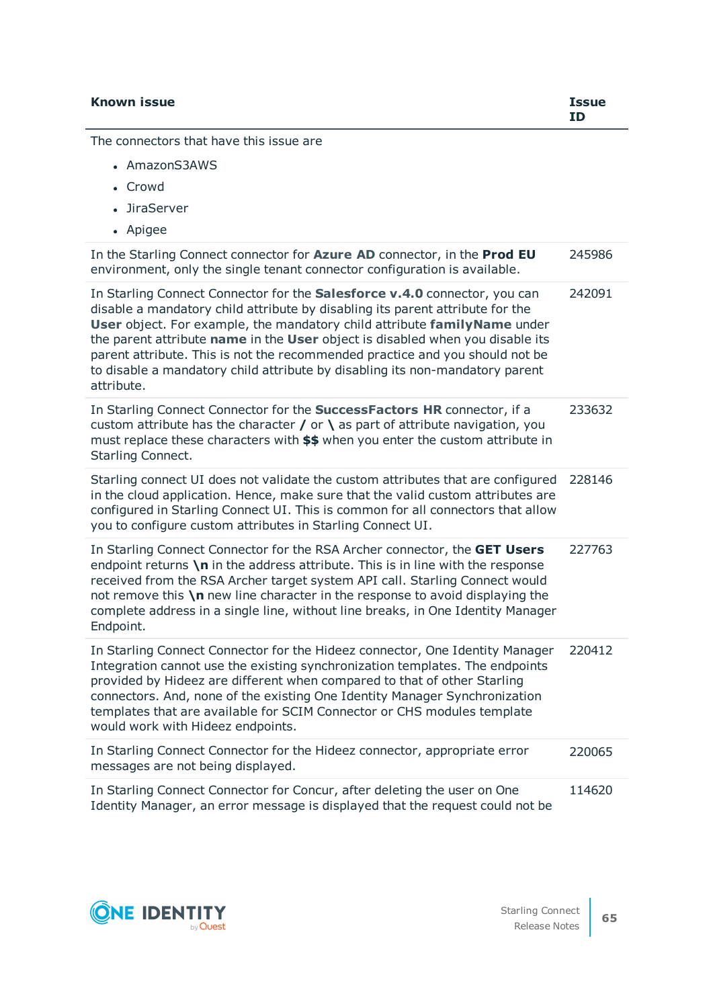The connectors that have this issue are

- AmazonS3AWS
- Crowd
- JiraServer
- Apigee

| In the Starling Connect connector for Azure AD connector, in the Prod EU<br>environment, only the single tenant connector configuration is available.                                                                                                                                                                                                                                                                                                                                                  | 245986 |
|--------------------------------------------------------------------------------------------------------------------------------------------------------------------------------------------------------------------------------------------------------------------------------------------------------------------------------------------------------------------------------------------------------------------------------------------------------------------------------------------------------|--------|
| In Starling Connect Connector for the Salesforce v.4.0 connector, you can<br>disable a mandatory child attribute by disabling its parent attribute for the<br>User object. For example, the mandatory child attribute family Name under<br>the parent attribute name in the User object is disabled when you disable its<br>parent attribute. This is not the recommended practice and you should not be<br>to disable a mandatory child attribute by disabling its non-mandatory parent<br>attribute. | 242091 |
| In Starling Connect Connector for the SuccessFactors HR connector, if a<br>custom attribute has the character $\prime$ or $\setminus$ as part of attribute navigation, you<br>must replace these characters with \$\$ when you enter the custom attribute in<br>Starling Connect.                                                                                                                                                                                                                      | 233632 |
| Starling connect UI does not validate the custom attributes that are configured<br>in the cloud application. Hence, make sure that the valid custom attributes are<br>configured in Starling Connect UI. This is common for all connectors that allow<br>you to configure custom attributes in Starling Connect UI.                                                                                                                                                                                    | 228146 |
| In Starling Connect Connector for the RSA Archer connector, the GET Users<br>endpoint returns $\ln$ in the address attribute. This is in line with the response<br>received from the RSA Archer target system API call. Starling Connect would<br>not remove this $\ln$ new line character in the response to avoid displaying the<br>complete address in a single line, without line breaks, in One Identity Manager<br>Endpoint.                                                                     | 227763 |
| In Starling Connect Connector for the Hideez connector, One Identity Manager<br>Integration cannot use the existing synchronization templates. The endpoints<br>provided by Hideez are different when compared to that of other Starling<br>connectors. And, none of the existing One Identity Manager Synchronization<br>templates that are available for SCIM Connector or CHS modules template<br>would work with Hideez endpoints.                                                                 | 220412 |
| In Starling Connect Connector for the Hideez connector, appropriate error<br>messages are not being displayed.                                                                                                                                                                                                                                                                                                                                                                                         | 220065 |
| In Starling Connect Connector for Concur, after deleting the user on One<br>Identity Manager, an error message is displayed that the request could not be                                                                                                                                                                                                                                                                                                                                              | 114620 |

<span id="page-64-0"></span>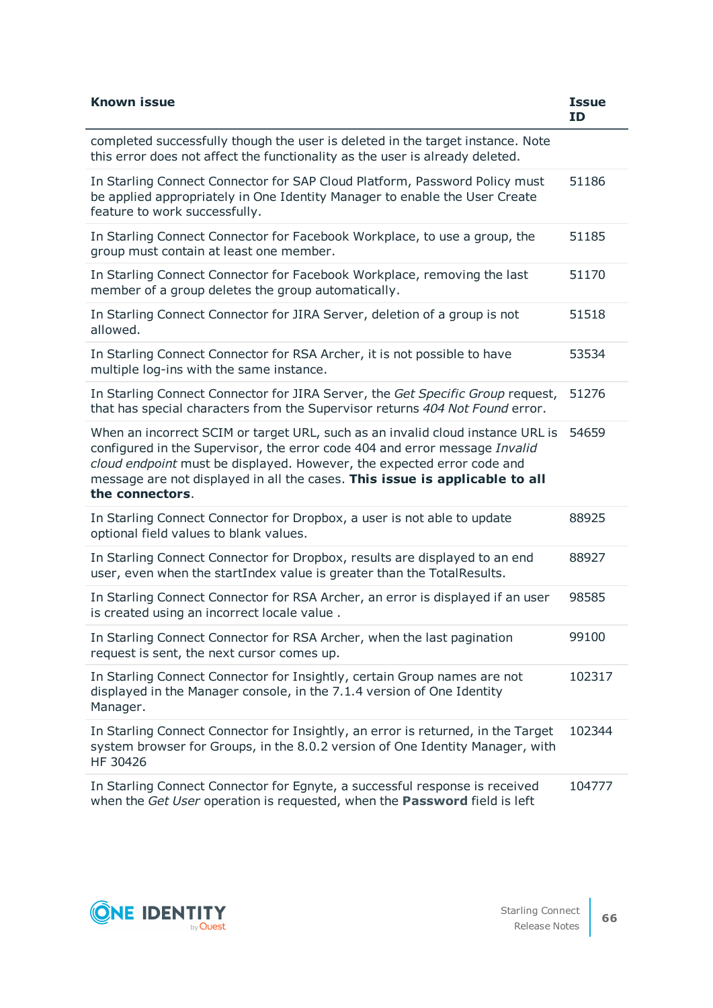| <b>Known issue</b>                                                                                                                                                                                                                                                                                                                       | <b>Issue</b><br><b>ID</b> |
|------------------------------------------------------------------------------------------------------------------------------------------------------------------------------------------------------------------------------------------------------------------------------------------------------------------------------------------|---------------------------|
| completed successfully though the user is deleted in the target instance. Note<br>this error does not affect the functionality as the user is already deleted.                                                                                                                                                                           |                           |
| In Starling Connect Connector for SAP Cloud Platform, Password Policy must<br>be applied appropriately in One Identity Manager to enable the User Create<br>feature to work successfully.                                                                                                                                                | 51186                     |
| In Starling Connect Connector for Facebook Workplace, to use a group, the<br>group must contain at least one member.                                                                                                                                                                                                                     | 51185                     |
| In Starling Connect Connector for Facebook Workplace, removing the last<br>member of a group deletes the group automatically.                                                                                                                                                                                                            | 51170                     |
| In Starling Connect Connector for JIRA Server, deletion of a group is not<br>allowed.                                                                                                                                                                                                                                                    | 51518                     |
| In Starling Connect Connector for RSA Archer, it is not possible to have<br>multiple log-ins with the same instance.                                                                                                                                                                                                                     | 53534                     |
| In Starling Connect Connector for JIRA Server, the Get Specific Group request,<br>that has special characters from the Supervisor returns 404 Not Found error.                                                                                                                                                                           | 51276                     |
| When an incorrect SCIM or target URL, such as an invalid cloud instance URL is<br>configured in the Supervisor, the error code 404 and error message Invalid<br>cloud endpoint must be displayed. However, the expected error code and<br>message are not displayed in all the cases. This issue is applicable to all<br>the connectors. | 54659                     |
| In Starling Connect Connector for Dropbox, a user is not able to update<br>optional field values to blank values.                                                                                                                                                                                                                        | 88925                     |
| In Starling Connect Connector for Dropbox, results are displayed to an end<br>user, even when the startIndex value is greater than the TotalResults.                                                                                                                                                                                     | 88927                     |
| In Starling Connect Connector for RSA Archer, an error is displayed if an user<br>is created using an incorrect locale value.                                                                                                                                                                                                            | 98585                     |
| In Starling Connect Connector for RSA Archer, when the last pagination<br>request is sent, the next cursor comes up.                                                                                                                                                                                                                     | 99100                     |
| In Starling Connect Connector for Insightly, certain Group names are not<br>displayed in the Manager console, in the 7.1.4 version of One Identity<br>Manager.                                                                                                                                                                           | 102317                    |
| In Starling Connect Connector for Insightly, an error is returned, in the Target<br>system browser for Groups, in the 8.0.2 version of One Identity Manager, with<br>HF 30426                                                                                                                                                            | 102344                    |
| In Starling Connect Connector for Egnyte, a successful response is received<br>when the Get User operation is requested, when the Password field is left                                                                                                                                                                                 | 104777                    |

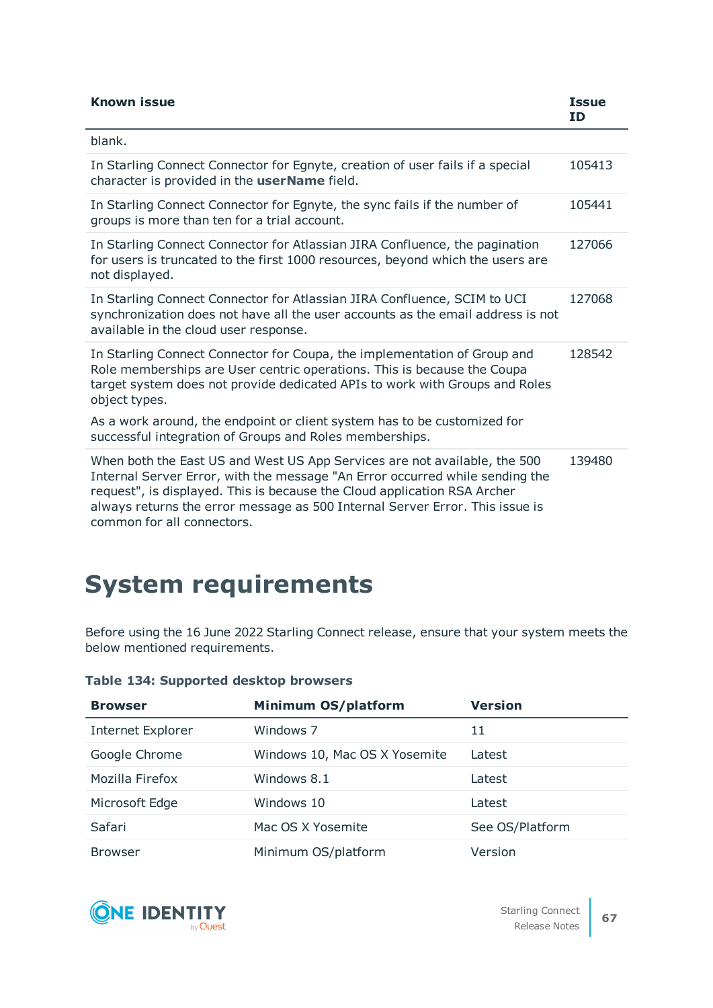| <b>Known issue</b>                                                                                                                                                                                                                                                                                                                                  | <b>Issue</b><br>ID |
|-----------------------------------------------------------------------------------------------------------------------------------------------------------------------------------------------------------------------------------------------------------------------------------------------------------------------------------------------------|--------------------|
| blank.                                                                                                                                                                                                                                                                                                                                              |                    |
| In Starling Connect Connector for Egnyte, creation of user fails if a special<br>character is provided in the userName field.                                                                                                                                                                                                                       | 105413             |
| In Starling Connect Connector for Egnyte, the sync fails if the number of<br>groups is more than ten for a trial account.                                                                                                                                                                                                                           | 105441             |
| In Starling Connect Connector for Atlassian JIRA Confluence, the pagination<br>for users is truncated to the first 1000 resources, beyond which the users are<br>not displayed.                                                                                                                                                                     | 127066             |
| In Starling Connect Connector for Atlassian JIRA Confluence, SCIM to UCI<br>synchronization does not have all the user accounts as the email address is not<br>available in the cloud user response.                                                                                                                                                | 127068             |
| In Starling Connect Connector for Coupa, the implementation of Group and<br>Role memberships are User centric operations. This is because the Coupa<br>target system does not provide dedicated APIs to work with Groups and Roles<br>object types.                                                                                                 | 128542             |
| As a work around, the endpoint or client system has to be customized for<br>successful integration of Groups and Roles memberships.                                                                                                                                                                                                                 |                    |
| When both the East US and West US App Services are not available, the 500<br>Internal Server Error, with the message "An Error occurred while sending the<br>request", is displayed. This is because the Cloud application RSA Archer<br>always returns the error message as 500 Internal Server Error. This issue is<br>common for all connectors. | 139480             |

# **System requirements**

Before using the 16 June 2022 Starling Connect release, ensure that your system meets the below mentioned requirements.

# **Table 134: Supported desktop browsers**

| <b>Browser</b>           | Minimum OS/platform           | <b>Version</b>  |
|--------------------------|-------------------------------|-----------------|
| <b>Internet Explorer</b> | Windows 7                     | 11              |
| Google Chrome            | Windows 10, Mac OS X Yosemite | Latest          |
| Mozilla Firefox          | Windows 8.1                   | Latest          |
| Microsoft Edge           | Windows 10                    | Latest          |
| Safari                   | Mac OS X Yosemite             | See OS/Platform |
| <b>Browser</b>           | Minimum OS/platform           | Version         |

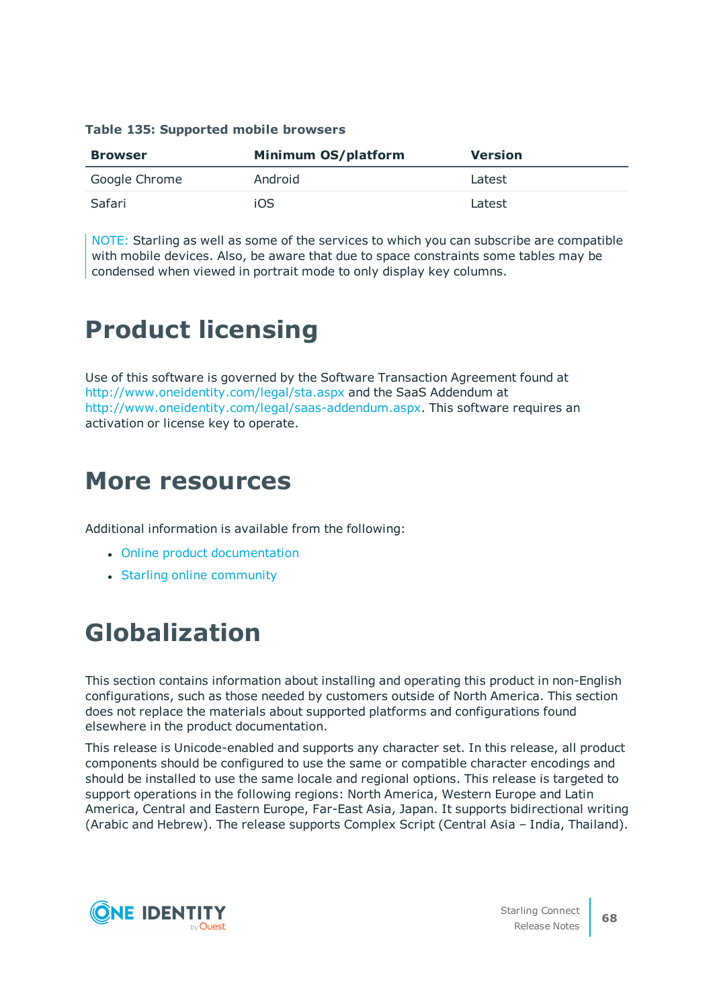| <b>Browser</b> | <b>Minimum OS/platform</b> | <b>Version</b> |
|----------------|----------------------------|----------------|
| Google Chrome  | Android                    | Latest         |
| Safari         | iOS                        | Latest         |

#### **Table 135: Supported mobile browsers**

NOTE: Starling as well as some of the services to which you can subscribe are compatible with mobile devices. Also, be aware that due to space constraints some tables may be condensed when viewed in portrait mode to only display key columns.

# **Product licensing**

Use of this software is governed by the Software Transaction Agreement found at <http://www.oneidentity.com/legal/sta.aspx> and the SaaS Addendum at [http://www.oneidentity.com/legal/saas-addendum.aspx.](http://www.oneidentity.com/legal/saas-addendum.aspx) This software requires an activation or license key to operate.

# **More resources**

Additional information is available from the following:

- Online product [documentation](https://www.oneidentity.com/products/starling-connect/)
- Starling online [community](https://www.quest.com/community/one-identity/starling/f/starling-forum)

# **Globalization**

This section contains information about installing and operating this product in non-English configurations, such as those needed by customers outside of North America. This section does not replace the materials about supported platforms and configurations found elsewhere in the product documentation.

This release is Unicode-enabled and supports any character set. In this release, all product components should be configured to use the same or compatible character encodings and should be installed to use the same locale and regional options. This release is targeted to support operations in the following regions: North America, Western Europe and Latin America, Central and Eastern Europe, Far-East Asia, Japan. It supports bidirectional writing (Arabic and Hebrew). The release supports Complex Script (Central Asia – India, Thailand).

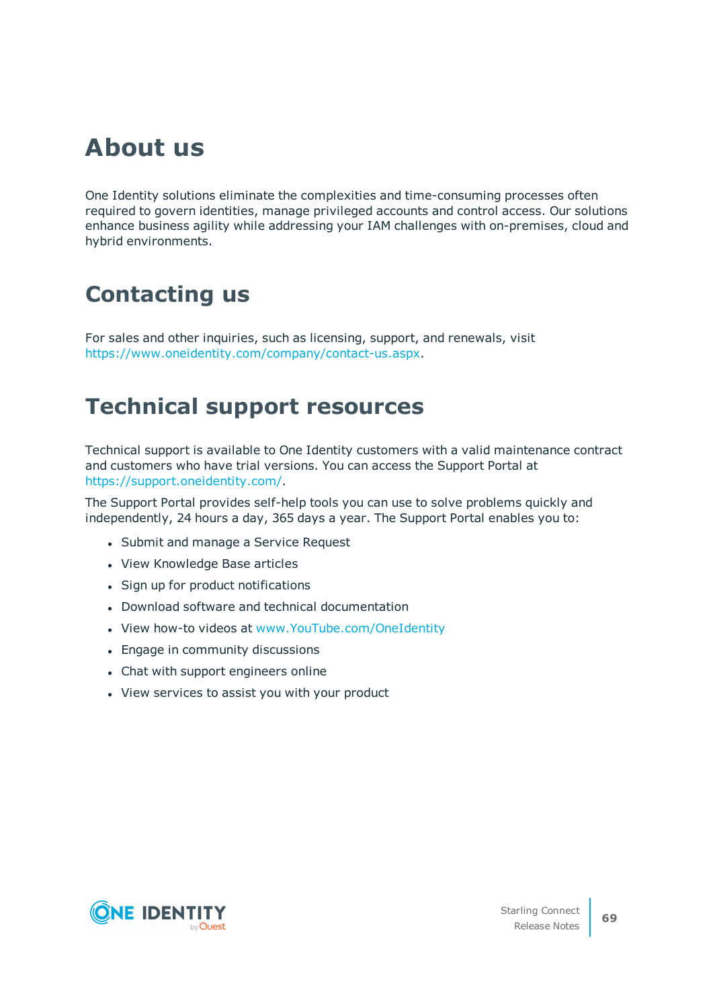# **About us**

One Identity solutions eliminate the complexities and time-consuming processes often required to govern identities, manage privileged accounts and control access. Our solutions enhance business agility while addressing your IAM challenges with on-premises, cloud and hybrid environments.

# **Contacting us**

For sales and other inquiries, such as licensing, support, and renewals, visit <https://www.oneidentity.com/company/contact-us.aspx>.

# **Technical support resources**

Technical support is available to One Identity customers with a valid maintenance contract and customers who have trial versions. You can access the Support Portal at [https://support.oneidentity.com/.](https://support.oneidentity.com/)

The Support Portal provides self-help tools you can use to solve problems quickly and independently, 24 hours a day, 365 days a year. The Support Portal enables you to:

- Submit and manage a Service Request
- View Knowledge Base articles
- Sign up for product notifications
- Download software and technical documentation
- View how-to videos at [www.YouTube.com/OneIdentity](http://www.youtube.com/OneIdentity)
- Engage in community discussions
- Chat with support engineers online
- View services to assist you with your product